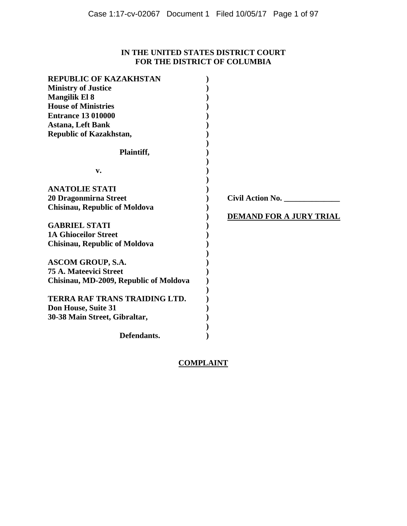# **IN THE UNITED STATES DISTRICT COURT FOR THE DISTRICT OF COLUMBIA**

| <b>REPUBLIC OF KAZAKHSTAN</b>          |                                |
|----------------------------------------|--------------------------------|
| <b>Ministry of Justice</b>             |                                |
| <b>Mangilik El 8</b>                   |                                |
| <b>House of Ministries</b>             |                                |
| <b>Entrance 13 010000</b>              |                                |
| <b>Astana, Left Bank</b>               |                                |
| <b>Republic of Kazakhstan,</b>         |                                |
|                                        |                                |
| Plaintiff,                             |                                |
|                                        |                                |
| v.                                     |                                |
|                                        |                                |
| <b>ANATOLIE STATI</b>                  |                                |
| 20 Dragonmirna Street                  | <b>Civil Action No.</b>        |
| <b>Chisinau, Republic of Moldova</b>   |                                |
|                                        | <b>DEMAND FOR A JURY TRIAL</b> |
| <b>GABRIEL STATI</b>                   |                                |
| <b>1A Ghioceilor Street</b>            |                                |
| <b>Chisinau, Republic of Moldova</b>   |                                |
|                                        |                                |
| <b>ASCOM GROUP, S.A.</b>               |                                |
| <b>75 A. Mateevici Street</b>          |                                |
| Chisinau, MD-2009, Republic of Moldova |                                |
|                                        |                                |
| <b>TERRA RAF TRANS TRAIDING LTD.</b>   |                                |
| Don House, Suite 31                    |                                |
| 30-38 Main Street, Gibraltar,          |                                |
|                                        |                                |
| Defendants.                            |                                |
|                                        |                                |

# **COMPLAINT**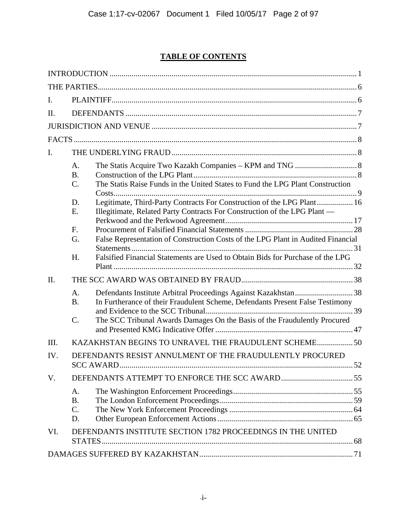# **TABLE OF CONTENTS**

| I.   |                                                                                                                                                                                                                                                                                                                                                                                                                                                                    |
|------|--------------------------------------------------------------------------------------------------------------------------------------------------------------------------------------------------------------------------------------------------------------------------------------------------------------------------------------------------------------------------------------------------------------------------------------------------------------------|
| II.  |                                                                                                                                                                                                                                                                                                                                                                                                                                                                    |
|      |                                                                                                                                                                                                                                                                                                                                                                                                                                                                    |
|      |                                                                                                                                                                                                                                                                                                                                                                                                                                                                    |
| I.   |                                                                                                                                                                                                                                                                                                                                                                                                                                                                    |
|      | A.<br><b>B.</b><br>The Statis Raise Funds in the United States to Fund the LPG Plant Construction<br>C.<br>Legitimate, Third-Party Contracts For Construction of the LPG Plant 16<br>D.<br>E.<br>Illegitimate, Related Party Contracts For Construction of the LPG Plant —<br>F.<br>False Representation of Construction Costs of the LPG Plant in Audited Financial<br>G.<br>Falsified Financial Statements are Used to Obtain Bids for Purchase of the LPG<br>H. |
| II.  |                                                                                                                                                                                                                                                                                                                                                                                                                                                                    |
|      | Defendants Institute Arbitral Proceedings Against Kazakhstan38<br>A.<br><b>B.</b><br>In Furtherance of their Fraudulent Scheme, Defendants Present False Testimony<br>The SCC Tribunal Awards Damages On the Basis of the Fraudulently Procured<br>$\mathcal{C}$ .                                                                                                                                                                                                 |
| III. | KAZAKHSTAN BEGINS TO UNRAVEL THE FRAUDULENT SCHEME 50                                                                                                                                                                                                                                                                                                                                                                                                              |
| IV.  | DEFENDANTS RESIST ANNULMENT OF THE FRAUDULENTLY PROCURED<br><b>SCC AWARD</b><br>52                                                                                                                                                                                                                                                                                                                                                                                 |
| V.   |                                                                                                                                                                                                                                                                                                                                                                                                                                                                    |
|      | A.<br><b>B.</b><br>C.<br>D.                                                                                                                                                                                                                                                                                                                                                                                                                                        |
| VI.  | DEFENDANTS INSTITUTE SECTION 1782 PROCEEDINGS IN THE UNITED<br>STATES.                                                                                                                                                                                                                                                                                                                                                                                             |
|      |                                                                                                                                                                                                                                                                                                                                                                                                                                                                    |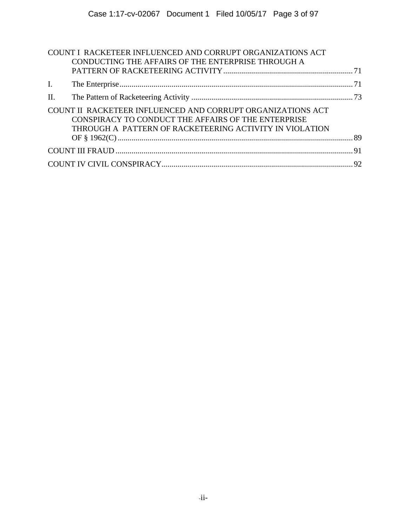|                | COUNT I RACKETEER INFLUENCED AND CORRUPT ORGANIZATIONS ACT<br>CONDUCTING THE AFFAIRS OF THE ENTERPRISE THROUGH A                                                              |  |
|----------------|-------------------------------------------------------------------------------------------------------------------------------------------------------------------------------|--|
|                |                                                                                                                                                                               |  |
| $\mathbf{I}$ . |                                                                                                                                                                               |  |
| II.            |                                                                                                                                                                               |  |
|                | COUNT II RACKETEER INFLUENCED AND CORRUPT ORGANIZATIONS ACT<br>CONSPIRACY TO CONDUCT THE AFFAIRS OF THE ENTERPRISE<br>THROUGH A PATTERN OF RACKETEERING ACTIVITY IN VIOLATION |  |
|                |                                                                                                                                                                               |  |
|                |                                                                                                                                                                               |  |
|                |                                                                                                                                                                               |  |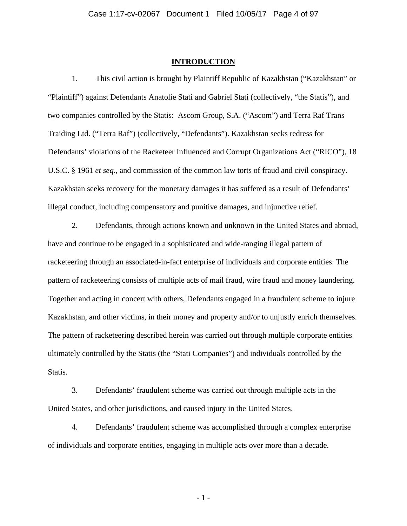#### **INTRODUCTION**

1. This civil action is brought by Plaintiff Republic of Kazakhstan ("Kazakhstan" or "Plaintiff") against Defendants Anatolie Stati and Gabriel Stati (collectively, "the Statis"), and two companies controlled by the Statis: Ascom Group, S.A. ("Ascom") and Terra Raf Trans Traiding Ltd. ("Terra Raf") (collectively, "Defendants"). Kazakhstan seeks redress for Defendants' violations of the Racketeer Influenced and Corrupt Organizations Act ("RICO"), 18 U.S.C. § 1961 *et seq*., and commission of the common law torts of fraud and civil conspiracy. Kazakhstan seeks recovery for the monetary damages it has suffered as a result of Defendants' illegal conduct, including compensatory and punitive damages, and injunctive relief.

2. Defendants, through actions known and unknown in the United States and abroad, have and continue to be engaged in a sophisticated and wide-ranging illegal pattern of racketeering through an associated-in-fact enterprise of individuals and corporate entities. The pattern of racketeering consists of multiple acts of mail fraud, wire fraud and money laundering. Together and acting in concert with others, Defendants engaged in a fraudulent scheme to injure Kazakhstan, and other victims, in their money and property and/or to unjustly enrich themselves. The pattern of racketeering described herein was carried out through multiple corporate entities ultimately controlled by the Statis (the "Stati Companies") and individuals controlled by the Statis.

3. Defendants' fraudulent scheme was carried out through multiple acts in the United States, and other jurisdictions, and caused injury in the United States.

4. Defendants' fraudulent scheme was accomplished through a complex enterprise of individuals and corporate entities, engaging in multiple acts over more than a decade.

- 1 -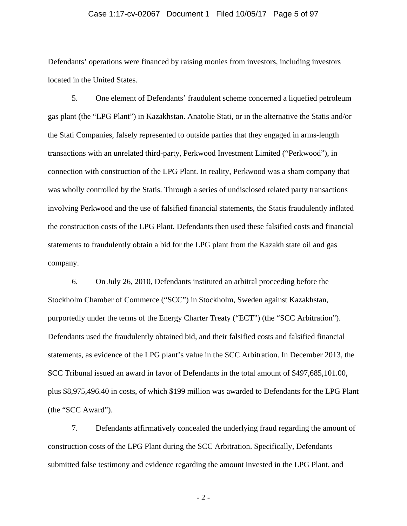## Case 1:17-cv-02067 Document 1 Filed 10/05/17 Page 5 of 97

Defendants' operations were financed by raising monies from investors, including investors located in the United States.

5. One element of Defendants' fraudulent scheme concerned a liquefied petroleum gas plant (the "LPG Plant") in Kazakhstan. Anatolie Stati, or in the alternative the Statis and/or the Stati Companies, falsely represented to outside parties that they engaged in arms-length transactions with an unrelated third-party, Perkwood Investment Limited ("Perkwood"), in connection with construction of the LPG Plant. In reality, Perkwood was a sham company that was wholly controlled by the Statis. Through a series of undisclosed related party transactions involving Perkwood and the use of falsified financial statements, the Statis fraudulently inflated the construction costs of the LPG Plant. Defendants then used these falsified costs and financial statements to fraudulently obtain a bid for the LPG plant from the Kazakh state oil and gas company.

6. On July 26, 2010, Defendants instituted an arbitral proceeding before the Stockholm Chamber of Commerce ("SCC") in Stockholm, Sweden against Kazakhstan, purportedly under the terms of the Energy Charter Treaty ("ECT") (the "SCC Arbitration"). Defendants used the fraudulently obtained bid, and their falsified costs and falsified financial statements, as evidence of the LPG plant's value in the SCC Arbitration. In December 2013, the SCC Tribunal issued an award in favor of Defendants in the total amount of \$497,685,101.00, plus \$8,975,496.40 in costs, of which \$199 million was awarded to Defendants for the LPG Plant (the "SCC Award").

7. Defendants affirmatively concealed the underlying fraud regarding the amount of construction costs of the LPG Plant during the SCC Arbitration. Specifically, Defendants submitted false testimony and evidence regarding the amount invested in the LPG Plant, and

- 2 -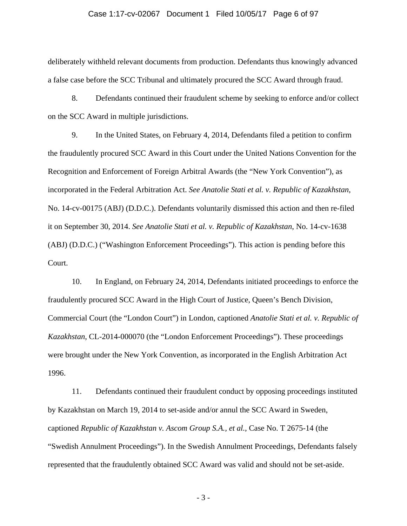## Case 1:17-cv-02067 Document 1 Filed 10/05/17 Page 6 of 97

deliberately withheld relevant documents from production. Defendants thus knowingly advanced a false case before the SCC Tribunal and ultimately procured the SCC Award through fraud.

8. Defendants continued their fraudulent scheme by seeking to enforce and/or collect on the SCC Award in multiple jurisdictions.

9. In the United States, on February 4, 2014, Defendants filed a petition to confirm the fraudulently procured SCC Award in this Court under the United Nations Convention for the Recognition and Enforcement of Foreign Arbitral Awards (the "New York Convention"), as incorporated in the Federal Arbitration Act. *See Anatolie Stati et al. v. Republic of Kazakhstan*, No. 14-cv-00175 (ABJ) (D.D.C.). Defendants voluntarily dismissed this action and then re-filed it on September 30, 2014. *See Anatolie Stati et al. v. Republic of Kazakhstan*, No. 14-cv-1638 (ABJ) (D.D.C.) ("Washington Enforcement Proceedings"). This action is pending before this Court.

10. In England, on February 24, 2014, Defendants initiated proceedings to enforce the fraudulently procured SCC Award in the High Court of Justice, Queen's Bench Division, Commercial Court (the "London Court") in London, captioned *Anatolie Stati et al. v. Republic of Kazakhstan*, CL-2014-000070 (the "London Enforcement Proceedings"). These proceedings were brought under the New York Convention, as incorporated in the English Arbitration Act 1996.

11. Defendants continued their fraudulent conduct by opposing proceedings instituted by Kazakhstan on March 19, 2014 to set-aside and/or annul the SCC Award in Sweden, captioned *Republic of Kazakhstan v. Ascom Group S.A., et al.*, Case No. T 2675-14 (the "Swedish Annulment Proceedings"). In the Swedish Annulment Proceedings, Defendants falsely represented that the fraudulently obtained SCC Award was valid and should not be set-aside.

- 3 -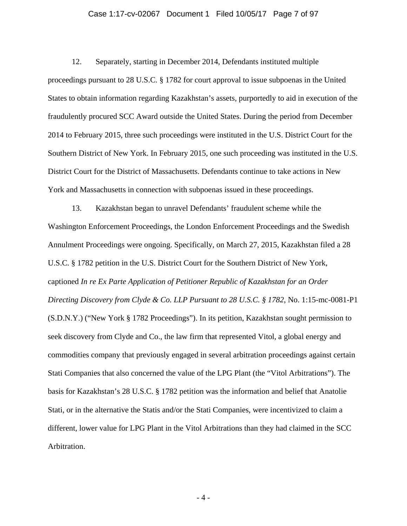## Case 1:17-cv-02067 Document 1 Filed 10/05/17 Page 7 of 97

12. Separately, starting in December 2014, Defendants instituted multiple proceedings pursuant to 28 U.S.C. § 1782 for court approval to issue subpoenas in the United States to obtain information regarding Kazakhstan's assets, purportedly to aid in execution of the fraudulently procured SCC Award outside the United States. During the period from December 2014 to February 2015, three such proceedings were instituted in the U.S. District Court for the Southern District of New York. In February 2015, one such proceeding was instituted in the U.S. District Court for the District of Massachusetts. Defendants continue to take actions in New York and Massachusetts in connection with subpoenas issued in these proceedings.

13. Kazakhstan began to unravel Defendants' fraudulent scheme while the Washington Enforcement Proceedings, the London Enforcement Proceedings and the Swedish Annulment Proceedings were ongoing. Specifically, on March 27, 2015, Kazakhstan filed a 28 U.S.C. § 1782 petition in the U.S. District Court for the Southern District of New York, captioned *In re Ex Parte Application of Petitioner Republic of Kazakhstan for an Order Directing Discovery from Clyde & Co. LLP Pursuant to 28 U.S.C. § 1782*, No. 1:15-mc-0081-P1 (S.D.N.Y.) ("New York § 1782 Proceedings"). In its petition, Kazakhstan sought permission to seek discovery from Clyde and Co., the law firm that represented Vitol, a global energy and commodities company that previously engaged in several arbitration proceedings against certain Stati Companies that also concerned the value of the LPG Plant (the "Vitol Arbitrations"). The basis for Kazakhstan's 28 U.S.C. § 1782 petition was the information and belief that Anatolie Stati, or in the alternative the Statis and/or the Stati Companies, were incentivized to claim a different, lower value for LPG Plant in the Vitol Arbitrations than they had claimed in the SCC Arbitration.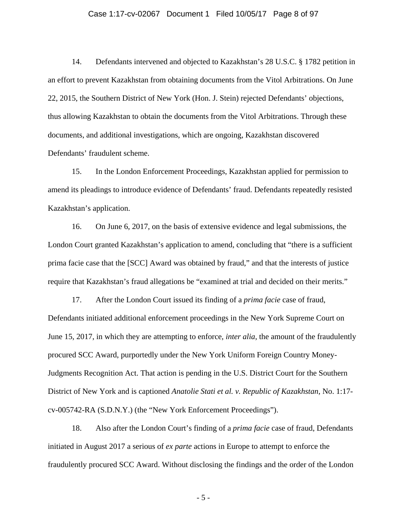## Case 1:17-cv-02067 Document 1 Filed 10/05/17 Page 8 of 97

14. Defendants intervened and objected to Kazakhstan's 28 U.S.C. § 1782 petition in an effort to prevent Kazakhstan from obtaining documents from the Vitol Arbitrations. On June 22, 2015, the Southern District of New York (Hon. J. Stein) rejected Defendants' objections, thus allowing Kazakhstan to obtain the documents from the Vitol Arbitrations. Through these documents, and additional investigations, which are ongoing, Kazakhstan discovered Defendants' fraudulent scheme.

15. In the London Enforcement Proceedings, Kazakhstan applied for permission to amend its pleadings to introduce evidence of Defendants' fraud. Defendants repeatedly resisted Kazakhstan's application.

16. On June 6, 2017, on the basis of extensive evidence and legal submissions, the London Court granted Kazakhstan's application to amend, concluding that "there is a sufficient prima facie case that the [SCC] Award was obtained by fraud," and that the interests of justice require that Kazakhstan's fraud allegations be "examined at trial and decided on their merits."

17. After the London Court issued its finding of a *prima facie* case of fraud, Defendants initiated additional enforcement proceedings in the New York Supreme Court on June 15, 2017, in which they are attempting to enforce, *inter alia*, the amount of the fraudulently procured SCC Award, purportedly under the New York Uniform Foreign Country Money-Judgments Recognition Act. That action is pending in the U.S. District Court for the Southern District of New York and is captioned *Anatolie Stati et al. v. Republic of Kazakhstan*, No. 1:17 cv-005742-RA (S.D.N.Y.) (the "New York Enforcement Proceedings").

18. Also after the London Court's finding of a *prima facie* case of fraud, Defendants initiated in August 2017 a serious of *ex parte* actions in Europe to attempt to enforce the fraudulently procured SCC Award. Without disclosing the findings and the order of the London

- 5 -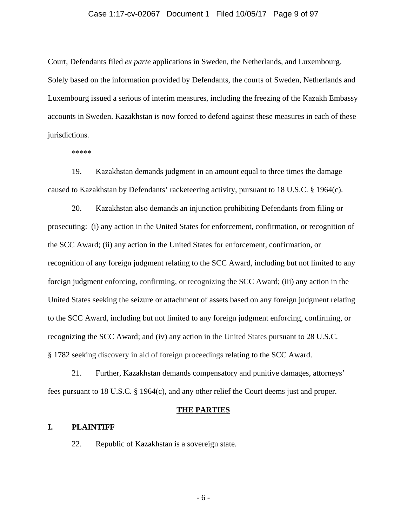## Case 1:17-cv-02067 Document 1 Filed 10/05/17 Page 9 of 97

Court, Defendants filed *ex parte* applications in Sweden, the Netherlands, and Luxembourg. Solely based on the information provided by Defendants, the courts of Sweden, Netherlands and Luxembourg issued a serious of interim measures, including the freezing of the Kazakh Embassy accounts in Sweden. Kazakhstan is now forced to defend against these measures in each of these jurisdictions.

\*\*\*\*\*

19. Kazakhstan demands judgment in an amount equal to three times the damage caused to Kazakhstan by Defendants' racketeering activity, pursuant to 18 U.S.C. § 1964(c).

20. Kazakhstan also demands an injunction prohibiting Defendants from filing or prosecuting: (i) any action in the United States for enforcement, confirmation, or recognition of the SCC Award; (ii) any action in the United States for enforcement, confirmation, or recognition of any foreign judgment relating to the SCC Award, including but not limited to any foreign judgment enforcing, confirming, or recognizing the SCC Award; (iii) any action in the United States seeking the seizure or attachment of assets based on any foreign judgment relating to the SCC Award, including but not limited to any foreign judgment enforcing, confirming, or recognizing the SCC Award; and (iv) any action in the United States pursuant to 28 U.S.C. § 1782 seeking discovery in aid of foreign proceedings relating to the SCC Award.

21. Further, Kazakhstan demands compensatory and punitive damages, attorneys' fees pursuant to 18 U.S.C. § 1964(c), and any other relief the Court deems just and proper.

## **THE PARTIES**

## **I. PLAINTIFF**

22. Republic of Kazakhstan is a sovereign state.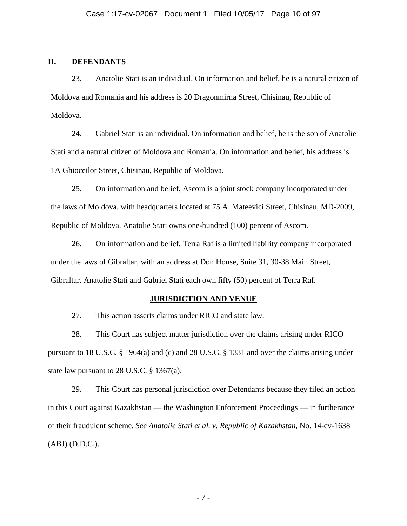## **II. DEFENDANTS**

23. Anatolie Stati is an individual. On information and belief, he is a natural citizen of Moldova and Romania and his address is 20 Dragonmirna Street, Chisinau, Republic of Moldova.

24. Gabriel Stati is an individual. On information and belief, he is the son of Anatolie Stati and a natural citizen of Moldova and Romania. On information and belief, his address is 1A Ghioceilor Street, Chisinau, Republic of Moldova.

25. On information and belief, Ascom is a joint stock company incorporated under the laws of Moldova, with headquarters located at 75 A. Mateevici Street, Chisinau, MD-2009, Republic of Moldova. Anatolie Stati owns one-hundred (100) percent of Ascom.

26. On information and belief, Terra Raf is a limited liability company incorporated under the laws of Gibraltar, with an address at Don House, Suite 31, 30-38 Main Street, Gibraltar. Anatolie Stati and Gabriel Stati each own fifty (50) percent of Terra Raf.

## **JURISDICTION AND VENUE**

27. This action asserts claims under RICO and state law.

28. This Court has subject matter jurisdiction over the claims arising under RICO pursuant to 18 U.S.C. § 1964(a) and (c) and 28 U.S.C. § 1331 and over the claims arising under state law pursuant to 28 U.S.C. § 1367(a).

29. This Court has personal jurisdiction over Defendants because they filed an action in this Court against Kazakhstan — the Washington Enforcement Proceedings — in furtherance of their fraudulent scheme. *See Anatolie Stati et al. v. Republic of Kazakhstan*, No. 14-cv-1638 (ABJ) (D.D.C.).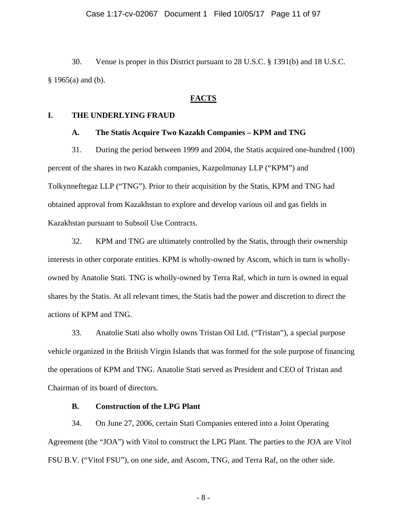30. Venue is proper in this District pursuant to 28 U.S.C. § 1391(b) and 18 U.S.C.  $§$  1965(a) and (b).

## **FACTS**

## **I. THE UNDERLYING FRAUD**

## **A. The Statis Acquire Two Kazakh Companies – KPM and TNG**

31. During the period between 1999 and 2004, the Statis acquired one-hundred (100) percent of the shares in two Kazakh companies, Kazpolmunay LLP ("KPM") and Tolkynneftegaz LLP ("TNG"). Prior to their acquisition by the Statis, KPM and TNG had obtained approval from Kazakhstan to explore and develop various oil and gas fields in Kazakhstan pursuant to Subsoil Use Contracts.

32. KPM and TNG are ultimately controlled by the Statis, through their ownership interests in other corporate entities. KPM is wholly-owned by Ascom, which in turn is whollyowned by Anatolie Stati. TNG is wholly-owned by Terra Raf, which in turn is owned in equal shares by the Statis. At all relevant times, the Statis had the power and discretion to direct the actions of KPM and TNG.

33. Anatolie Stati also wholly owns Tristan Oil Ltd. ("Tristan"), a special purpose vehicle organized in the British Virgin Islands that was formed for the sole purpose of financing the operations of KPM and TNG. Anatolie Stati served as President and CEO of Tristan and Chairman of its board of directors.

## **B. Construction of the LPG Plant**

34. On June 27, 2006, certain Stati Companies entered into a Joint Operating Agreement (the "JOA") with Vitol to construct the LPG Plant. The parties to the JOA are Vitol FSU B.V. ("Vitol FSU"), on one side, and Ascom, TNG, and Terra Raf, on the other side.

- 8 -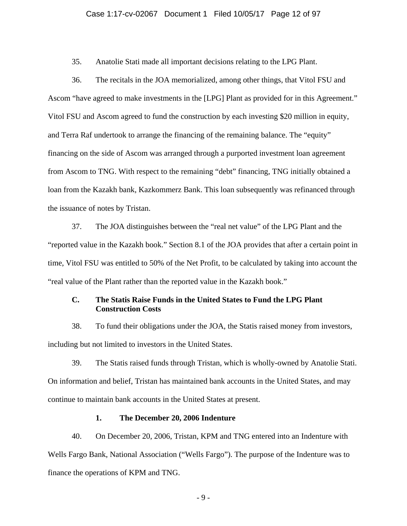## Case 1:17-cv-02067 Document 1 Filed 10/05/17 Page 12 of 97

35. Anatolie Stati made all important decisions relating to the LPG Plant.

36. The recitals in the JOA memorialized, among other things, that Vitol FSU and Ascom "have agreed to make investments in the [LPG] Plant as provided for in this Agreement." Vitol FSU and Ascom agreed to fund the construction by each investing \$20 million in equity, and Terra Raf undertook to arrange the financing of the remaining balance. The "equity" financing on the side of Ascom was arranged through a purported investment loan agreement from Ascom to TNG. With respect to the remaining "debt" financing, TNG initially obtained a loan from the Kazakh bank, Kazkommerz Bank. This loan subsequently was refinanced through the issuance of notes by Tristan.

37. The JOA distinguishes between the "real net value" of the LPG Plant and the "reported value in the Kazakh book." Section 8.1 of the JOA provides that after a certain point in time, Vitol FSU was entitled to 50% of the Net Profit, to be calculated by taking into account the "real value of the Plant rather than the reported value in the Kazakh book."

# **C. The Statis Raise Funds in the United States to Fund the LPG Plant Construction Costs**

38. To fund their obligations under the JOA, the Statis raised money from investors, including but not limited to investors in the United States.

39. The Statis raised funds through Tristan, which is wholly-owned by Anatolie Stati. On information and belief, Tristan has maintained bank accounts in the United States, and may continue to maintain bank accounts in the United States at present.

## **1. The December 20, 2006 Indenture**

40. On December 20, 2006, Tristan, KPM and TNG entered into an Indenture with Wells Fargo Bank, National Association ("Wells Fargo"). The purpose of the Indenture was to finance the operations of KPM and TNG.

- 9 -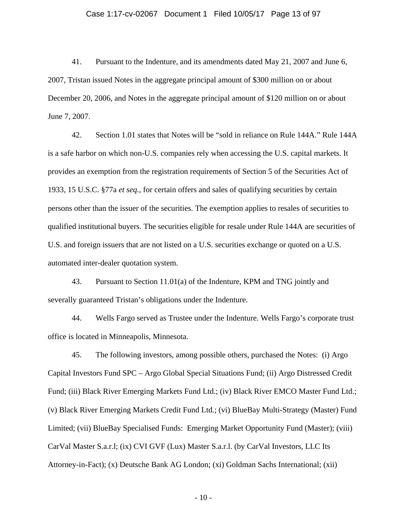## Case 1:17-cv-02067 Document 1 Filed 10/05/17 Page 13 of 97

41. Pursuant to the Indenture, and its amendments dated May 21, 2007 and June 6, 2007, Tristan issued Notes in the aggregate principal amount of \$300 million on or about December 20, 2006, and Notes in the aggregate principal amount of \$120 million on or about June 7, 2007.

42. Section 1.01 states that Notes will be "sold in reliance on Rule 144A." Rule 144A is a safe harbor on which non-U.S. companies rely when accessing the U.S. capital markets. It provides an exemption from the registration requirements of Section 5 of the Securities Act of 1933, 15 U.S.C. §77a *et seq.*, for certain offers and sales of qualifying securities by certain persons other than the issuer of the securities. The exemption applies to resales of securities to qualified institutional buyers. The securities eligible for resale under Rule 144A are securities of U.S. and foreign issuers that are not listed on a U.S. securities exchange or quoted on a U.S. automated inter-dealer quotation system.

43. Pursuant to Section 11.01(a) of the Indenture, KPM and TNG jointly and severally guaranteed Tristan's obligations under the Indenture.

44. Wells Fargo served as Trustee under the Indenture. Wells Fargo's corporate trust office is located in Minneapolis, Minnesota.

45. The following investors, among possible others, purchased the Notes: (i) Argo Capital Investors Fund SPC – Argo Global Special Situations Fund; (ii) Argo Distressed Credit Fund; (iii) Black River Emerging Markets Fund Ltd.; (iv) Black River EMCO Master Fund Ltd.; (v) Black River Emerging Markets Credit Fund Ltd.; (vi) BlueBay Multi-Strategy (Master) Fund Limited; (vii) BlueBay Specialised Funds: Emerging Market Opportunity Fund (Master); (viii) CarVal Master S.a.r.l; (ix) CVI GVF (Lux) Master S.a.r.l. (by CarVal Investors, LLC Its Attorney-in-Fact); (x) Deutsche Bank AG London; (xi) Goldman Sachs International; (xii)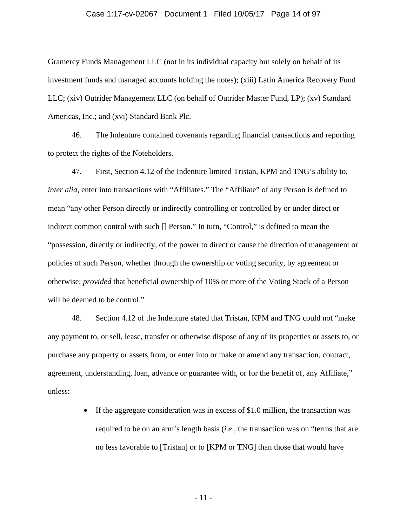## Case 1:17-cv-02067 Document 1 Filed 10/05/17 Page 14 of 97

Gramercy Funds Management LLC (not in its individual capacity but solely on behalf of its investment funds and managed accounts holding the notes); (xiii) Latin America Recovery Fund LLC; (xiv) Outrider Management LLC (on behalf of Outrider Master Fund, LP); (xv) Standard Americas, Inc.; and (xvi) Standard Bank Plc.

46. The Indenture contained covenants regarding financial transactions and reporting to protect the rights of the Noteholders.

47. First, Section 4.12 of the Indenture limited Tristan, KPM and TNG's ability to, *inter alia*, enter into transactions with "Affiliates." The "Affiliate" of any Person is defined to mean "any other Person directly or indirectly controlling or controlled by or under direct or indirect common control with such [] Person." In turn, "Control," is defined to mean the "possession, directly or indirectly, of the power to direct or cause the direction of management or policies of such Person, whether through the ownership or voting security, by agreement or otherwise; *provided* that beneficial ownership of 10% or more of the Voting Stock of a Person will be deemed to be control."

48. Section 4.12 of the Indenture stated that Tristan, KPM and TNG could not "make any payment to, or sell, lease, transfer or otherwise dispose of any of its properties or assets to, or purchase any property or assets from, or enter into or make or amend any transaction, contract, agreement, understanding, loan, advance or guarantee with, or for the benefit of, any Affiliate," unless:

> • If the aggregate consideration was in excess of \$1.0 million, the transaction was required to be on an arm's length basis (*i.e*., the transaction was on "terms that are no less favorable to [Tristan] or to [KPM or TNG] than those that would have

> > - 11 -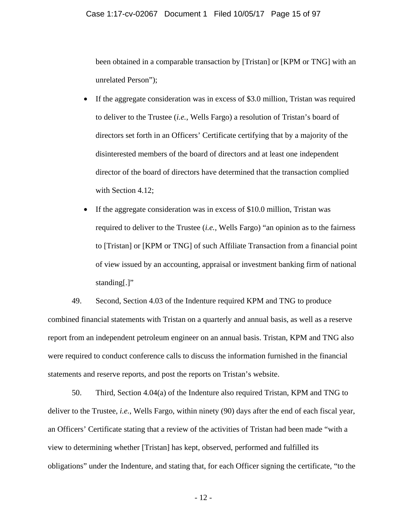been obtained in a comparable transaction by [Tristan] or [KPM or TNG] with an unrelated Person");

- If the aggregate consideration was in excess of \$3.0 million, Tristan was required to deliver to the Trustee (*i.e.*, Wells Fargo) a resolution of Tristan's board of directors set forth in an Officers' Certificate certifying that by a majority of the disinterested members of the board of directors and at least one independent director of the board of directors have determined that the transaction complied with Section 4.12;
- If the aggregate consideration was in excess of \$10.0 million, Tristan was required to deliver to the Trustee (*i.e.*, Wells Fargo) "an opinion as to the fairness to [Tristan] or [KPM or TNG] of such Affiliate Transaction from a financial point of view issued by an accounting, appraisal or investment banking firm of national standing[.]"

49. Second, Section 4.03 of the Indenture required KPM and TNG to produce combined financial statements with Tristan on a quarterly and annual basis, as well as a reserve report from an independent petroleum engineer on an annual basis. Tristan, KPM and TNG also were required to conduct conference calls to discuss the information furnished in the financial statements and reserve reports, and post the reports on Tristan's website.

50. Third, Section 4.04(a) of the Indenture also required Tristan, KPM and TNG to deliver to the Trustee, *i.e.*, Wells Fargo, within ninety (90) days after the end of each fiscal year, an Officers' Certificate stating that a review of the activities of Tristan had been made "with a view to determining whether [Tristan] has kept, observed, performed and fulfilled its obligations" under the Indenture, and stating that, for each Officer signing the certificate, "to the

- 12 -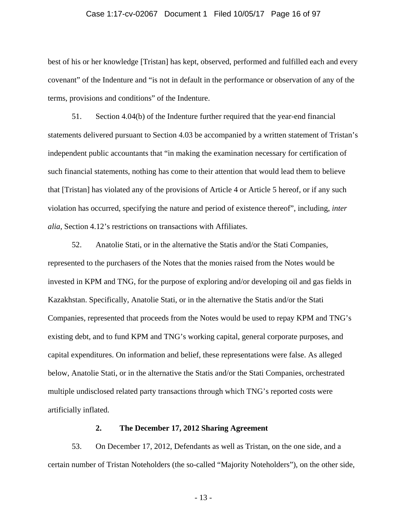## Case 1:17-cv-02067 Document 1 Filed 10/05/17 Page 16 of 97

best of his or her knowledge [Tristan] has kept, observed, performed and fulfilled each and every covenant" of the Indenture and "is not in default in the performance or observation of any of the terms, provisions and conditions" of the Indenture.

51. Section 4.04(b) of the Indenture further required that the year-end financial statements delivered pursuant to Section 4.03 be accompanied by a written statement of Tristan's independent public accountants that "in making the examination necessary for certification of such financial statements, nothing has come to their attention that would lead them to believe that [Tristan] has violated any of the provisions of Article 4 or Article 5 hereof, or if any such violation has occurred, specifying the nature and period of existence thereof", including, *inter alia*, Section 4.12's restrictions on transactions with Affiliates.

52. Anatolie Stati, or in the alternative the Statis and/or the Stati Companies, represented to the purchasers of the Notes that the monies raised from the Notes would be invested in KPM and TNG, for the purpose of exploring and/or developing oil and gas fields in Kazakhstan. Specifically, Anatolie Stati, or in the alternative the Statis and/or the Stati Companies, represented that proceeds from the Notes would be used to repay KPM and TNG's existing debt, and to fund KPM and TNG's working capital, general corporate purposes, and capital expenditures. On information and belief, these representations were false. As alleged below, Anatolie Stati, or in the alternative the Statis and/or the Stati Companies, orchestrated multiple undisclosed related party transactions through which TNG's reported costs were artificially inflated.

# **2. The December 17, 2012 Sharing Agreement**

53. On December 17, 2012, Defendants as well as Tristan, on the one side, and a certain number of Tristan Noteholders (the so-called "Majority Noteholders"), on the other side,

- 13 -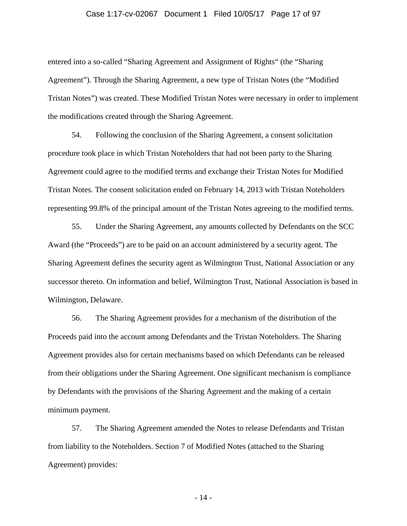## Case 1:17-cv-02067 Document 1 Filed 10/05/17 Page 17 of 97

entered into a so-called "Sharing Agreement and Assignment of Rights" (the "Sharing Agreement"). Through the Sharing Agreement, a new type of Tristan Notes (the "Modified Tristan Notes") was created. These Modified Tristan Notes were necessary in order to implement the modifications created through the Sharing Agreement.

54. Following the conclusion of the Sharing Agreement, a consent solicitation procedure took place in which Tristan Noteholders that had not been party to the Sharing Agreement could agree to the modified terms and exchange their Tristan Notes for Modified Tristan Notes. The consent solicitation ended on February 14, 2013 with Tristan Noteholders representing 99.8% of the principal amount of the Tristan Notes agreeing to the modified terms.

55. Under the Sharing Agreement, any amounts collected by Defendants on the SCC Award (the "Proceeds") are to be paid on an account administered by a security agent. The Sharing Agreement defines the security agent as Wilmington Trust, National Association or any successor thereto. On information and belief, Wilmington Trust, National Association is based in Wilmington, Delaware.

56. The Sharing Agreement provides for a mechanism of the distribution of the Proceeds paid into the account among Defendants and the Tristan Noteholders. The Sharing Agreement provides also for certain mechanisms based on which Defendants can be released from their obligations under the Sharing Agreement. One significant mechanism is compliance by Defendants with the provisions of the Sharing Agreement and the making of a certain minimum payment.

57. The Sharing Agreement amended the Notes to release Defendants and Tristan from liability to the Noteholders. Section 7 of Modified Notes (attached to the Sharing Agreement) provides:

- 14 -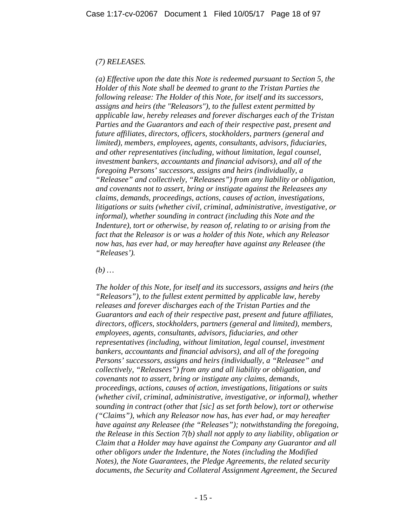# *(7) RELEASES.*

*(a) Effective upon the date this Note is redeemed pursuant to Section 5, the Holder of this Note shall be deemed to grant to the Tristan Parties the following release: The Holder of this Note, for itself and its successors, assigns and heirs (the "Releasors"), to the fullest extent permitted by applicable law, hereby releases and forever discharges each of the Tristan Parties and the Guarantors and each of their respective past, present and future affiliates, directors, officers, stockholders, partners (general and limited), members, employees, agents, consultants, advisors, fiduciaries, and other representatives (including, without limitation, legal counsel, investment bankers, accountants and financial advisors), and all of the foregoing Persons' successors, assigns and heirs (individually, a "Releasee" and collectively, "Releasees") from any liability or obligation, and covenants not to assert, bring or instigate against the Releasees any claims, demands, proceedings, actions, causes of action, investigations, litigations or suits (whether civil, criminal, administrative, investigative, or informal), whether sounding in contract (including this Note and the Indenture*), tort or otherwise, by reason of, relating to or arising from the *fact that the Releasor is or was a holder of this Note, which any Releasor now has, has ever had, or may hereafter have against any Releasee (the "Releases').* 

*(b) …* 

*The holder of this Note, for itself and its successors, assigns and heirs (the "Releasors"), to the fullest extent permitted by applicable law, hereby releases and forever discharges each of the Tristan Parties and the Guarantors and each of their respective past, present and future affiliates, directors, officers, stockholders, partners (general and limited), members, employees, agents, consultants, advisors, fiduciaries, and other representatives (including, without limitation, legal counsel, investment bankers, accountants and financial advisors), and all of the foregoing Persons' successors, assigns and heirs (individually, a "Releasee" and collectively, "Releasees") from any and all liability or obligation, and covenants not to assert, bring or instigate any claims, demands, proceedings, actions, causes of action, investigations, litigations or suits (whether civil, criminal, administrative, investigative, or informal), whether sounding in contract (other that [sic] as set forth below), tort or otherwise ("Claims"), which any Releasor now has, has ever had, or may hereafter have against any Releasee (the "Releases"); notwithstanding the foregoing, the Release in this Section 7(b) shall not apply to any liability, obligation or Claim that a Holder may have against the Company any Guarantor and all other obligors under the Indenture, the Notes (including the Modified Notes), the Note Guarantees, the Pledge Agreements, the related security documents, the Security and Collateral Assignment Agreement, the Secured*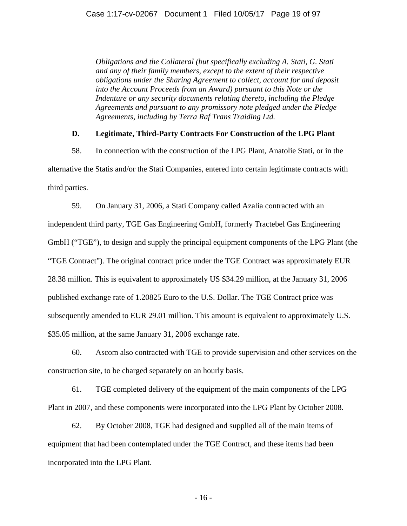*Obligations and the Collateral (but specifically excluding A. Stati, G. Stati and any of their family members, except to the extent of their respective obligations under the Sharing Agreement to collect, account for and deposit into the Account Proceeds from an Award) pursuant to this Note or the Indenture or any security documents relating thereto, including the Pledge Agreements and pursuant to any promissory note pledged under the Pledge Agreements, including by Terra Raf Trans Traiding Ltd.* 

## **D. Legitimate, Third-Party Contracts For Construction of the LPG Plant**

58. In connection with the construction of the LPG Plant, Anatolie Stati, or in the alternative the Statis and/or the Stati Companies, entered into certain legitimate contracts with third parties.

59. On January 31, 2006, a Stati Company called Azalia contracted with an independent third party, TGE Gas Engineering GmbH, formerly Tractebel Gas Engineering GmbH ("TGE"), to design and supply the principal equipment components of the LPG Plant (the "TGE Contract"). The original contract price under the TGE Contract was approximately EUR 28.38 million. This is equivalent to approximately US \$34.29 million, at the January 31, 2006 published exchange rate of 1.20825 Euro to the U.S. Dollar. The TGE Contract price was subsequently amended to EUR 29.01 million. This amount is equivalent to approximately U.S. \$35.05 million, at the same January 31, 2006 exchange rate.

60. Ascom also contracted with TGE to provide supervision and other services on the construction site, to be charged separately on an hourly basis.

61. TGE completed delivery of the equipment of the main components of the LPG Plant in 2007, and these components were incorporated into the LPG Plant by October 2008.

62. By October 2008, TGE had designed and supplied all of the main items of equipment that had been contemplated under the TGE Contract, and these items had been incorporated into the LPG Plant.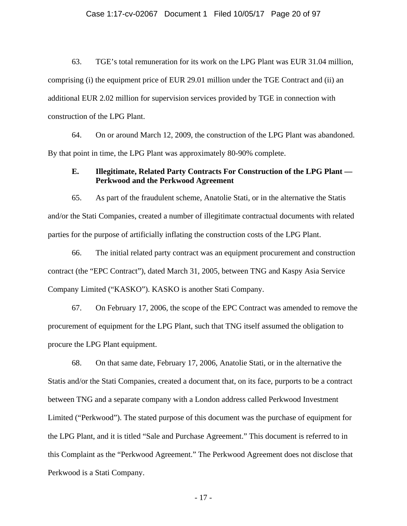## Case 1:17-cv-02067 Document 1 Filed 10/05/17 Page 20 of 97

63. TGE's total remuneration for its work on the LPG Plant was EUR 31.04 million, comprising (i) the equipment price of EUR 29.01 million under the TGE Contract and (ii) an additional EUR 2.02 million for supervision services provided by TGE in connection with construction of the LPG Plant.

64. On or around March 12, 2009, the construction of the LPG Plant was abandoned. By that point in time, the LPG Plant was approximately 80-90% complete.

## **E. Illegitimate, Related Party Contracts For Construction of the LPG Plant — Perkwood and the Perkwood Agreement**

65. As part of the fraudulent scheme, Anatolie Stati, or in the alternative the Statis and/or the Stati Companies, created a number of illegitimate contractual documents with related parties for the purpose of artificially inflating the construction costs of the LPG Plant.

66. The initial related party contract was an equipment procurement and construction contract (the "EPC Contract"), dated March 31, 2005, between TNG and Kaspy Asia Service Company Limited ("KASKO"). KASKO is another Stati Company.

67. On February 17, 2006, the scope of the EPC Contract was amended to remove the procurement of equipment for the LPG Plant, such that TNG itself assumed the obligation to procure the LPG Plant equipment.

68. On that same date, February 17, 2006, Anatolie Stati, or in the alternative the Statis and/or the Stati Companies, created a document that, on its face, purports to be a contract between TNG and a separate company with a London address called Perkwood Investment Limited ("Perkwood"). The stated purpose of this document was the purchase of equipment for the LPG Plant, and it is titled "Sale and Purchase Agreement." This document is referred to in this Complaint as the "Perkwood Agreement." The Perkwood Agreement does not disclose that Perkwood is a Stati Company.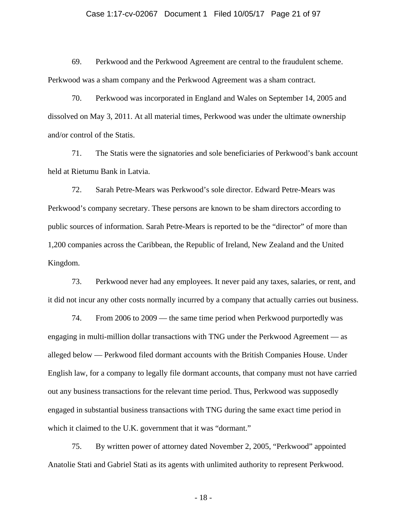## Case 1:17-cv-02067 Document 1 Filed 10/05/17 Page 21 of 97

69. Perkwood and the Perkwood Agreement are central to the fraudulent scheme. Perkwood was a sham company and the Perkwood Agreement was a sham contract.

70. Perkwood was incorporated in England and Wales on September 14, 2005 and dissolved on May 3, 2011. At all material times, Perkwood was under the ultimate ownership and/or control of the Statis.

71. The Statis were the signatories and sole beneficiaries of Perkwood's bank account held at Rietumu Bank in Latvia.

72. Sarah Petre-Mears was Perkwood's sole director. Edward Petre-Mears was Perkwood's company secretary. These persons are known to be sham directors according to public sources of information. Sarah Petre-Mears is reported to be the "director" of more than 1,200 companies across the Caribbean, the Republic of Ireland, New Zealand and the United Kingdom.

73. Perkwood never had any employees. It never paid any taxes, salaries, or rent, and it did not incur any other costs normally incurred by a company that actually carries out business.

74. From 2006 to 2009 — the same time period when Perkwood purportedly was engaging in multi-million dollar transactions with TNG under the Perkwood Agreement — as alleged below — Perkwood filed dormant accounts with the British Companies House. Under English law, for a company to legally file dormant accounts, that company must not have carried out any business transactions for the relevant time period. Thus, Perkwood was supposedly engaged in substantial business transactions with TNG during the same exact time period in which it claimed to the U.K. government that it was "dormant."

75. By written power of attorney dated November 2, 2005, "Perkwood" appointed Anatolie Stati and Gabriel Stati as its agents with unlimited authority to represent Perkwood.

- 18 -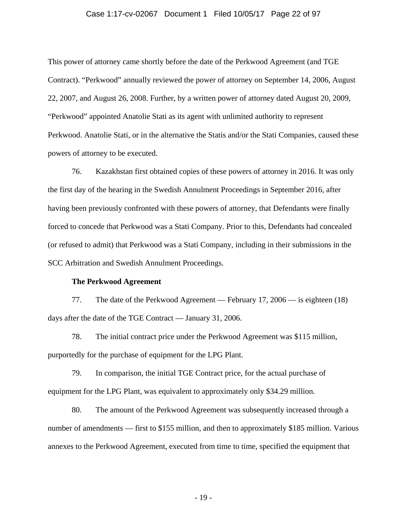## Case 1:17-cv-02067 Document 1 Filed 10/05/17 Page 22 of 97

This power of attorney came shortly before the date of the Perkwood Agreement (and TGE Contract). "Perkwood" annually reviewed the power of attorney on September 14, 2006, August 22, 2007, and August 26, 2008. Further, by a written power of attorney dated August 20, 2009, "Perkwood" appointed Anatolie Stati as its agent with unlimited authority to represent Perkwood. Anatolie Stati, or in the alternative the Statis and/or the Stati Companies, caused these powers of attorney to be executed.

76. Kazakhstan first obtained copies of these powers of attorney in 2016. It was only the first day of the hearing in the Swedish Annulment Proceedings in September 2016, after having been previously confronted with these powers of attorney, that Defendants were finally forced to concede that Perkwood was a Stati Company. Prior to this, Defendants had concealed (or refused to admit) that Perkwood was a Stati Company, including in their submissions in the SCC Arbitration and Swedish Annulment Proceedings.

## **The Perkwood Agreement**

77. The date of the Perkwood Agreement — February 17, 2006 — is eighteen (18) days after the date of the TGE Contract — January 31, 2006.

78. The initial contract price under the Perkwood Agreement was \$115 million, purportedly for the purchase of equipment for the LPG Plant.

79. In comparison, the initial TGE Contract price, for the actual purchase of equipment for the LPG Plant, was equivalent to approximately only \$34.29 million.

80. The amount of the Perkwood Agreement was subsequently increased through a number of amendments — first to \$155 million, and then to approximately \$185 million. Various annexes to the Perkwood Agreement, executed from time to time, specified the equipment that

- 19 -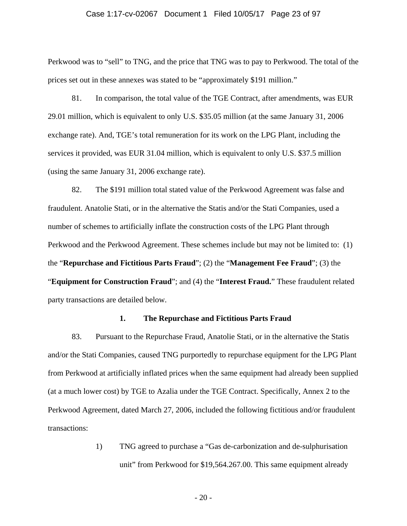## Case 1:17-cv-02067 Document 1 Filed 10/05/17 Page 23 of 97

Perkwood was to "sell" to TNG, and the price that TNG was to pay to Perkwood. The total of the prices set out in these annexes was stated to be "approximately \$191 million."

81. In comparison, the total value of the TGE Contract, after amendments, was EUR 29.01 million, which is equivalent to only U.S. \$35.05 million (at the same January 31, 2006 exchange rate). And, TGE's total remuneration for its work on the LPG Plant, including the services it provided, was EUR 31.04 million, which is equivalent to only U.S. \$37.5 million (using the same January 31, 2006 exchange rate).

82. The \$191 million total stated value of the Perkwood Agreement was false and fraudulent. Anatolie Stati, or in the alternative the Statis and/or the Stati Companies, used a number of schemes to artificially inflate the construction costs of the LPG Plant through Perkwood and the Perkwood Agreement. These schemes include but may not be limited to: (1) the "**Repurchase and Fictitious Parts Fraud**"; (2) the "**Management Fee Fraud**"; (3) the "**Equipment for Construction Fraud**"; and (4) the "**Interest Fraud.**" These fraudulent related party transactions are detailed below.

## **1. The Repurchase and Fictitious Parts Fraud**

83. Pursuant to the Repurchase Fraud, Anatolie Stati, or in the alternative the Statis and/or the Stati Companies, caused TNG purportedly to repurchase equipment for the LPG Plant from Perkwood at artificially inflated prices when the same equipment had already been supplied (at a much lower cost) by TGE to Azalia under the TGE Contract. Specifically, Annex 2 to the Perkwood Agreement, dated March 27, 2006, included the following fictitious and/or fraudulent transactions:

> 1) TNG agreed to purchase a "Gas de-carbonization and de-sulphurisation unit" from Perkwood for \$19,564.267.00. This same equipment already

> > - 20 -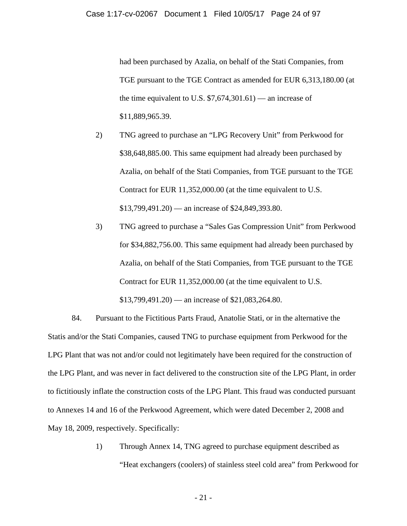had been purchased by Azalia, on behalf of the Stati Companies, from TGE pursuant to the TGE Contract as amended for EUR 6,313,180.00 (at the time equivalent to U.S.  $$7,674,301.61$  — an increase of \$11,889,965.39.

- 2) TNG agreed to purchase an "LPG Recovery Unit" from Perkwood for \$38,648,885.00. This same equipment had already been purchased by Azalia, on behalf of the Stati Companies, from TGE pursuant to the TGE Contract for EUR 11,352,000.00 (at the time equivalent to U.S.  $$13,799,491.20$  — an increase of  $$24,849,393.80$ .
- 3) TNG agreed to purchase a "Sales Gas Compression Unit" from Perkwood for \$34,882,756.00. This same equipment had already been purchased by Azalia, on behalf of the Stati Companies, from TGE pursuant to the TGE Contract for EUR 11,352,000.00 (at the time equivalent to U.S.  $$13,799,491.20$  — an increase of  $$21,083,264.80$ .

84. Pursuant to the Fictitious Parts Fraud, Anatolie Stati, or in the alternative the Statis and/or the Stati Companies, caused TNG to purchase equipment from Perkwood for the LPG Plant that was not and/or could not legitimately have been required for the construction of the LPG Plant, and was never in fact delivered to the construction site of the LPG Plant, in order to fictitiously inflate the construction costs of the LPG Plant. This fraud was conducted pursuant to Annexes 14 and 16 of the Perkwood Agreement, which were dated December 2, 2008 and May 18, 2009, respectively. Specifically:

> 1) Through Annex 14, TNG agreed to purchase equipment described as "Heat exchangers (coolers) of stainless steel cold area" from Perkwood for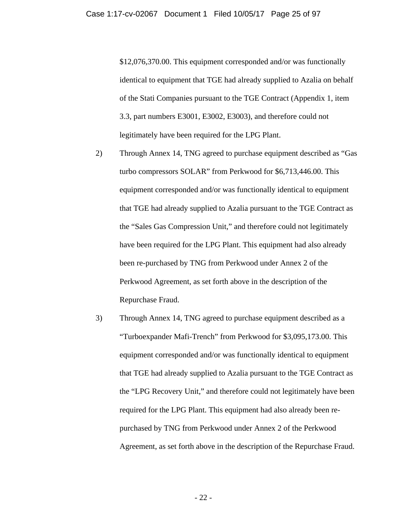\$12,076,370.00. This equipment corresponded and/or was functionally identical to equipment that TGE had already supplied to Azalia on behalf of the Stati Companies pursuant to the TGE Contract (Appendix 1, item 3.3, part numbers E3001, E3002, E3003), and therefore could not legitimately have been required for the LPG Plant.

- 2) Through Annex 14, TNG agreed to purchase equipment described as "Gas turbo compressors SOLAR" from Perkwood for \$6,713,446.00. This equipment corresponded and/or was functionally identical to equipment that TGE had already supplied to Azalia pursuant to the TGE Contract as the "Sales Gas Compression Unit," and therefore could not legitimately have been required for the LPG Plant. This equipment had also already been re-purchased by TNG from Perkwood under Annex 2 of the Perkwood Agreement, as set forth above in the description of the Repurchase Fraud.
- 3) Through Annex 14, TNG agreed to purchase equipment described as a "Turboexpander Mafi-Trench" from Perkwood for \$3,095,173.00. This equipment corresponded and/or was functionally identical to equipment that TGE had already supplied to Azalia pursuant to the TGE Contract as the "LPG Recovery Unit," and therefore could not legitimately have been required for the LPG Plant. This equipment had also already been repurchased by TNG from Perkwood under Annex 2 of the Perkwood Agreement, as set forth above in the description of the Repurchase Fraud.

- 22 -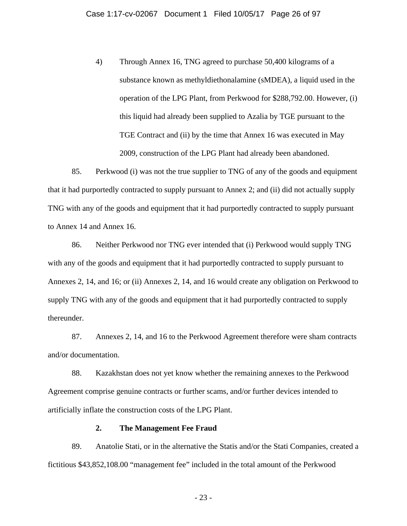4) Through Annex 16, TNG agreed to purchase 50,400 kilograms of a substance known as methyldiethonalamine (sMDEA), a liquid used in the operation of the LPG Plant, from Perkwood for \$288,792.00. However, (i) this liquid had already been supplied to Azalia by TGE pursuant to the TGE Contract and (ii) by the time that Annex 16 was executed in May 2009, construction of the LPG Plant had already been abandoned.

85. Perkwood (i) was not the true supplier to TNG of any of the goods and equipment that it had purportedly contracted to supply pursuant to Annex 2; and (ii) did not actually supply TNG with any of the goods and equipment that it had purportedly contracted to supply pursuant to Annex 14 and Annex 16.

86. Neither Perkwood nor TNG ever intended that (i) Perkwood would supply TNG with any of the goods and equipment that it had purportedly contracted to supply pursuant to Annexes 2, 14, and 16; or (ii) Annexes 2, 14, and 16 would create any obligation on Perkwood to supply TNG with any of the goods and equipment that it had purportedly contracted to supply thereunder.

87. Annexes 2, 14, and 16 to the Perkwood Agreement therefore were sham contracts and/or documentation.

88. Kazakhstan does not yet know whether the remaining annexes to the Perkwood Agreement comprise genuine contracts or further scams, and/or further devices intended to artificially inflate the construction costs of the LPG Plant.

## **2. The Management Fee Fraud**

89. Anatolie Stati, or in the alternative the Statis and/or the Stati Companies, created a fictitious \$43,852,108.00 "management fee" included in the total amount of the Perkwood

- 23 -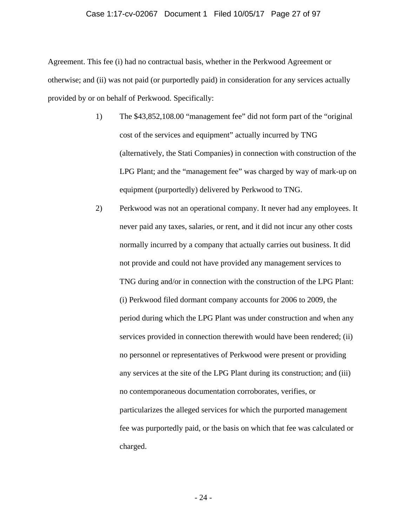## Case 1:17-cv-02067 Document 1 Filed 10/05/17 Page 27 of 97

Agreement. This fee (i) had no contractual basis, whether in the Perkwood Agreement or otherwise; and (ii) was not paid (or purportedly paid) in consideration for any services actually provided by or on behalf of Perkwood. Specifically:

- 1) The \$43,852,108.00 "management fee" did not form part of the "original cost of the services and equipment" actually incurred by TNG (alternatively, the Stati Companies) in connection with construction of the LPG Plant; and the "management fee" was charged by way of mark-up on equipment (purportedly) delivered by Perkwood to TNG.
- 2) Perkwood was not an operational company. It never had any employees. It never paid any taxes, salaries, or rent, and it did not incur any other costs normally incurred by a company that actually carries out business. It did not provide and could not have provided any management services to TNG during and/or in connection with the construction of the LPG Plant: (i) Perkwood filed dormant company accounts for 2006 to 2009, the period during which the LPG Plant was under construction and when any services provided in connection therewith would have been rendered; (ii) no personnel or representatives of Perkwood were present or providing any services at the site of the LPG Plant during its construction; and (iii) no contemporaneous documentation corroborates, verifies, or particularizes the alleged services for which the purported management fee was purportedly paid, or the basis on which that fee was calculated or charged.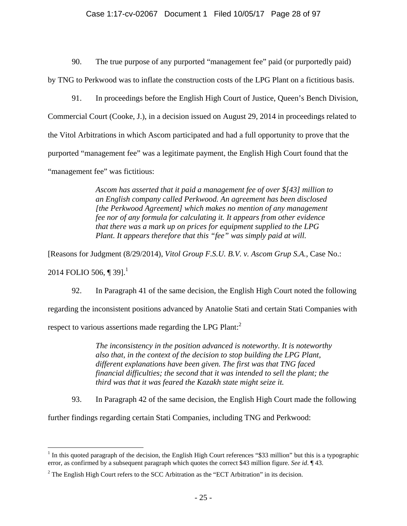## Case 1:17-cv-02067 Document 1 Filed 10/05/17 Page 28 of 97

90. The true purpose of any purported "management fee" paid (or purportedly paid)

by TNG to Perkwood was to inflate the construction costs of the LPG Plant on a fictitious basis.

91. In proceedings before the English High Court of Justice, Queen's Bench Division, Commercial Court (Cooke, J.), in a decision issued on August 29, 2014 in proceedings related to the Vitol Arbitrations in which Ascom participated and had a full opportunity to prove that the purported "management fee" was a legitimate payment, the English High Court found that the "management fee" was fictitious:

> *Ascom has asserted that it paid a management fee of over \$[43] million to an English company called Perkwood. An agreement has been disclosed [the Perkwood Agreement] which makes no mention of any management fee nor of any formula for calculating it. It appears from other evidence that there was a mark up on prices for equipment supplied to the LPG Plant. It appears therefore that this "fee" was simply paid at will.*

[Reasons for Judgment (8/29/2014), *Vitol Group F.S.U. B.V. v. Ascom Grup S.A.*, Case No.:

2014 FOLIO 506, ¶ 39].<sup>1</sup>

92. In Paragraph 41 of the same decision, the English High Court noted the following regarding the inconsistent positions advanced by Anatolie Stati and certain Stati Companies with respect to various assertions made regarding the LPG Plant: $<sup>2</sup>$ </sup>

> *The inconsistency in the position advanced is noteworthy. It is noteworthy also that, in the context of the decision to stop building the LPG Plant, different explanations have been given. The first was that TNG faced financial difficulties; the second that it was intended to sell the plant; the third was that it was feared the Kazakh state might seize it.*

93. In Paragraph 42 of the same decision, the English High Court made the following

further findings regarding certain Stati Companies, including TNG and Perkwood:

 $\overline{a}$ <sup>1</sup> In this quoted paragraph of the decision, the English High Court references "\$33 million" but this is a typographic error, as confirmed by a subsequent paragraph which quotes the correct \$43 million figure. *See id*. ¶ 43.

<sup>&</sup>lt;sup>2</sup> The English High Court refers to the SCC Arbitration as the "ECT Arbitration" in its decision.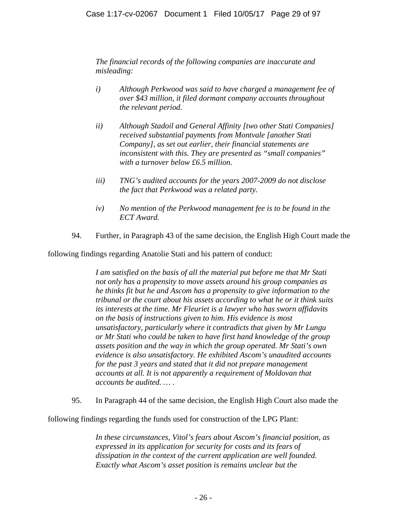*The financial records of the following companies are inaccurate and misleading:* 

- *i) Although Perkwood was said to have charged a management fee of over \$43 million, it filed dormant company accounts throughout the relevant period.*
- *ii) Although Stadoil and General Affinity [two other Stati Companies] received substantial payments from Montvale [another Stati Company], as set out earlier, their financial statements are inconsistent with this. They are presented as "small companies" with a turnover below £6.5 million.*
- *iii) TNG's audited accounts for the years 2007-2009 do not disclose the fact that Perkwood was a related party.*
- *iv) No mention of the Perkwood management fee is to be found in the ECT Award.*
- 94. Further, in Paragraph 43 of the same decision, the English High Court made the

following findings regarding Anatolie Stati and his pattern of conduct:

*I am satisfied on the basis of all the material put before me that Mr Stati not only has a propensity to move assets around his group companies as he thinks fit but he and Ascom has a propensity to give information to the tribunal or the court about his assets according to what he or it think suits its interests at the time. Mr Fleuriet is a lawyer who has sworn affidavits on the basis of instructions given to him. His evidence is most unsatisfactory, particularly where it contradicts that given by Mr Lungu or Mr Stati who could be taken to have first hand knowledge of the group assets position and the way in which the group operated. Mr Stati's own evidence is also unsatisfactory. He exhibited Ascom's unaudited accounts for the past 3 years and stated that it did not prepare management accounts at all. It is not apparently a requirement of Moldovan that accounts be audited. … .*

95. In Paragraph 44 of the same decision, the English High Court also made the

following findings regarding the funds used for construction of the LPG Plant:

*In these circumstances, Vitol's fears about Ascom's financial position, as expressed in its application for security for costs and its fears of dissipation in the context of the current application are well founded. Exactly what Ascom's asset position is remains unclear but the*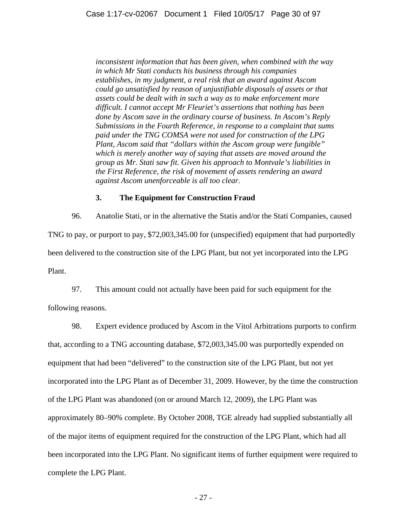*inconsistent information that has been given, when combined with the way in which Mr Stati conducts his business through his companies establishes, in my judgment, a real risk that an award against Ascom could go unsatisfied by reason of unjustifiable disposals of assets or that assets could be dealt with in such a way as to make enforcement more difficult. I cannot accept Mr Fleuriet's assertions that nothing has been done by Ascom save in the ordinary course of business. In Ascom's Reply Submissions in the Fourth Reference, in response to a complaint that sums paid under the TNG COMSA were not used for construction of the LPG Plant, Ascom said that "dollars within the Ascom group were fungible" which is merely another way of saying that assets are moved around the group as Mr. Stati saw fit. Given his approach to Montvale's liabilities in the First Reference, the risk of movement of assets rendering an award against Ascom unenforceable is all too clear.* 

## **3. The Equipment for Construction Fraud**

96. Anatolie Stati, or in the alternative the Statis and/or the Stati Companies, caused TNG to pay, or purport to pay, \$72,003,345.00 for (unspecified) equipment that had purportedly been delivered to the construction site of the LPG Plant, but not yet incorporated into the LPG Plant.

97. This amount could not actually have been paid for such equipment for the

following reasons.

98. Expert evidence produced by Ascom in the Vitol Arbitrations purports to confirm that, according to a TNG accounting database, \$72,003,345.00 was purportedly expended on equipment that had been "delivered" to the construction site of the LPG Plant, but not yet incorporated into the LPG Plant as of December 31, 2009. However, by the time the construction of the LPG Plant was abandoned (on or around March 12, 2009), the LPG Plant was approximately 80–90% complete. By October 2008, TGE already had supplied substantially all of the major items of equipment required for the construction of the LPG Plant, which had all been incorporated into the LPG Plant. No significant items of further equipment were required to complete the LPG Plant.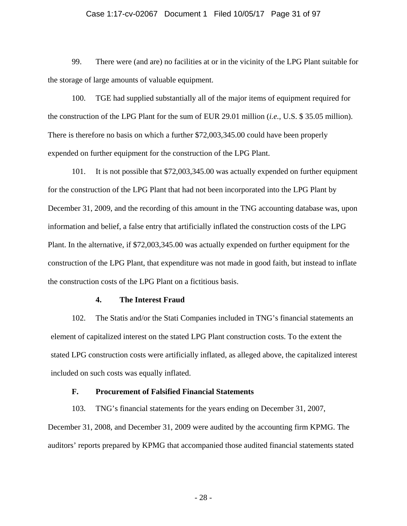## Case 1:17-cv-02067 Document 1 Filed 10/05/17 Page 31 of 97

99. There were (and are) no facilities at or in the vicinity of the LPG Plant suitable for the storage of large amounts of valuable equipment.

100. TGE had supplied substantially all of the major items of equipment required for the construction of the LPG Plant for the sum of EUR 29.01 million (*i.e.*, U.S. \$ 35.05 million). There is therefore no basis on which a further \$72,003,345.00 could have been properly expended on further equipment for the construction of the LPG Plant.

101. It is not possible that \$72,003,345.00 was actually expended on further equipment for the construction of the LPG Plant that had not been incorporated into the LPG Plant by December 31, 2009, and the recording of this amount in the TNG accounting database was, upon information and belief, a false entry that artificially inflated the construction costs of the LPG Plant. In the alternative, if \$72,003,345.00 was actually expended on further equipment for the construction of the LPG Plant, that expenditure was not made in good faith, but instead to inflate the construction costs of the LPG Plant on a fictitious basis.

## **4. The Interest Fraud**

102. The Statis and/or the Stati Companies included in TNG's financial statements an element of capitalized interest on the stated LPG Plant construction costs. To the extent the stated LPG construction costs were artificially inflated, as alleged above, the capitalized interest included on such costs was equally inflated.

## **F. Procurement of Falsified Financial Statements**

103. TNG's financial statements for the years ending on December 31, 2007, December 31, 2008, and December 31, 2009 were audited by the accounting firm KPMG. The auditors' reports prepared by KPMG that accompanied those audited financial statements stated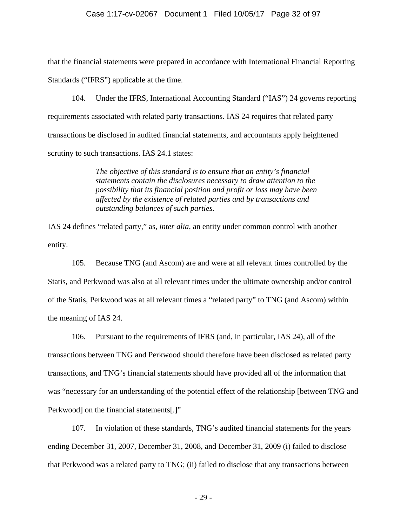#### Case 1:17-cv-02067 Document 1 Filed 10/05/17 Page 32 of 97

that the financial statements were prepared in accordance with International Financial Reporting Standards ("IFRS") applicable at the time.

104. Under the IFRS, International Accounting Standard ("IAS") 24 governs reporting requirements associated with related party transactions. IAS 24 requires that related party transactions be disclosed in audited financial statements, and accountants apply heightened scrutiny to such transactions. IAS 24.1 states:

> *The objective of this standard is to ensure that an entity's financial statements contain the disclosures necessary to draw attention to the possibility that its financial position and profit or loss may have been affected by the existence of related parties and by transactions and outstanding balances of such parties.*

IAS 24 defines "related party," as, *inter alia*, an entity under common control with another entity.

105. Because TNG (and Ascom) are and were at all relevant times controlled by the Statis, and Perkwood was also at all relevant times under the ultimate ownership and/or control of the Statis, Perkwood was at all relevant times a "related party" to TNG (and Ascom) within the meaning of IAS 24.

106. Pursuant to the requirements of IFRS (and, in particular, IAS 24), all of the transactions between TNG and Perkwood should therefore have been disclosed as related party transactions, and TNG's financial statements should have provided all of the information that was "necessary for an understanding of the potential effect of the relationship [between TNG and Perkwood] on the financial statements[.]"

107. In violation of these standards, TNG's audited financial statements for the years ending December 31, 2007, December 31, 2008, and December 31, 2009 (i) failed to disclose that Perkwood was a related party to TNG; (ii) failed to disclose that any transactions between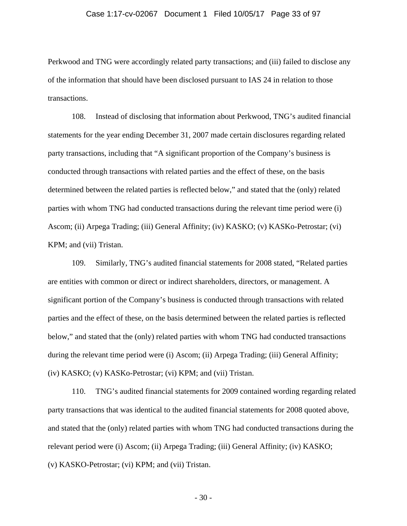## Case 1:17-cv-02067 Document 1 Filed 10/05/17 Page 33 of 97

Perkwood and TNG were accordingly related party transactions; and (iii) failed to disclose any of the information that should have been disclosed pursuant to IAS 24 in relation to those transactions.

108. Instead of disclosing that information about Perkwood, TNG's audited financial statements for the year ending December 31, 2007 made certain disclosures regarding related party transactions, including that "A significant proportion of the Company's business is conducted through transactions with related parties and the effect of these, on the basis determined between the related parties is reflected below," and stated that the (only) related parties with whom TNG had conducted transactions during the relevant time period were (i) Ascom; (ii) Arpega Trading; (iii) General Affinity; (iv) KASKO; (v) KASKo-Petrostar; (vi) KPM; and (vii) Tristan.

109. Similarly, TNG's audited financial statements for 2008 stated, "Related parties are entities with common or direct or indirect shareholders, directors, or management. A significant portion of the Company's business is conducted through transactions with related parties and the effect of these, on the basis determined between the related parties is reflected below," and stated that the (only) related parties with whom TNG had conducted transactions during the relevant time period were (i) Ascom; (ii) Arpega Trading; (iii) General Affinity; (iv) KASKO; (v) KASKo-Petrostar; (vi) KPM; and (vii) Tristan.

110. TNG's audited financial statements for 2009 contained wording regarding related party transactions that was identical to the audited financial statements for 2008 quoted above, and stated that the (only) related parties with whom TNG had conducted transactions during the relevant period were (i) Ascom; (ii) Arpega Trading; (iii) General Affinity; (iv) KASKO; (v) KASKO-Petrostar; (vi) KPM; and (vii) Tristan.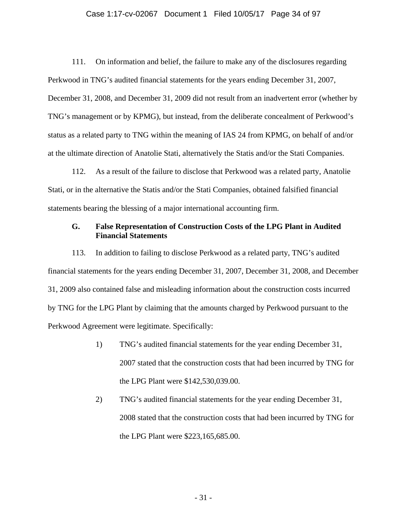## Case 1:17-cv-02067 Document 1 Filed 10/05/17 Page 34 of 97

111. On information and belief, the failure to make any of the disclosures regarding Perkwood in TNG's audited financial statements for the years ending December 31, 2007, December 31, 2008, and December 31, 2009 did not result from an inadvertent error (whether by TNG's management or by KPMG), but instead, from the deliberate concealment of Perkwood's status as a related party to TNG within the meaning of IAS 24 from KPMG, on behalf of and/or at the ultimate direction of Anatolie Stati, alternatively the Statis and/or the Stati Companies.

112. As a result of the failure to disclose that Perkwood was a related party, Anatolie Stati, or in the alternative the Statis and/or the Stati Companies, obtained falsified financial statements bearing the blessing of a major international accounting firm.

# **G. False Representation of Construction Costs of the LPG Plant in Audited Financial Statements**

113. In addition to failing to disclose Perkwood as a related party, TNG's audited financial statements for the years ending December 31, 2007, December 31, 2008, and December 31, 2009 also contained false and misleading information about the construction costs incurred by TNG for the LPG Plant by claiming that the amounts charged by Perkwood pursuant to the Perkwood Agreement were legitimate. Specifically:

- 1) TNG's audited financial statements for the year ending December 31, 2007 stated that the construction costs that had been incurred by TNG for the LPG Plant were \$142,530,039.00.
- 2) TNG's audited financial statements for the year ending December 31, 2008 stated that the construction costs that had been incurred by TNG for the LPG Plant were \$223,165,685.00.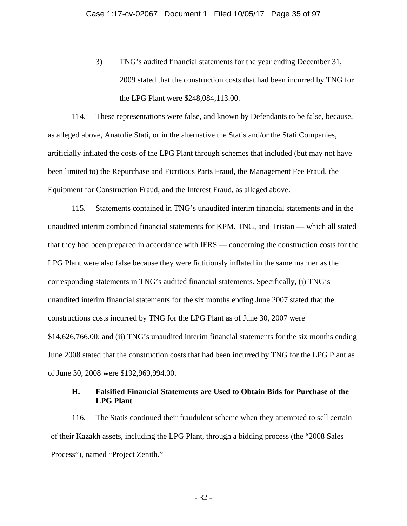3) TNG's audited financial statements for the year ending December 31, 2009 stated that the construction costs that had been incurred by TNG for the LPG Plant were \$248,084,113.00.

114. These representations were false, and known by Defendants to be false, because, as alleged above, Anatolie Stati, or in the alternative the Statis and/or the Stati Companies, artificially inflated the costs of the LPG Plant through schemes that included (but may not have been limited to) the Repurchase and Fictitious Parts Fraud, the Management Fee Fraud, the Equipment for Construction Fraud, and the Interest Fraud, as alleged above.

115. Statements contained in TNG's unaudited interim financial statements and in the unaudited interim combined financial statements for KPM, TNG, and Tristan — which all stated that they had been prepared in accordance with IFRS — concerning the construction costs for the LPG Plant were also false because they were fictitiously inflated in the same manner as the corresponding statements in TNG's audited financial statements. Specifically, (i) TNG's unaudited interim financial statements for the six months ending June 2007 stated that the constructions costs incurred by TNG for the LPG Plant as of June 30, 2007 were \$14,626,766.00; and (ii) TNG's unaudited interim financial statements for the six months ending June 2008 stated that the construction costs that had been incurred by TNG for the LPG Plant as of June 30, 2008 were \$192,969,994.00.

# **H. Falsified Financial Statements are Used to Obtain Bids for Purchase of the LPG Plant**

116. The Statis continued their fraudulent scheme when they attempted to sell certain of their Kazakh assets, including the LPG Plant, through a bidding process (the "2008 Sales Process"), named "Project Zenith."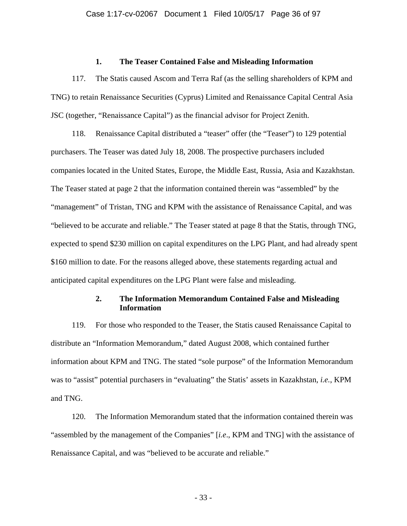## **1. The Teaser Contained False and Misleading Information**

117. The Statis caused Ascom and Terra Raf (as the selling shareholders of KPM and TNG) to retain Renaissance Securities (Cyprus) Limited and Renaissance Capital Central Asia JSC (together, "Renaissance Capital") as the financial advisor for Project Zenith.

118. Renaissance Capital distributed a "teaser" offer (the "Teaser") to 129 potential purchasers. The Teaser was dated July 18, 2008. The prospective purchasers included companies located in the United States, Europe, the Middle East, Russia, Asia and Kazakhstan. The Teaser stated at page 2 that the information contained therein was "assembled" by the "management" of Tristan, TNG and KPM with the assistance of Renaissance Capital, and was "believed to be accurate and reliable." The Teaser stated at page 8 that the Statis, through TNG, expected to spend \$230 million on capital expenditures on the LPG Plant, and had already spent \$160 million to date. For the reasons alleged above, these statements regarding actual and anticipated capital expenditures on the LPG Plant were false and misleading.

# **2. The Information Memorandum Contained False and Misleading Information**

119. For those who responded to the Teaser, the Statis caused Renaissance Capital to distribute an "Information Memorandum," dated August 2008, which contained further information about KPM and TNG. The stated "sole purpose" of the Information Memorandum was to "assist" potential purchasers in "evaluating" the Statis' assets in Kazakhstan, *i.e.*, KPM and TNG.

120. The Information Memorandum stated that the information contained therein was "assembled by the management of the Companies" [*i.e*., KPM and TNG] with the assistance of Renaissance Capital, and was "believed to be accurate and reliable."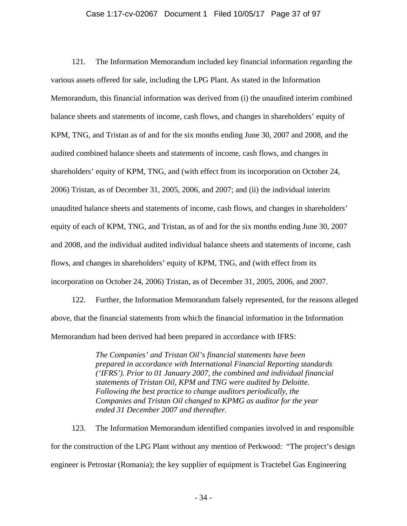#### Case 1:17-cv-02067 Document 1 Filed 10/05/17 Page 37 of 97

121. The Information Memorandum included key financial information regarding the various assets offered for sale, including the LPG Plant. As stated in the Information Memorandum, this financial information was derived from (i) the unaudited interim combined balance sheets and statements of income, cash flows, and changes in shareholders' equity of KPM, TNG, and Tristan as of and for the six months ending June 30, 2007 and 2008, and the audited combined balance sheets and statements of income, cash flows, and changes in shareholders' equity of KPM, TNG, and (with effect from its incorporation on October 24, 2006) Tristan, as of December 31, 2005, 2006, and 2007; and (ii) the individual interim unaudited balance sheets and statements of income, cash flows, and changes in shareholders' equity of each of KPM, TNG, and Tristan, as of and for the six months ending June 30, 2007 and 2008, and the individual audited individual balance sheets and statements of income, cash flows, and changes in shareholders' equity of KPM, TNG, and (with effect from its incorporation on October 24, 2006) Tristan, as of December 31, 2005, 2006, and 2007.

122. Further, the Information Memorandum falsely represented, for the reasons alleged above, that the financial statements from which the financial information in the Information Memorandum had been derived had been prepared in accordance with IFRS:

> *The Companies' and Tristan Oil's financial statements have been prepared in accordance with International Financial Reporting standards ('IFRS'). Prior to 01 January 2007, the combined and individual financial statements of Tristan Oil, KPM and TNG were audited by Deloitte. Following the best practice to change auditors periodically, the Companies and Tristan Oil changed to KPMG as auditor for the year ended 31 December 2007 and thereafter.*

123. The Information Memorandum identified companies involved in and responsible for the construction of the LPG Plant without any mention of Perkwood: "The project's design engineer is Petrostar (Romania); the key supplier of equipment is Tractebel Gas Engineering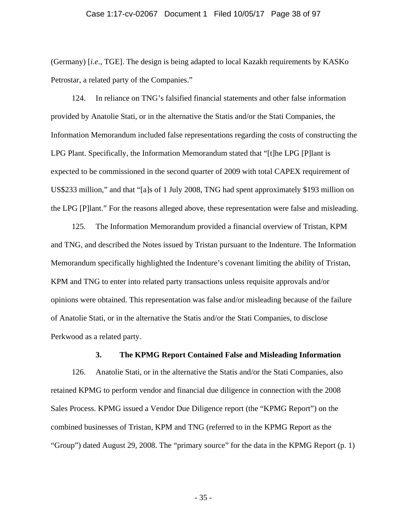#### Case 1:17-cv-02067 Document 1 Filed 10/05/17 Page 38 of 97

(Germany) [*i.e*., TGE]. The design is being adapted to local Kazakh requirements by KASKo Petrostar, a related party of the Companies."

124. In reliance on TNG's falsified financial statements and other false information provided by Anatolie Stati, or in the alternative the Statis and/or the Stati Companies, the Information Memorandum included false representations regarding the costs of constructing the LPG Plant. Specifically, the Information Memorandum stated that "[t]he LPG [P]lant is expected to be commissioned in the second quarter of 2009 with total CAPEX requirement of US\$233 million," and that "[a]s of 1 July 2008, TNG had spent approximately \$193 million on the LPG [P]lant." For the reasons alleged above, these representation were false and misleading.

125. The Information Memorandum provided a financial overview of Tristan, KPM and TNG, and described the Notes issued by Tristan pursuant to the Indenture. The Information Memorandum specifically highlighted the Indenture's covenant limiting the ability of Tristan, KPM and TNG to enter into related party transactions unless requisite approvals and/or opinions were obtained. This representation was false and/or misleading because of the failure of Anatolie Stati, or in the alternative the Statis and/or the Stati Companies, to disclose Perkwood as a related party.

### **3. The KPMG Report Contained False and Misleading Information**

126. Anatolie Stati, or in the alternative the Statis and/or the Stati Companies, also retained KPMG to perform vendor and financial due diligence in connection with the 2008 Sales Process. KPMG issued a Vendor Due Diligence report (the "KPMG Report") on the combined businesses of Tristan, KPM and TNG (referred to in the KPMG Report as the "Group") dated August 29, 2008. The "primary source" for the data in the KPMG Report (p. 1)

- 35 -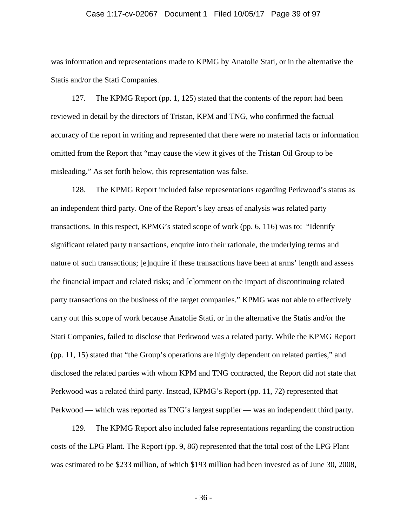#### Case 1:17-cv-02067 Document 1 Filed 10/05/17 Page 39 of 97

was information and representations made to KPMG by Anatolie Stati, or in the alternative the Statis and/or the Stati Companies.

127. The KPMG Report (pp. 1, 125) stated that the contents of the report had been reviewed in detail by the directors of Tristan, KPM and TNG, who confirmed the factual accuracy of the report in writing and represented that there were no material facts or information omitted from the Report that "may cause the view it gives of the Tristan Oil Group to be misleading." As set forth below, this representation was false.

128. The KPMG Report included false representations regarding Perkwood's status as an independent third party. One of the Report's key areas of analysis was related party transactions. In this respect, KPMG's stated scope of work (pp. 6, 116) was to: "Identify significant related party transactions, enquire into their rationale, the underlying terms and nature of such transactions; [e]nquire if these transactions have been at arms' length and assess the financial impact and related risks; and [c]omment on the impact of discontinuing related party transactions on the business of the target companies." KPMG was not able to effectively carry out this scope of work because Anatolie Stati, or in the alternative the Statis and/or the Stati Companies, failed to disclose that Perkwood was a related party. While the KPMG Report (pp. 11, 15) stated that "the Group's operations are highly dependent on related parties," and disclosed the related parties with whom KPM and TNG contracted, the Report did not state that Perkwood was a related third party. Instead, KPMG's Report (pp. 11, 72) represented that Perkwood — which was reported as TNG's largest supplier — was an independent third party.

129. The KPMG Report also included false representations regarding the construction costs of the LPG Plant. The Report (pp. 9, 86) represented that the total cost of the LPG Plant was estimated to be \$233 million, of which \$193 million had been invested as of June 30, 2008,

- 36 -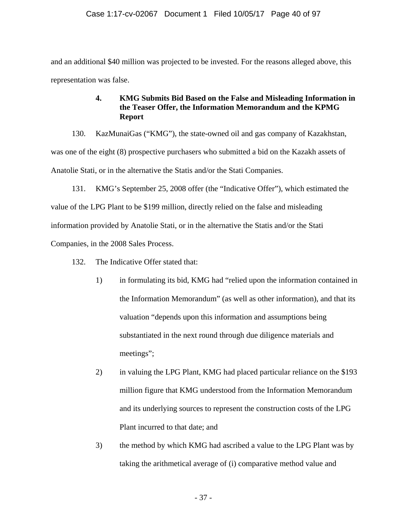and an additional \$40 million was projected to be invested. For the reasons alleged above, this representation was false.

# **4. KMG Submits Bid Based on the False and Misleading Information in the Teaser Offer, the Information Memorandum and the KPMG Report**

130. KazMunaiGas ("KMG"), the state-owned oil and gas company of Kazakhstan, was one of the eight (8) prospective purchasers who submitted a bid on the Kazakh assets of Anatolie Stati, or in the alternative the Statis and/or the Stati Companies.

131. KMG's September 25, 2008 offer (the "Indicative Offer"), which estimated the value of the LPG Plant to be \$199 million, directly relied on the false and misleading information provided by Anatolie Stati, or in the alternative the Statis and/or the Stati Companies, in the 2008 Sales Process.

- 132. The Indicative Offer stated that:
	- 1) in formulating its bid, KMG had "relied upon the information contained in the Information Memorandum" (as well as other information), and that its valuation "depends upon this information and assumptions being substantiated in the next round through due diligence materials and meetings";
	- 2) in valuing the LPG Plant, KMG had placed particular reliance on the \$193 million figure that KMG understood from the Information Memorandum and its underlying sources to represent the construction costs of the LPG Plant incurred to that date; and
	- 3) the method by which KMG had ascribed a value to the LPG Plant was by taking the arithmetical average of (i) comparative method value and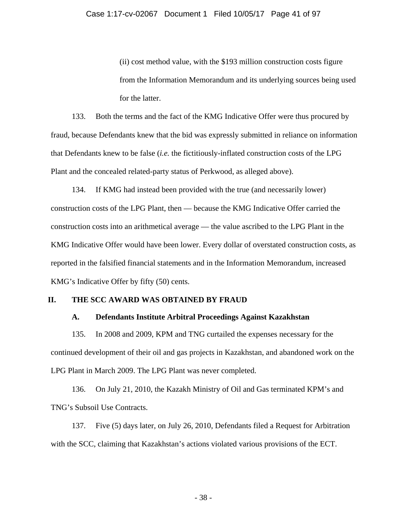(ii) cost method value, with the \$193 million construction costs figure from the Information Memorandum and its underlying sources being used for the latter.

133. Both the terms and the fact of the KMG Indicative Offer were thus procured by fraud, because Defendants knew that the bid was expressly submitted in reliance on information that Defendants knew to be false (*i.e.* the fictitiously-inflated construction costs of the LPG Plant and the concealed related-party status of Perkwood, as alleged above).

134. If KMG had instead been provided with the true (and necessarily lower) construction costs of the LPG Plant, then — because the KMG Indicative Offer carried the construction costs into an arithmetical average — the value ascribed to the LPG Plant in the KMG Indicative Offer would have been lower. Every dollar of overstated construction costs, as reported in the falsified financial statements and in the Information Memorandum, increased KMG's Indicative Offer by fifty (50) cents.

# **II. THE SCC AWARD WAS OBTAINED BY FRAUD**

### **A. Defendants Institute Arbitral Proceedings Against Kazakhstan**

135. In 2008 and 2009, KPM and TNG curtailed the expenses necessary for the continued development of their oil and gas projects in Kazakhstan, and abandoned work on the LPG Plant in March 2009. The LPG Plant was never completed.

136. On July 21, 2010, the Kazakh Ministry of Oil and Gas terminated KPM's and TNG's Subsoil Use Contracts.

137. Five (5) days later, on July 26, 2010, Defendants filed a Request for Arbitration with the SCC, claiming that Kazakhstan's actions violated various provisions of the ECT.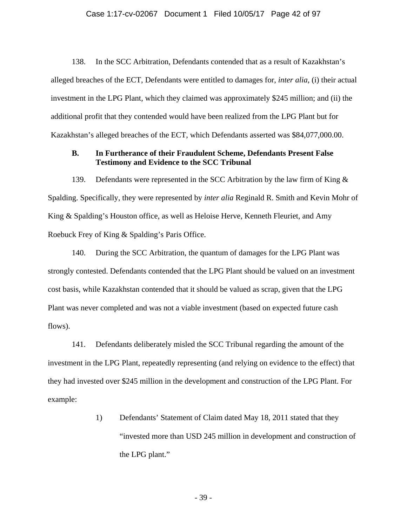#### Case 1:17-cv-02067 Document 1 Filed 10/05/17 Page 42 of 97

138. In the SCC Arbitration, Defendants contended that as a result of Kazakhstan's alleged breaches of the ECT, Defendants were entitled to damages for, *inter alia,* (i) their actual investment in the LPG Plant, which they claimed was approximately \$245 million; and (ii) the additional profit that they contended would have been realized from the LPG Plant but for Kazakhstan's alleged breaches of the ECT, which Defendants asserted was \$84,077,000.00.

# **B. In Furtherance of their Fraudulent Scheme, Defendants Present False Testimony and Evidence to the SCC Tribunal**

139. Defendants were represented in the SCC Arbitration by the law firm of King & Spalding. Specifically, they were represented by *inter alia* Reginald R. Smith and Kevin Mohr of King & Spalding's Houston office, as well as Heloise Herve, Kenneth Fleuriet, and Amy Roebuck Frey of King & Spalding's Paris Office.

140. During the SCC Arbitration, the quantum of damages for the LPG Plant was strongly contested. Defendants contended that the LPG Plant should be valued on an investment cost basis, while Kazakhstan contended that it should be valued as scrap, given that the LPG Plant was never completed and was not a viable investment (based on expected future cash flows).

141. Defendants deliberately misled the SCC Tribunal regarding the amount of the investment in the LPG Plant, repeatedly representing (and relying on evidence to the effect) that they had invested over \$245 million in the development and construction of the LPG Plant. For example:

> 1) Defendants' Statement of Claim dated May 18, 2011 stated that they "invested more than USD 245 million in development and construction of the LPG plant."

> > - 39 -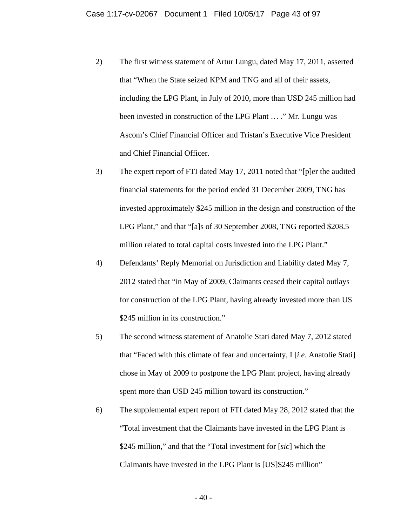- 2) The first witness statement of Artur Lungu, dated May 17, 2011, asserted that "When the State seized KPM and TNG and all of their assets, including the LPG Plant, in July of 2010, more than USD 245 million had been invested in construction of the LPG Plant … ." Mr. Lungu was Ascom's Chief Financial Officer and Tristan's Executive Vice President and Chief Financial Officer.
- 3) The expert report of FTI dated May 17, 2011 noted that "[p]er the audited financial statements for the period ended 31 December 2009, TNG has invested approximately \$245 million in the design and construction of the LPG Plant," and that "[a]s of 30 September 2008, TNG reported \$208.5 million related to total capital costs invested into the LPG Plant."
- 4) Defendants' Reply Memorial on Jurisdiction and Liability dated May 7, 2012 stated that "in May of 2009, Claimants ceased their capital outlays for construction of the LPG Plant, having already invested more than US \$245 million in its construction."
- 5) The second witness statement of Anatolie Stati dated May 7, 2012 stated that "Faced with this climate of fear and uncertainty, I [*i.e*. Anatolie Stati] chose in May of 2009 to postpone the LPG Plant project, having already spent more than USD 245 million toward its construction."
- 6) The supplemental expert report of FTI dated May 28, 2012 stated that the "Total investment that the Claimants have invested in the LPG Plant is \$245 million," and that the "Total investment for [*sic*] which the Claimants have invested in the LPG Plant is [US]\$245 million"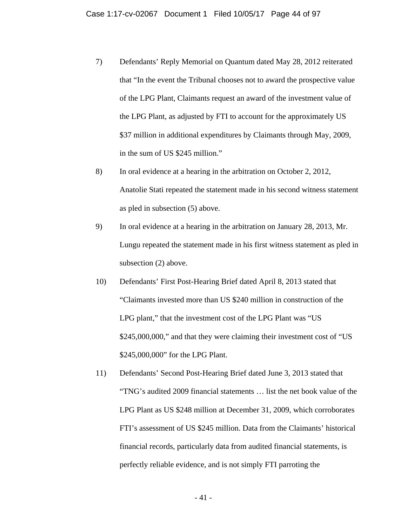- 7) Defendants' Reply Memorial on Quantum dated May 28, 2012 reiterated that "In the event the Tribunal chooses not to award the prospective value of the LPG Plant, Claimants request an award of the investment value of the LPG Plant, as adjusted by FTI to account for the approximately US \$37 million in additional expenditures by Claimants through May, 2009, in the sum of US \$245 million."
- 8) In oral evidence at a hearing in the arbitration on October 2, 2012, Anatolie Stati repeated the statement made in his second witness statement as pled in subsection (5) above.
- 9) In oral evidence at a hearing in the arbitration on January 28, 2013, Mr. Lungu repeated the statement made in his first witness statement as pled in subsection (2) above.
- 10) Defendants' First Post-Hearing Brief dated April 8, 2013 stated that "Claimants invested more than US \$240 million in construction of the LPG plant," that the investment cost of the LPG Plant was "US \$245,000,000," and that they were claiming their investment cost of "US \$245,000,000" for the LPG Plant.
- 11) Defendants' Second Post-Hearing Brief dated June 3, 2013 stated that "TNG's audited 2009 financial statements … list the net book value of the LPG Plant as US \$248 million at December 31, 2009, which corroborates FTI's assessment of US \$245 million. Data from the Claimants' historical financial records, particularly data from audited financial statements, is perfectly reliable evidence, and is not simply FTI parroting the

- 41 -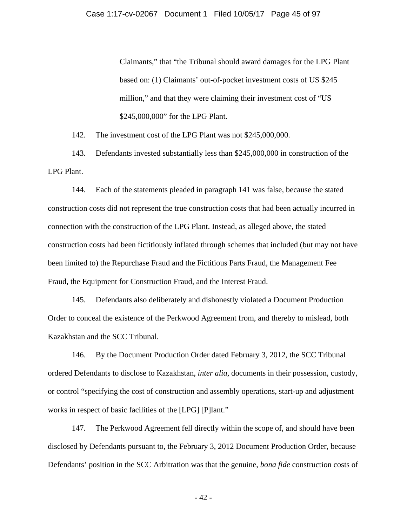Claimants," that "the Tribunal should award damages for the LPG Plant based on: (1) Claimants' out-of-pocket investment costs of US \$245 million," and that they were claiming their investment cost of "US \$245,000,000" for the LPG Plant.

142. The investment cost of the LPG Plant was not \$245,000,000.

143. Defendants invested substantially less than \$245,000,000 in construction of the LPG Plant.

144. Each of the statements pleaded in paragraph 141 was false, because the stated construction costs did not represent the true construction costs that had been actually incurred in connection with the construction of the LPG Plant. Instead, as alleged above, the stated construction costs had been fictitiously inflated through schemes that included (but may not have been limited to) the Repurchase Fraud and the Fictitious Parts Fraud, the Management Fee Fraud, the Equipment for Construction Fraud, and the Interest Fraud.

145. Defendants also deliberately and dishonestly violated a Document Production Order to conceal the existence of the Perkwood Agreement from, and thereby to mislead, both Kazakhstan and the SCC Tribunal.

146. By the Document Production Order dated February 3, 2012, the SCC Tribunal ordered Defendants to disclose to Kazakhstan, *inter alia*, documents in their possession, custody, or control "specifying the cost of construction and assembly operations, start-up and adjustment works in respect of basic facilities of the [LPG] [P]lant."

147. The Perkwood Agreement fell directly within the scope of, and should have been disclosed by Defendants pursuant to, the February 3, 2012 Document Production Order, because Defendants' position in the SCC Arbitration was that the genuine, *bona fide* construction costs of

- 42 -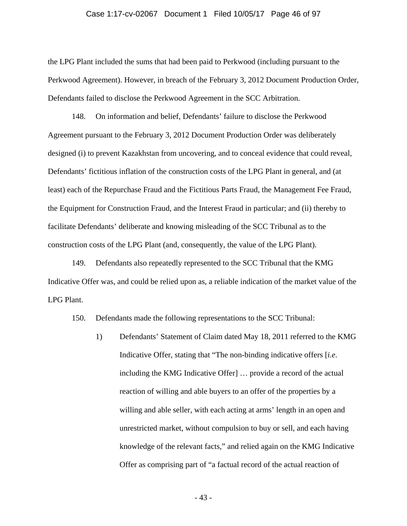#### Case 1:17-cv-02067 Document 1 Filed 10/05/17 Page 46 of 97

the LPG Plant included the sums that had been paid to Perkwood (including pursuant to the Perkwood Agreement). However, in breach of the February 3, 2012 Document Production Order, Defendants failed to disclose the Perkwood Agreement in the SCC Arbitration.

148. On information and belief, Defendants' failure to disclose the Perkwood Agreement pursuant to the February 3, 2012 Document Production Order was deliberately designed (i) to prevent Kazakhstan from uncovering, and to conceal evidence that could reveal, Defendants' fictitious inflation of the construction costs of the LPG Plant in general, and (at least) each of the Repurchase Fraud and the Fictitious Parts Fraud, the Management Fee Fraud, the Equipment for Construction Fraud, and the Interest Fraud in particular; and (ii) thereby to facilitate Defendants' deliberate and knowing misleading of the SCC Tribunal as to the construction costs of the LPG Plant (and, consequently, the value of the LPG Plant).

149. Defendants also repeatedly represented to the SCC Tribunal that the KMG Indicative Offer was, and could be relied upon as, a reliable indication of the market value of the LPG Plant.

150. Defendants made the following representations to the SCC Tribunal:

1) Defendants' Statement of Claim dated May 18, 2011 referred to the KMG Indicative Offer, stating that "The non-binding indicative offers [*i.e*. including the KMG Indicative Offer] … provide a record of the actual reaction of willing and able buyers to an offer of the properties by a willing and able seller, with each acting at arms' length in an open and unrestricted market, without compulsion to buy or sell, and each having knowledge of the relevant facts," and relied again on the KMG Indicative Offer as comprising part of "a factual record of the actual reaction of

- 43 -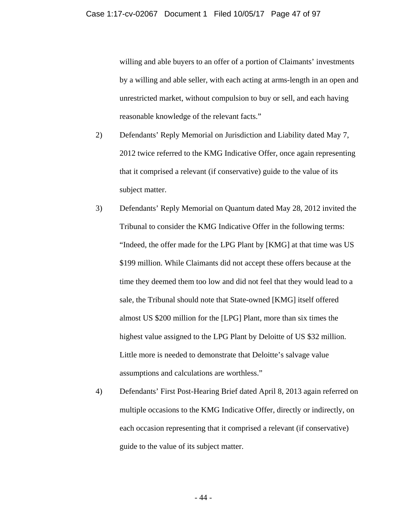willing and able buyers to an offer of a portion of Claimants' investments by a willing and able seller, with each acting at arms-length in an open and unrestricted market, without compulsion to buy or sell, and each having reasonable knowledge of the relevant facts."

- 2) Defendants' Reply Memorial on Jurisdiction and Liability dated May 7, 2012 twice referred to the KMG Indicative Offer, once again representing that it comprised a relevant (if conservative) guide to the value of its subject matter.
- 3) Defendants' Reply Memorial on Quantum dated May 28, 2012 invited the Tribunal to consider the KMG Indicative Offer in the following terms: "Indeed, the offer made for the LPG Plant by [KMG] at that time was US \$199 million. While Claimants did not accept these offers because at the time they deemed them too low and did not feel that they would lead to a sale, the Tribunal should note that State-owned [KMG] itself offered almost US \$200 million for the [LPG] Plant, more than six times the highest value assigned to the LPG Plant by Deloitte of US \$32 million. Little more is needed to demonstrate that Deloitte's salvage value assumptions and calculations are worthless."
- 4) Defendants' First Post-Hearing Brief dated April 8, 2013 again referred on multiple occasions to the KMG Indicative Offer, directly or indirectly, on each occasion representing that it comprised a relevant (if conservative) guide to the value of its subject matter.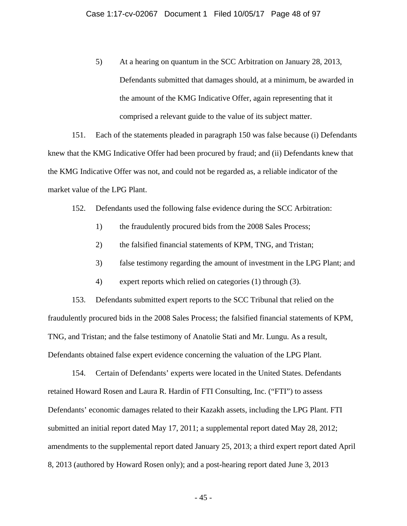5) At a hearing on quantum in the SCC Arbitration on January 28, 2013, Defendants submitted that damages should, at a minimum, be awarded in the amount of the KMG Indicative Offer, again representing that it comprised a relevant guide to the value of its subject matter.

151. Each of the statements pleaded in paragraph 150 was false because (i) Defendants knew that the KMG Indicative Offer had been procured by fraud; and (ii) Defendants knew that the KMG Indicative Offer was not, and could not be regarded as, a reliable indicator of the market value of the LPG Plant.

- 152. Defendants used the following false evidence during the SCC Arbitration:
	- 1) the fraudulently procured bids from the 2008 Sales Process;
	- 2) the falsified financial statements of KPM, TNG, and Tristan;
	- 3) false testimony regarding the amount of investment in the LPG Plant; and
	- 4) expert reports which relied on categories (1) through (3).

153. Defendants submitted expert reports to the SCC Tribunal that relied on the fraudulently procured bids in the 2008 Sales Process; the falsified financial statements of KPM, TNG, and Tristan; and the false testimony of Anatolie Stati and Mr. Lungu. As a result, Defendants obtained false expert evidence concerning the valuation of the LPG Plant.

154. Certain of Defendants' experts were located in the United States. Defendants retained Howard Rosen and Laura R. Hardin of FTI Consulting, Inc. ("FTI") to assess Defendants' economic damages related to their Kazakh assets, including the LPG Plant. FTI submitted an initial report dated May 17, 2011; a supplemental report dated May 28, 2012; amendments to the supplemental report dated January 25, 2013; a third expert report dated April 8, 2013 (authored by Howard Rosen only); and a post-hearing report dated June 3, 2013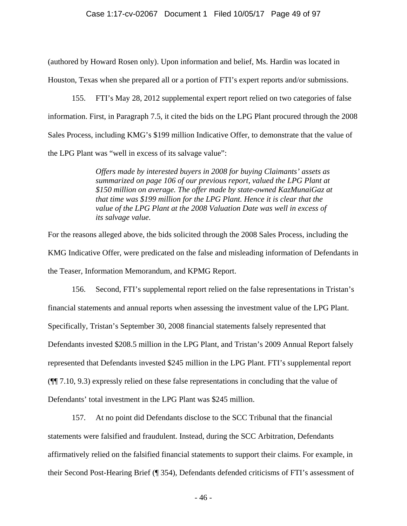(authored by Howard Rosen only). Upon information and belief, Ms. Hardin was located in Houston, Texas when she prepared all or a portion of FTI's expert reports and/or submissions.

155. FTI's May 28, 2012 supplemental expert report relied on two categories of false information. First, in Paragraph 7.5, it cited the bids on the LPG Plant procured through the 2008 Sales Process, including KMG's \$199 million Indicative Offer, to demonstrate that the value of the LPG Plant was "well in excess of its salvage value":

> *Offers made by interested buyers in 2008 for buying Claimants' assets as summarized on page 106 of our previous report, valued the LPG Plant at \$150 million on average. The offer made by state-owned KazMunaiGaz at that time was \$199 million for the LPG Plant. Hence it is clear that the value of the LPG Plant at the 2008 Valuation Date was well in excess of its salvage value.*

For the reasons alleged above, the bids solicited through the 2008 Sales Process, including the KMG Indicative Offer, were predicated on the false and misleading information of Defendants in the Teaser, Information Memorandum, and KPMG Report.

156. Second, FTI's supplemental report relied on the false representations in Tristan's financial statements and annual reports when assessing the investment value of the LPG Plant. Specifically, Tristan's September 30, 2008 financial statements falsely represented that Defendants invested \$208.5 million in the LPG Plant, and Tristan's 2009 Annual Report falsely represented that Defendants invested \$245 million in the LPG Plant. FTI's supplemental report (¶¶ 7.10, 9.3) expressly relied on these false representations in concluding that the value of Defendants' total investment in the LPG Plant was \$245 million.

157. At no point did Defendants disclose to the SCC Tribunal that the financial statements were falsified and fraudulent. Instead, during the SCC Arbitration, Defendants affirmatively relied on the falsified financial statements to support their claims. For example, in their Second Post-Hearing Brief (¶ 354), Defendants defended criticisms of FTI's assessment of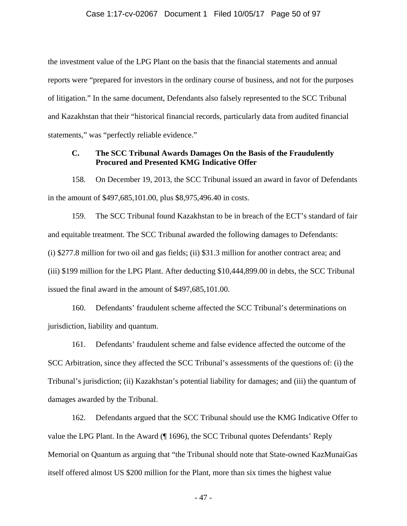the investment value of the LPG Plant on the basis that the financial statements and annual reports were "prepared for investors in the ordinary course of business, and not for the purposes of litigation." In the same document, Defendants also falsely represented to the SCC Tribunal and Kazakhstan that their "historical financial records, particularly data from audited financial statements," was "perfectly reliable evidence."

# **C. The SCC Tribunal Awards Damages On the Basis of the Fraudulently Procured and Presented KMG Indicative Offer**

158. On December 19, 2013, the SCC Tribunal issued an award in favor of Defendants in the amount of \$497,685,101.00, plus \$8,975,496.40 in costs.

159. The SCC Tribunal found Kazakhstan to be in breach of the ECT's standard of fair and equitable treatment. The SCC Tribunal awarded the following damages to Defendants: (i) \$277.8 million for two oil and gas fields; (ii) \$31.3 million for another contract area; and (iii) \$199 million for the LPG Plant. After deducting \$10,444,899.00 in debts, the SCC Tribunal issued the final award in the amount of \$497,685,101.00.

160. Defendants' fraudulent scheme affected the SCC Tribunal's determinations on jurisdiction, liability and quantum.

161. Defendants' fraudulent scheme and false evidence affected the outcome of the SCC Arbitration, since they affected the SCC Tribunal's assessments of the questions of: (i) the Tribunal's jurisdiction; (ii) Kazakhstan's potential liability for damages; and (iii) the quantum of damages awarded by the Tribunal.

162. Defendants argued that the SCC Tribunal should use the KMG Indicative Offer to value the LPG Plant. In the Award (¶ 1696), the SCC Tribunal quotes Defendants' Reply Memorial on Quantum as arguing that "the Tribunal should note that State-owned KazMunaiGas itself offered almost US \$200 million for the Plant, more than six times the highest value

- 47 -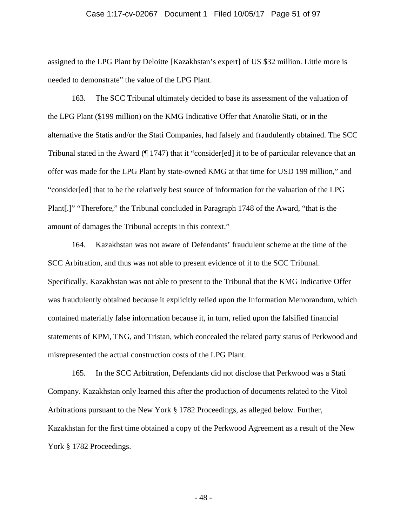#### Case 1:17-cv-02067 Document 1 Filed 10/05/17 Page 51 of 97

assigned to the LPG Plant by Deloitte [Kazakhstan's expert] of US \$32 million. Little more is needed to demonstrate" the value of the LPG Plant.

163. The SCC Tribunal ultimately decided to base its assessment of the valuation of the LPG Plant (\$199 million) on the KMG Indicative Offer that Anatolie Stati, or in the alternative the Statis and/or the Stati Companies, had falsely and fraudulently obtained. The SCC Tribunal stated in the Award (¶ 1747) that it "consider[ed] it to be of particular relevance that an offer was made for the LPG Plant by state-owned KMG at that time for USD 199 million," and "consider[ed] that to be the relatively best source of information for the valuation of the LPG Plant[.]" "Therefore," the Tribunal concluded in Paragraph 1748 of the Award, "that is the amount of damages the Tribunal accepts in this context."

164. Kazakhstan was not aware of Defendants' fraudulent scheme at the time of the SCC Arbitration, and thus was not able to present evidence of it to the SCC Tribunal. Specifically, Kazakhstan was not able to present to the Tribunal that the KMG Indicative Offer was fraudulently obtained because it explicitly relied upon the Information Memorandum, which contained materially false information because it, in turn, relied upon the falsified financial statements of KPM, TNG, and Tristan, which concealed the related party status of Perkwood and misrepresented the actual construction costs of the LPG Plant.

165. In the SCC Arbitration, Defendants did not disclose that Perkwood was a Stati Company. Kazakhstan only learned this after the production of documents related to the Vitol Arbitrations pursuant to the New York § 1782 Proceedings, as alleged below. Further, Kazakhstan for the first time obtained a copy of the Perkwood Agreement as a result of the New York § 1782 Proceedings.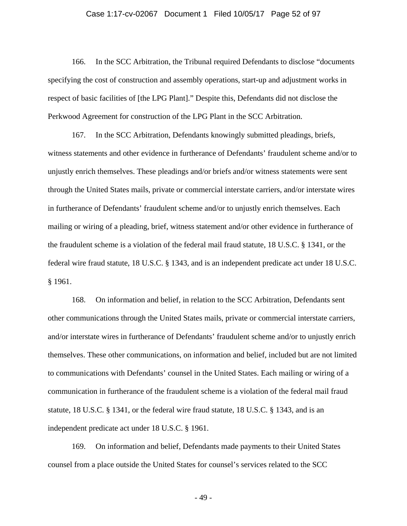#### Case 1:17-cv-02067 Document 1 Filed 10/05/17 Page 52 of 97

166. In the SCC Arbitration, the Tribunal required Defendants to disclose "documents specifying the cost of construction and assembly operations, start-up and adjustment works in respect of basic facilities of [the LPG Plant]." Despite this, Defendants did not disclose the Perkwood Agreement for construction of the LPG Plant in the SCC Arbitration.

167. In the SCC Arbitration, Defendants knowingly submitted pleadings, briefs, witness statements and other evidence in furtherance of Defendants' fraudulent scheme and/or to unjustly enrich themselves. These pleadings and/or briefs and/or witness statements were sent through the United States mails, private or commercial interstate carriers, and/or interstate wires in furtherance of Defendants' fraudulent scheme and/or to unjustly enrich themselves. Each mailing or wiring of a pleading, brief, witness statement and/or other evidence in furtherance of the fraudulent scheme is a violation of the federal mail fraud statute, 18 U.S.C. § 1341, or the federal wire fraud statute, 18 U.S.C. § 1343, and is an independent predicate act under 18 U.S.C. § 1961.

168. On information and belief, in relation to the SCC Arbitration, Defendants sent other communications through the United States mails, private or commercial interstate carriers, and/or interstate wires in furtherance of Defendants' fraudulent scheme and/or to unjustly enrich themselves. These other communications, on information and belief, included but are not limited to communications with Defendants' counsel in the United States. Each mailing or wiring of a communication in furtherance of the fraudulent scheme is a violation of the federal mail fraud statute, 18 U.S.C. § 1341, or the federal wire fraud statute, 18 U.S.C. § 1343, and is an independent predicate act under 18 U.S.C. § 1961.

169. On information and belief, Defendants made payments to their United States counsel from a place outside the United States for counsel's services related to the SCC

- 49 -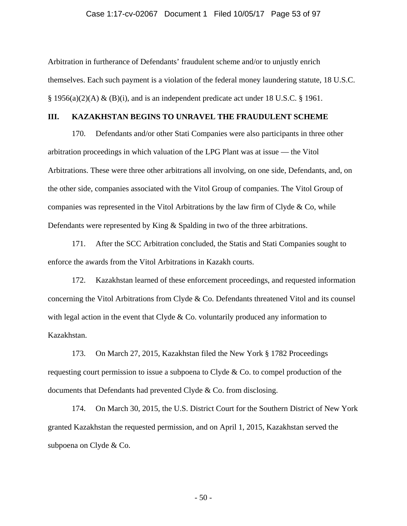#### Case 1:17-cv-02067 Document 1 Filed 10/05/17 Page 53 of 97

Arbitration in furtherance of Defendants' fraudulent scheme and/or to unjustly enrich themselves. Each such payment is a violation of the federal money laundering statute, 18 U.S.C.  $\S$  1956(a)(2)(A) & (B)(i), and is an independent predicate act under 18 U.S.C.  $\S$  1961.

#### **III. KAZAKHSTAN BEGINS TO UNRAVEL THE FRAUDULENT SCHEME**

170. Defendants and/or other Stati Companies were also participants in three other arbitration proceedings in which valuation of the LPG Plant was at issue — the Vitol Arbitrations. These were three other arbitrations all involving, on one side, Defendants, and, on the other side, companies associated with the Vitol Group of companies. The Vitol Group of companies was represented in the Vitol Arbitrations by the law firm of Clyde  $\&$  Co, while Defendants were represented by King & Spalding in two of the three arbitrations.

171. After the SCC Arbitration concluded, the Statis and Stati Companies sought to enforce the awards from the Vitol Arbitrations in Kazakh courts.

172. Kazakhstan learned of these enforcement proceedings, and requested information concerning the Vitol Arbitrations from Clyde & Co. Defendants threatened Vitol and its counsel with legal action in the event that Clyde & Co. voluntarily produced any information to Kazakhstan.

173. On March 27, 2015, Kazakhstan filed the New York § 1782 Proceedings requesting court permission to issue a subpoena to Clyde & Co. to compel production of the documents that Defendants had prevented Clyde & Co. from disclosing.

174. On March 30, 2015, the U.S. District Court for the Southern District of New York granted Kazakhstan the requested permission, and on April 1, 2015, Kazakhstan served the subpoena on Clyde & Co.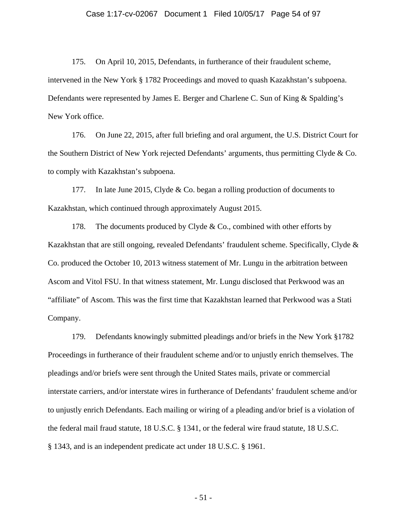175. On April 10, 2015, Defendants, in furtherance of their fraudulent scheme, intervened in the New York § 1782 Proceedings and moved to quash Kazakhstan's subpoena. Defendants were represented by James E. Berger and Charlene C. Sun of King & Spalding's New York office.

176. On June 22, 2015, after full briefing and oral argument, the U.S. District Court for the Southern District of New York rejected Defendants' arguments, thus permitting Clyde & Co. to comply with Kazakhstan's subpoena.

177. In late June 2015, Clyde & Co. began a rolling production of documents to Kazakhstan, which continued through approximately August 2015.

178. The documents produced by Clyde  $& Co.,$  combined with other efforts by Kazakhstan that are still ongoing, revealed Defendants' fraudulent scheme. Specifically, Clyde & Co. produced the October 10, 2013 witness statement of Mr. Lungu in the arbitration between Ascom and Vitol FSU. In that witness statement, Mr. Lungu disclosed that Perkwood was an "affiliate" of Ascom. This was the first time that Kazakhstan learned that Perkwood was a Stati Company.

179. Defendants knowingly submitted pleadings and/or briefs in the New York §1782 Proceedings in furtherance of their fraudulent scheme and/or to unjustly enrich themselves. The pleadings and/or briefs were sent through the United States mails, private or commercial interstate carriers, and/or interstate wires in furtherance of Defendants' fraudulent scheme and/or to unjustly enrich Defendants. Each mailing or wiring of a pleading and/or brief is a violation of the federal mail fraud statute, 18 U.S.C. § 1341, or the federal wire fraud statute, 18 U.S.C. § 1343, and is an independent predicate act under 18 U.S.C. § 1961.

- 51 -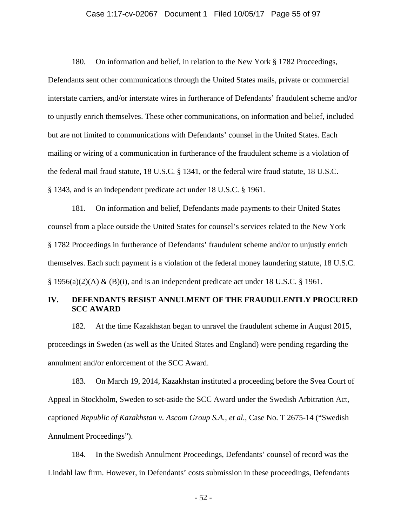#### Case 1:17-cv-02067 Document 1 Filed 10/05/17 Page 55 of 97

180. On information and belief, in relation to the New York § 1782 Proceedings, Defendants sent other communications through the United States mails, private or commercial interstate carriers, and/or interstate wires in furtherance of Defendants' fraudulent scheme and/or to unjustly enrich themselves. These other communications, on information and belief, included but are not limited to communications with Defendants' counsel in the United States. Each mailing or wiring of a communication in furtherance of the fraudulent scheme is a violation of the federal mail fraud statute, 18 U.S.C. § 1341, or the federal wire fraud statute, 18 U.S.C. § 1343, and is an independent predicate act under 18 U.S.C. § 1961.

181. On information and belief, Defendants made payments to their United States counsel from a place outside the United States for counsel's services related to the New York § 1782 Proceedings in furtherance of Defendants' fraudulent scheme and/or to unjustly enrich themselves. Each such payment is a violation of the federal money laundering statute, 18 U.S.C.  $\S$  1956(a)(2)(A) & (B)(i), and is an independent predicate act under 18 U.S.C.  $\S$  1961.

# **IV. DEFENDANTS RESIST ANNULMENT OF THE FRAUDULENTLY PROCURED SCC AWARD**

182. At the time Kazakhstan began to unravel the fraudulent scheme in August 2015, proceedings in Sweden (as well as the United States and England) were pending regarding the annulment and/or enforcement of the SCC Award.

183. On March 19, 2014, Kazakhstan instituted a proceeding before the Svea Court of Appeal in Stockholm, Sweden to set-aside the SCC Award under the Swedish Arbitration Act, captioned *Republic of Kazakhstan v. Ascom Group S.A., et al.*, Case No. T 2675-14 ("Swedish Annulment Proceedings").

184. In the Swedish Annulment Proceedings, Defendants' counsel of record was the Lindahl law firm. However, in Defendants' costs submission in these proceedings, Defendants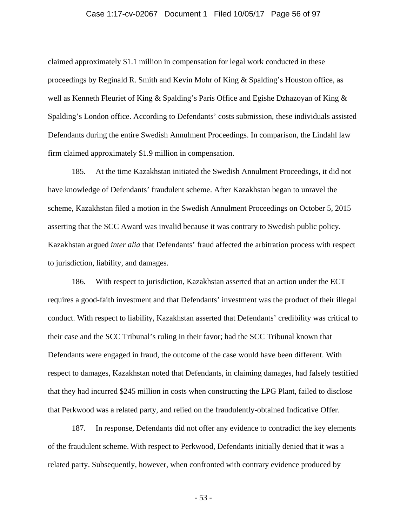#### Case 1:17-cv-02067 Document 1 Filed 10/05/17 Page 56 of 97

claimed approximately \$1.1 million in compensation for legal work conducted in these proceedings by Reginald R. Smith and Kevin Mohr of King & Spalding's Houston office, as well as Kenneth Fleuriet of King & Spalding's Paris Office and Egishe Dzhazoyan of King & Spalding's London office. According to Defendants' costs submission, these individuals assisted Defendants during the entire Swedish Annulment Proceedings. In comparison, the Lindahl law firm claimed approximately \$1.9 million in compensation.

185. At the time Kazakhstan initiated the Swedish Annulment Proceedings, it did not have knowledge of Defendants' fraudulent scheme. After Kazakhstan began to unravel the scheme, Kazakhstan filed a motion in the Swedish Annulment Proceedings on October 5, 2015 asserting that the SCC Award was invalid because it was contrary to Swedish public policy. Kazakhstan argued *inter alia* that Defendants' fraud affected the arbitration process with respect to jurisdiction, liability, and damages.

186. With respect to jurisdiction, Kazakhstan asserted that an action under the ECT requires a good-faith investment and that Defendants' investment was the product of their illegal conduct. With respect to liability, Kazakhstan asserted that Defendants' credibility was critical to their case and the SCC Tribunal's ruling in their favor; had the SCC Tribunal known that Defendants were engaged in fraud, the outcome of the case would have been different. With respect to damages, Kazakhstan noted that Defendants, in claiming damages, had falsely testified that they had incurred \$245 million in costs when constructing the LPG Plant, failed to disclose that Perkwood was a related party, and relied on the fraudulently-obtained Indicative Offer.

187. In response, Defendants did not offer any evidence to contradict the key elements of the fraudulent scheme. With respect to Perkwood, Defendants initially denied that it was a related party. Subsequently, however, when confronted with contrary evidence produced by

- 53 -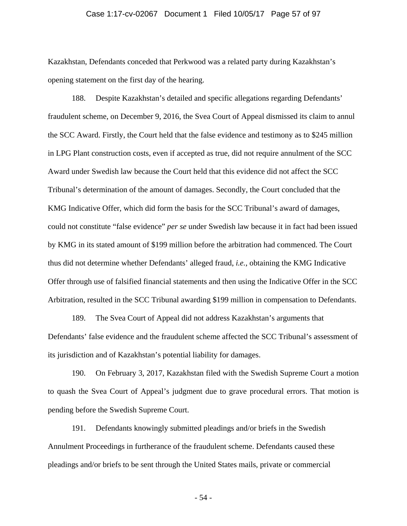#### Case 1:17-cv-02067 Document 1 Filed 10/05/17 Page 57 of 97

Kazakhstan, Defendants conceded that Perkwood was a related party during Kazakhstan's opening statement on the first day of the hearing.

188. Despite Kazakhstan's detailed and specific allegations regarding Defendants' fraudulent scheme, on December 9, 2016, the Svea Court of Appeal dismissed its claim to annul the SCC Award. Firstly, the Court held that the false evidence and testimony as to \$245 million in LPG Plant construction costs, even if accepted as true, did not require annulment of the SCC Award under Swedish law because the Court held that this evidence did not affect the SCC Tribunal's determination of the amount of damages. Secondly, the Court concluded that the KMG Indicative Offer, which did form the basis for the SCC Tribunal's award of damages, could not constitute "false evidence" *per se* under Swedish law because it in fact had been issued by KMG in its stated amount of \$199 million before the arbitration had commenced. The Court thus did not determine whether Defendants' alleged fraud, *i.e.*, obtaining the KMG Indicative Offer through use of falsified financial statements and then using the Indicative Offer in the SCC Arbitration, resulted in the SCC Tribunal awarding \$199 million in compensation to Defendants.

189. The Svea Court of Appeal did not address Kazakhstan's arguments that Defendants' false evidence and the fraudulent scheme affected the SCC Tribunal's assessment of its jurisdiction and of Kazakhstan's potential liability for damages.

190. On February 3, 2017, Kazakhstan filed with the Swedish Supreme Court a motion to quash the Svea Court of Appeal's judgment due to grave procedural errors. That motion is pending before the Swedish Supreme Court.

191. Defendants knowingly submitted pleadings and/or briefs in the Swedish Annulment Proceedings in furtherance of the fraudulent scheme. Defendants caused these pleadings and/or briefs to be sent through the United States mails, private or commercial

- 54 -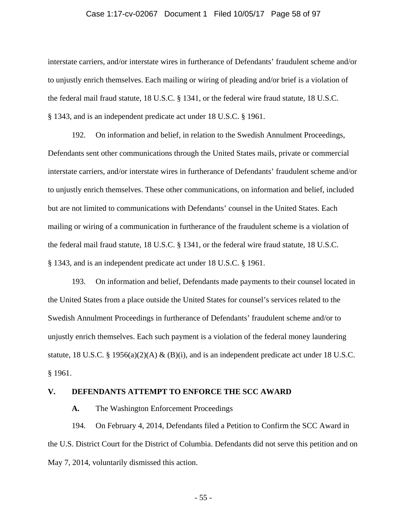#### Case 1:17-cv-02067 Document 1 Filed 10/05/17 Page 58 of 97

interstate carriers, and/or interstate wires in furtherance of Defendants' fraudulent scheme and/or to unjustly enrich themselves. Each mailing or wiring of pleading and/or brief is a violation of the federal mail fraud statute, 18 U.S.C. § 1341, or the federal wire fraud statute, 18 U.S.C. § 1343, and is an independent predicate act under 18 U.S.C. § 1961.

192. On information and belief, in relation to the Swedish Annulment Proceedings, Defendants sent other communications through the United States mails, private or commercial interstate carriers, and/or interstate wires in furtherance of Defendants' fraudulent scheme and/or to unjustly enrich themselves. These other communications, on information and belief, included but are not limited to communications with Defendants' counsel in the United States. Each mailing or wiring of a communication in furtherance of the fraudulent scheme is a violation of the federal mail fraud statute, 18 U.S.C. § 1341, or the federal wire fraud statute, 18 U.S.C. § 1343, and is an independent predicate act under 18 U.S.C. § 1961.

193. On information and belief, Defendants made payments to their counsel located in the United States from a place outside the United States for counsel's services related to the Swedish Annulment Proceedings in furtherance of Defendants' fraudulent scheme and/or to unjustly enrich themselves. Each such payment is a violation of the federal money laundering statute, 18 U.S.C. § 1956(a)(2)(A) & (B)(i), and is an independent predicate act under 18 U.S.C. § 1961.

### **V. DEFENDANTS ATTEMPT TO ENFORCE THE SCC AWARD**

**A.** The Washington Enforcement Proceedings

194. On February 4, 2014, Defendants filed a Petition to Confirm the SCC Award in the U.S. District Court for the District of Columbia. Defendants did not serve this petition and on May 7, 2014, voluntarily dismissed this action.

- 55 -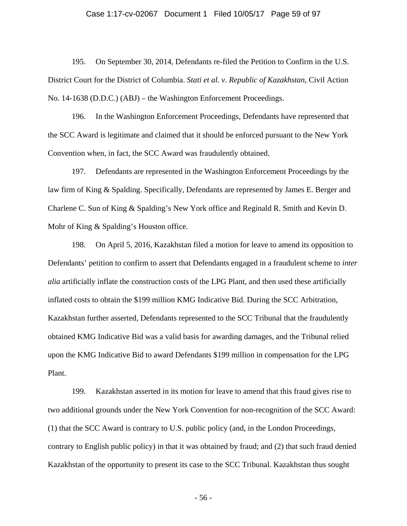#### Case 1:17-cv-02067 Document 1 Filed 10/05/17 Page 59 of 97

195. On September 30, 2014, Defendants re-filed the Petition to Confirm in the U.S. District Court for the District of Columbia. *Stati et al. v. Republic of Kazakhstan*, Civil Action No. 14-1638 (D.D.C.) (ABJ) – the Washington Enforcement Proceedings.

196. In the Washington Enforcement Proceedings, Defendants have represented that the SCC Award is legitimate and claimed that it should be enforced pursuant to the New York Convention when, in fact, the SCC Award was fraudulently obtained.

197. Defendants are represented in the Washington Enforcement Proceedings by the law firm of King & Spalding. Specifically, Defendants are represented by James E. Berger and Charlene C. Sun of King & Spalding's New York office and Reginald R. Smith and Kevin D. Mohr of King & Spalding's Houston office.

198. On April 5, 2016, Kazakhstan filed a motion for leave to amend its opposition to Defendants' petition to confirm to assert that Defendants engaged in a fraudulent scheme to *inter alia* artificially inflate the construction costs of the LPG Plant, and then used these artificially inflated costs to obtain the \$199 million KMG Indicative Bid. During the SCC Arbitration, Kazakhstan further asserted, Defendants represented to the SCC Tribunal that the fraudulently obtained KMG Indicative Bid was a valid basis for awarding damages, and the Tribunal relied upon the KMG Indicative Bid to award Defendants \$199 million in compensation for the LPG Plant.

199. Kazakhstan asserted in its motion for leave to amend that this fraud gives rise to two additional grounds under the New York Convention for non-recognition of the SCC Award: (1) that the SCC Award is contrary to U.S. public policy (and, in the London Proceedings, contrary to English public policy) in that it was obtained by fraud; and (2) that such fraud denied Kazakhstan of the opportunity to present its case to the SCC Tribunal. Kazakhstan thus sought

- 56 -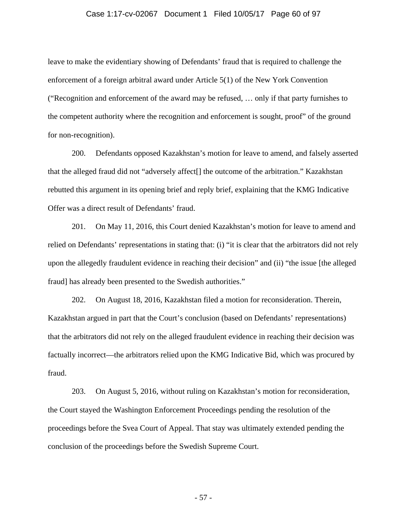#### Case 1:17-cv-02067 Document 1 Filed 10/05/17 Page 60 of 97

leave to make the evidentiary showing of Defendants' fraud that is required to challenge the enforcement of a foreign arbitral award under Article 5(1) of the New York Convention ("Recognition and enforcement of the award may be refused, … only if that party furnishes to the competent authority where the recognition and enforcement is sought, proof" of the ground for non-recognition).

200. Defendants opposed Kazakhstan's motion for leave to amend, and falsely asserted that the alleged fraud did not "adversely affect[] the outcome of the arbitration." Kazakhstan rebutted this argument in its opening brief and reply brief, explaining that the KMG Indicative Offer was a direct result of Defendants' fraud.

201. On May 11, 2016, this Court denied Kazakhstan's motion for leave to amend and relied on Defendants' representations in stating that: (i) "it is clear that the arbitrators did not rely upon the allegedly fraudulent evidence in reaching their decision" and (ii) "the issue [the alleged fraud] has already been presented to the Swedish authorities."

202. On August 18, 2016, Kazakhstan filed a motion for reconsideration. Therein, Kazakhstan argued in part that the Court's conclusion (based on Defendants' representations) that the arbitrators did not rely on the alleged fraudulent evidence in reaching their decision was factually incorrect—the arbitrators relied upon the KMG Indicative Bid, which was procured by fraud.

203. On August 5, 2016, without ruling on Kazakhstan's motion for reconsideration, the Court stayed the Washington Enforcement Proceedings pending the resolution of the proceedings before the Svea Court of Appeal. That stay was ultimately extended pending the conclusion of the proceedings before the Swedish Supreme Court.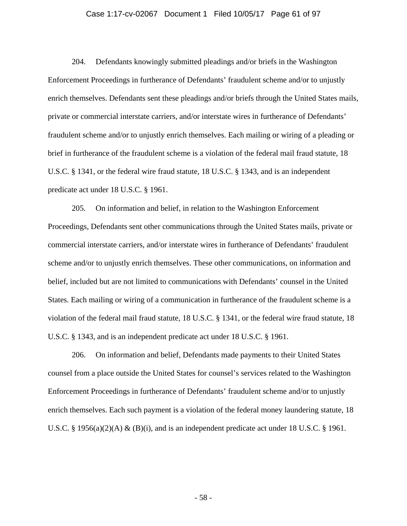#### Case 1:17-cv-02067 Document 1 Filed 10/05/17 Page 61 of 97

204. Defendants knowingly submitted pleadings and/or briefs in the Washington Enforcement Proceedings in furtherance of Defendants' fraudulent scheme and/or to unjustly enrich themselves. Defendants sent these pleadings and/or briefs through the United States mails, private or commercial interstate carriers, and/or interstate wires in furtherance of Defendants' fraudulent scheme and/or to unjustly enrich themselves. Each mailing or wiring of a pleading or brief in furtherance of the fraudulent scheme is a violation of the federal mail fraud statute, 18 U.S.C. § 1341, or the federal wire fraud statute, 18 U.S.C. § 1343, and is an independent predicate act under 18 U.S.C. § 1961.

205. On information and belief, in relation to the Washington Enforcement Proceedings, Defendants sent other communications through the United States mails, private or commercial interstate carriers, and/or interstate wires in furtherance of Defendants' fraudulent scheme and/or to unjustly enrich themselves. These other communications, on information and belief, included but are not limited to communications with Defendants' counsel in the United States. Each mailing or wiring of a communication in furtherance of the fraudulent scheme is a violation of the federal mail fraud statute, 18 U.S.C. § 1341, or the federal wire fraud statute, 18 U.S.C. § 1343, and is an independent predicate act under 18 U.S.C. § 1961.

206. On information and belief, Defendants made payments to their United States counsel from a place outside the United States for counsel's services related to the Washington Enforcement Proceedings in furtherance of Defendants' fraudulent scheme and/or to unjustly enrich themselves. Each such payment is a violation of the federal money laundering statute, 18 U.S.C. § 1956(a)(2)(A) & (B)(i), and is an independent predicate act under 18 U.S.C. § 1961.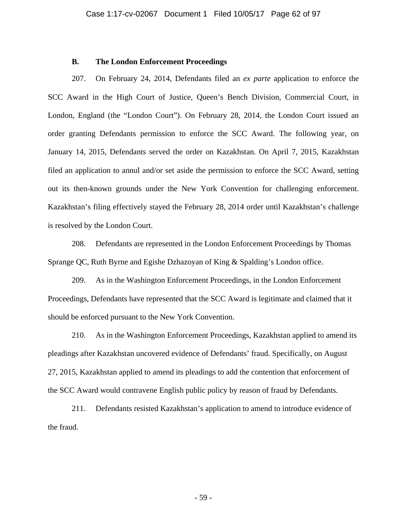#### **B. The London Enforcement Proceedings**

207. On February 24, 2014, Defendants filed an *ex parte* application to enforce the SCC Award in the High Court of Justice, Queen's Bench Division, Commercial Court, in London, England (the "London Court"). On February 28, 2014, the London Court issued an order granting Defendants permission to enforce the SCC Award. The following year, on January 14, 2015, Defendants served the order on Kazakhstan. On April 7, 2015, Kazakhstan filed an application to annul and/or set aside the permission to enforce the SCC Award, setting out its then-known grounds under the New York Convention for challenging enforcement. Kazakhstan's filing effectively stayed the February 28, 2014 order until Kazakhstan's challenge is resolved by the London Court.

208. Defendants are represented in the London Enforcement Proceedings by Thomas Sprange QC, Ruth Byrne and Egishe Dzhazoyan of King & Spalding's London office.

209. As in the Washington Enforcement Proceedings, in the London Enforcement Proceedings, Defendants have represented that the SCC Award is legitimate and claimed that it should be enforced pursuant to the New York Convention.

210. As in the Washington Enforcement Proceedings, Kazakhstan applied to amend its pleadings after Kazakhstan uncovered evidence of Defendants' fraud. Specifically, on August 27, 2015, Kazakhstan applied to amend its pleadings to add the contention that enforcement of the SCC Award would contravene English public policy by reason of fraud by Defendants.

211. Defendants resisted Kazakhstan's application to amend to introduce evidence of the fraud.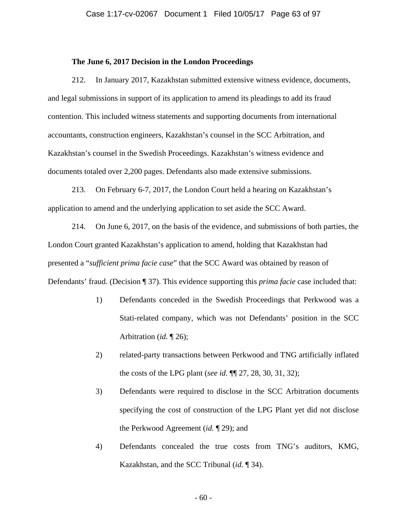#### **The June 6, 2017 Decision in the London Proceedings**

212. In January 2017, Kazakhstan submitted extensive witness evidence, documents, and legal submissions in support of its application to amend its pleadings to add its fraud contention. This included witness statements and supporting documents from international accountants, construction engineers, Kazakhstan's counsel in the SCC Arbitration, and Kazakhstan's counsel in the Swedish Proceedings. Kazakhstan's witness evidence and documents totaled over 2,200 pages. Defendants also made extensive submissions.

213. On February 6-7, 2017, the London Court held a hearing on Kazakhstan's application to amend and the underlying application to set aside the SCC Award.

214. On June 6, 2017, on the basis of the evidence, and submissions of both parties, the London Court granted Kazakhstan's application to amend, holding that Kazakhstan had presented a "*sufficient prima facie case*" that the SCC Award was obtained by reason of Defendants' fraud. (Decision ¶ 37). This evidence supporting this *prima facie* case included that:

- 1) Defendants conceded in the Swedish Proceedings that Perkwood was a Stati-related company, which was not Defendants' position in the SCC Arbitration (*id.* ¶ 26);
- 2) related-party transactions between Perkwood and TNG artificially inflated the costs of the LPG plant (*see id.* ¶¶ 27, 28, 30, 31, 32);
- 3) Defendants were required to disclose in the SCC Arbitration documents specifying the cost of construction of the LPG Plant yet did not disclose the Perkwood Agreement (*id.* ¶ 29); and
- 4) Defendants concealed the true costs from TNG's auditors, KMG, Kazakhstan, and the SCC Tribunal (*id.* ¶ 34).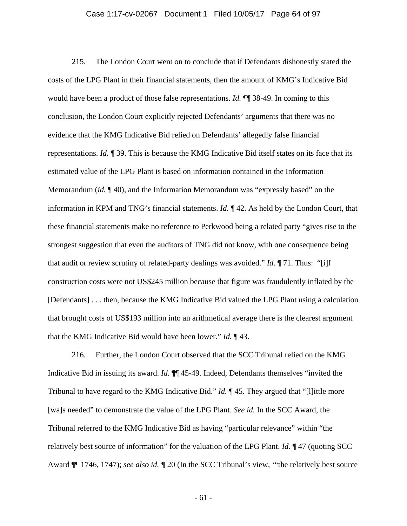#### Case 1:17-cv-02067 Document 1 Filed 10/05/17 Page 64 of 97

215. The London Court went on to conclude that if Defendants dishonestly stated the costs of the LPG Plant in their financial statements, then the amount of KMG's Indicative Bid would have been a product of those false representations. *Id.* ¶¶ 38-49. In coming to this conclusion, the London Court explicitly rejected Defendants' arguments that there was no evidence that the KMG Indicative Bid relied on Defendants' allegedly false financial representations. *Id.* ¶ 39. This is because the KMG Indicative Bid itself states on its face that its estimated value of the LPG Plant is based on information contained in the Information Memorandum (*id.* ¶ 40), and the Information Memorandum was "expressly based" on the information in KPM and TNG's financial statements. *Id.* ¶ 42. As held by the London Court, that these financial statements make no reference to Perkwood being a related party "gives rise to the strongest suggestion that even the auditors of TNG did not know, with one consequence being that audit or review scrutiny of related-party dealings was avoided." *Id.* ¶ 71. Thus: "[i]f construction costs were not US\$245 million because that figure was fraudulently inflated by the [Defendants] . . . then, because the KMG Indicative Bid valued the LPG Plant using a calculation that brought costs of US\$193 million into an arithmetical average there is the clearest argument that the KMG Indicative Bid would have been lower." *Id.* ¶ 43.

216. Further, the London Court observed that the SCC Tribunal relied on the KMG Indicative Bid in issuing its award. *Id.* ¶¶ 45-49. Indeed, Defendants themselves "invited the Tribunal to have regard to the KMG Indicative Bid." *Id.* ¶ 45. They argued that "[l]ittle more [wa]s needed" to demonstrate the value of the LPG Plant. *See id.* In the SCC Award, the Tribunal referred to the KMG Indicative Bid as having "particular relevance" within "the relatively best source of information" for the valuation of the LPG Plant. *Id.* ¶ 47 (quoting SCC Award ¶¶ 1746, 1747); *see also id. ¶* 20 (In the SCC Tribunal's view, '"the relatively best source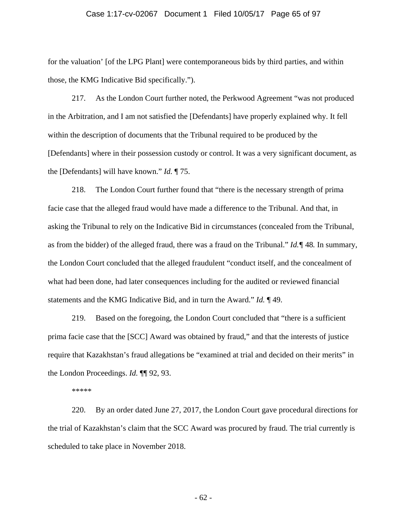#### Case 1:17-cv-02067 Document 1 Filed 10/05/17 Page 65 of 97

for the valuation' [of the LPG Plant] were contemporaneous bids by third parties, and within those, the KMG Indicative Bid specifically.").

217. As the London Court further noted, the Perkwood Agreement "was not produced in the Arbitration, and I am not satisfied the [Defendants] have properly explained why. It fell within the description of documents that the Tribunal required to be produced by the [Defendants] where in their possession custody or control. It was a very significant document, as the [Defendants] will have known." *Id.* ¶ 75.

218. The London Court further found that "there is the necessary strength of prima facie case that the alleged fraud would have made a difference to the Tribunal. And that, in asking the Tribunal to rely on the Indicative Bid in circumstances (concealed from the Tribunal, as from the bidder) of the alleged fraud, there was a fraud on the Tribunal." *Id.¶* 48*.* In summary, the London Court concluded that the alleged fraudulent "conduct itself, and the concealment of what had been done, had later consequences including for the audited or reviewed financial statements and the KMG Indicative Bid, and in turn the Award." *Id.* ¶ 49.

219. Based on the foregoing, the London Court concluded that "there is a sufficient prima facie case that the [SCC] Award was obtained by fraud," and that the interests of justice require that Kazakhstan's fraud allegations be "examined at trial and decided on their merits" in the London Proceedings. *Id.* ¶¶ 92, 93.

\*\*\*\*\*

220. By an order dated June 27, 2017, the London Court gave procedural directions for the trial of Kazakhstan's claim that the SCC Award was procured by fraud. The trial currently is scheduled to take place in November 2018.

- 62 -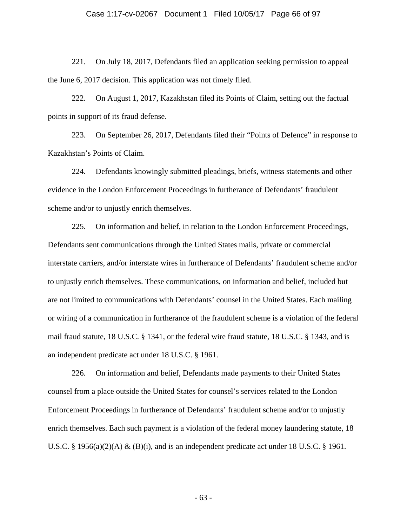#### Case 1:17-cv-02067 Document 1 Filed 10/05/17 Page 66 of 97

221. On July 18, 2017, Defendants filed an application seeking permission to appeal the June 6, 2017 decision. This application was not timely filed.

222. On August 1, 2017, Kazakhstan filed its Points of Claim, setting out the factual points in support of its fraud defense.

223. On September 26, 2017, Defendants filed their "Points of Defence" in response to Kazakhstan's Points of Claim.

224. Defendants knowingly submitted pleadings, briefs, witness statements and other evidence in the London Enforcement Proceedings in furtherance of Defendants' fraudulent scheme and/or to unjustly enrich themselves.

225. On information and belief, in relation to the London Enforcement Proceedings, Defendants sent communications through the United States mails, private or commercial interstate carriers, and/or interstate wires in furtherance of Defendants' fraudulent scheme and/or to unjustly enrich themselves. These communications, on information and belief, included but are not limited to communications with Defendants' counsel in the United States. Each mailing or wiring of a communication in furtherance of the fraudulent scheme is a violation of the federal mail fraud statute, 18 U.S.C. § 1341, or the federal wire fraud statute, 18 U.S.C. § 1343, and is an independent predicate act under 18 U.S.C. § 1961.

226. On information and belief, Defendants made payments to their United States counsel from a place outside the United States for counsel's services related to the London Enforcement Proceedings in furtherance of Defendants' fraudulent scheme and/or to unjustly enrich themselves. Each such payment is a violation of the federal money laundering statute, 18 U.S.C. § 1956(a)(2)(A) & (B)(i), and is an independent predicate act under 18 U.S.C. § 1961.

- 63 -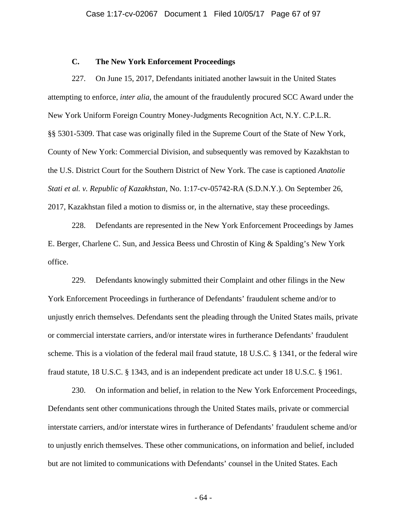### **C. The New York Enforcement Proceedings**

227. On June 15, 2017, Defendants initiated another lawsuit in the United States attempting to enforce, *inter alia*, the amount of the fraudulently procured SCC Award under the New York Uniform Foreign Country Money-Judgments Recognition Act, N.Y. C.P.L.R. §§ 5301-5309. That case was originally filed in the Supreme Court of the State of New York, County of New York: Commercial Division, and subsequently was removed by Kazakhstan to the U.S. District Court for the Southern District of New York. The case is captioned *Anatolie Stati et al. v. Republic of Kazakhstan*, No. 1:17-cv-05742-RA (S.D.N.Y.). On September 26, 2017, Kazakhstan filed a motion to dismiss or, in the alternative, stay these proceedings.

228. Defendants are represented in the New York Enforcement Proceedings by James E. Berger, Charlene C. Sun, and Jessica Beess und Chrostin of King & Spalding's New York office.

229. Defendants knowingly submitted their Complaint and other filings in the New York Enforcement Proceedings in furtherance of Defendants' fraudulent scheme and/or to unjustly enrich themselves. Defendants sent the pleading through the United States mails, private or commercial interstate carriers, and/or interstate wires in furtherance Defendants' fraudulent scheme. This is a violation of the federal mail fraud statute, 18 U.S.C. § 1341, or the federal wire fraud statute, 18 U.S.C. § 1343, and is an independent predicate act under 18 U.S.C. § 1961.

230. On information and belief, in relation to the New York Enforcement Proceedings, Defendants sent other communications through the United States mails, private or commercial interstate carriers, and/or interstate wires in furtherance of Defendants' fraudulent scheme and/or to unjustly enrich themselves. These other communications, on information and belief, included but are not limited to communications with Defendants' counsel in the United States. Each

- 64 -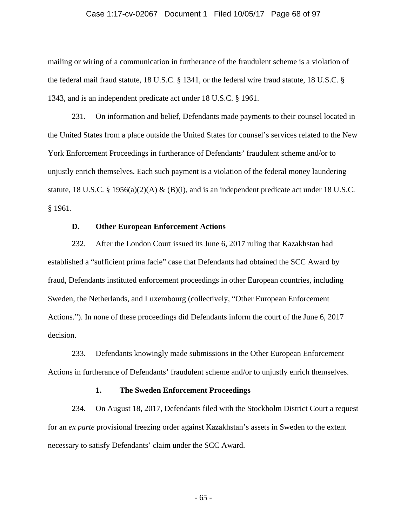#### Case 1:17-cv-02067 Document 1 Filed 10/05/17 Page 68 of 97

mailing or wiring of a communication in furtherance of the fraudulent scheme is a violation of the federal mail fraud statute, 18 U.S.C. § 1341, or the federal wire fraud statute, 18 U.S.C. § 1343, and is an independent predicate act under 18 U.S.C. § 1961.

231. On information and belief, Defendants made payments to their counsel located in the United States from a place outside the United States for counsel's services related to the New York Enforcement Proceedings in furtherance of Defendants' fraudulent scheme and/or to unjustly enrich themselves. Each such payment is a violation of the federal money laundering statute, 18 U.S.C. § 1956(a)(2)(A) & (B)(i), and is an independent predicate act under 18 U.S.C. § 1961.

# **D. Other European Enforcement Actions**

232. After the London Court issued its June 6, 2017 ruling that Kazakhstan had established a "sufficient prima facie" case that Defendants had obtained the SCC Award by fraud, Defendants instituted enforcement proceedings in other European countries, including Sweden, the Netherlands, and Luxembourg (collectively, "Other European Enforcement Actions."). In none of these proceedings did Defendants inform the court of the June 6, 2017 decision.

233. Defendants knowingly made submissions in the Other European Enforcement Actions in furtherance of Defendants' fraudulent scheme and/or to unjustly enrich themselves.

#### **1. The Sweden Enforcement Proceedings**

234. On August 18, 2017, Defendants filed with the Stockholm District Court a request for an *ex parte* provisional freezing order against Kazakhstan's assets in Sweden to the extent necessary to satisfy Defendants' claim under the SCC Award.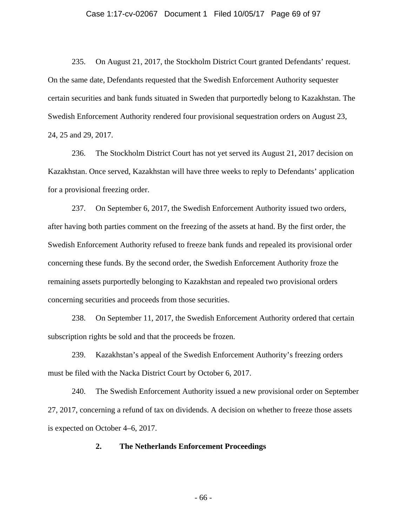#### Case 1:17-cv-02067 Document 1 Filed 10/05/17 Page 69 of 97

235. On August 21, 2017, the Stockholm District Court granted Defendants' request. On the same date, Defendants requested that the Swedish Enforcement Authority sequester certain securities and bank funds situated in Sweden that purportedly belong to Kazakhstan. The Swedish Enforcement Authority rendered four provisional sequestration orders on August 23, 24, 25 and 29, 2017.

236. The Stockholm District Court has not yet served its August 21, 2017 decision on Kazakhstan. Once served, Kazakhstan will have three weeks to reply to Defendants' application for a provisional freezing order.

237. On September 6, 2017, the Swedish Enforcement Authority issued two orders, after having both parties comment on the freezing of the assets at hand. By the first order, the Swedish Enforcement Authority refused to freeze bank funds and repealed its provisional order concerning these funds. By the second order, the Swedish Enforcement Authority froze the remaining assets purportedly belonging to Kazakhstan and repealed two provisional orders concerning securities and proceeds from those securities.

238. On September 11, 2017, the Swedish Enforcement Authority ordered that certain subscription rights be sold and that the proceeds be frozen.

239. Kazakhstan's appeal of the Swedish Enforcement Authority's freezing orders must be filed with the Nacka District Court by October 6, 2017.

240. The Swedish Enforcement Authority issued a new provisional order on September 27, 2017, concerning a refund of tax on dividends. A decision on whether to freeze those assets is expected on October 4–6, 2017.

**2. The Netherlands Enforcement Proceedings** 

- 66 -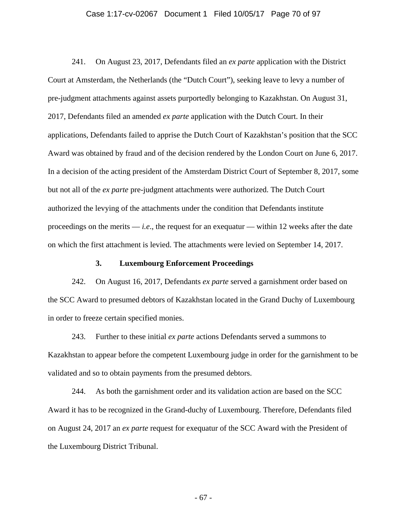#### Case 1:17-cv-02067 Document 1 Filed 10/05/17 Page 70 of 97

241. On August 23, 2017, Defendants filed an *ex parte* application with the District Court at Amsterdam, the Netherlands (the "Dutch Court"), seeking leave to levy a number of pre-judgment attachments against assets purportedly belonging to Kazakhstan. On August 31, 2017, Defendants filed an amended *ex parte* application with the Dutch Court. In their applications, Defendants failed to apprise the Dutch Court of Kazakhstan's position that the SCC Award was obtained by fraud and of the decision rendered by the London Court on June 6, 2017. In a decision of the acting president of the Amsterdam District Court of September 8, 2017, some but not all of the *ex parte* pre-judgment attachments were authorized. The Dutch Court authorized the levying of the attachments under the condition that Defendants institute proceedings on the merits  $-i.e.,$  the request for an exequatur — within 12 weeks after the date on which the first attachment is levied. The attachments were levied on September 14, 2017.

### **3. Luxembourg Enforcement Proceedings**

242. On August 16, 2017, Defendants *ex parte* served a garnishment order based on the SCC Award to presumed debtors of Kazakhstan located in the Grand Duchy of Luxembourg in order to freeze certain specified monies.

243. Further to these initial *ex parte* actions Defendants served a summons to Kazakhstan to appear before the competent Luxembourg judge in order for the garnishment to be validated and so to obtain payments from the presumed debtors.

244. As both the garnishment order and its validation action are based on the SCC Award it has to be recognized in the Grand-duchy of Luxembourg. Therefore, Defendants filed on August 24, 2017 an *ex parte* request for exequatur of the SCC Award with the President of the Luxembourg District Tribunal.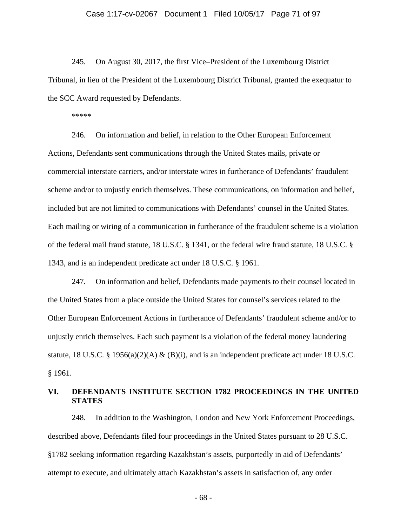#### Case 1:17-cv-02067 Document 1 Filed 10/05/17 Page 71 of 97

245. On August 30, 2017, the first Vice–President of the Luxembourg District Tribunal, in lieu of the President of the Luxembourg District Tribunal, granted the exequatur to the SCC Award requested by Defendants.

\*\*\*\*\*

246. On information and belief, in relation to the Other European Enforcement Actions, Defendants sent communications through the United States mails, private or commercial interstate carriers, and/or interstate wires in furtherance of Defendants' fraudulent scheme and/or to unjustly enrich themselves. These communications, on information and belief, included but are not limited to communications with Defendants' counsel in the United States. Each mailing or wiring of a communication in furtherance of the fraudulent scheme is a violation of the federal mail fraud statute, 18 U.S.C. § 1341, or the federal wire fraud statute, 18 U.S.C. § 1343, and is an independent predicate act under 18 U.S.C. § 1961.

247. On information and belief, Defendants made payments to their counsel located in the United States from a place outside the United States for counsel's services related to the Other European Enforcement Actions in furtherance of Defendants' fraudulent scheme and/or to unjustly enrich themselves. Each such payment is a violation of the federal money laundering statute, 18 U.S.C. § 1956(a)(2)(A) & (B)(i), and is an independent predicate act under 18 U.S.C. § 1961.

# **VI. DEFENDANTS INSTITUTE SECTION 1782 PROCEEDINGS IN THE UNITED STATES**

248. In addition to the Washington, London and New York Enforcement Proceedings, described above, Defendants filed four proceedings in the United States pursuant to 28 U.S.C. §1782 seeking information regarding Kazakhstan's assets, purportedly in aid of Defendants' attempt to execute, and ultimately attach Kazakhstan's assets in satisfaction of, any order

- 68 -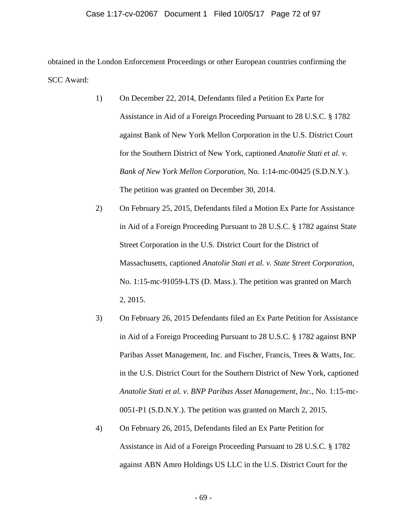### Case 1:17-cv-02067 Document 1 Filed 10/05/17 Page 72 of 97

obtained in the London Enforcement Proceedings or other European countries confirming the SCC Award:

- 1) On December 22, 2014, Defendants filed a Petition Ex Parte for Assistance in Aid of a Foreign Proceeding Pursuant to 28 U.S.C. § 1782 against Bank of New York Mellon Corporation in the U.S. District Court for the Southern District of New York, captioned *Anatolie Stati et al. v. Bank of New York Mellon Corporation*, No. 1:14-mc-00425 (S.D.N.Y.). The petition was granted on December 30, 2014.
- 2) On February 25, 2015, Defendants filed a Motion Ex Parte for Assistance in Aid of a Foreign Proceeding Pursuant to 28 U.S.C. § 1782 against State Street Corporation in the U.S. District Court for the District of Massachusetts, captioned *Anatolie Stati et al. v. State Street Corporation*, No. 1:15-mc-91059-LTS (D. Mass.). The petition was granted on March 2, 2015.
- 3) On February 26, 2015 Defendants filed an Ex Parte Petition for Assistance in Aid of a Foreign Proceeding Pursuant to 28 U.S.C. § 1782 against BNP Paribas Asset Management, Inc. and Fischer, Francis, Trees & Watts, Inc. in the U.S. District Court for the Southern District of New York, captioned *Anatolie Stati et al. v. BNP Paribas Asset Management, Inc.*, No. 1:15-mc-0051-P1 (S.D.N.Y.). The petition was granted on March 2, 2015.
- 4) On February 26, 2015, Defendants filed an Ex Parte Petition for Assistance in Aid of a Foreign Proceeding Pursuant to 28 U.S.C. § 1782 against ABN Amro Holdings US LLC in the U.S. District Court for the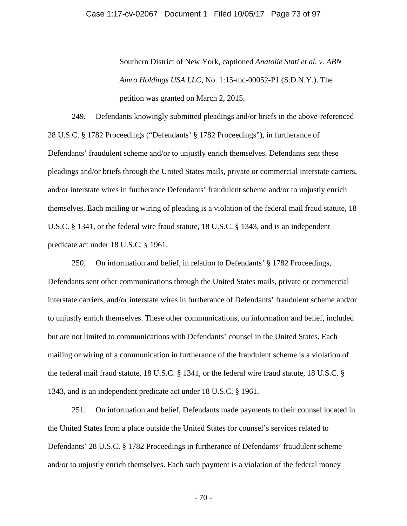Southern District of New York, captioned *Anatolie Stati et al. v. ABN Amro Holdings USA LLC*, No. 1:15-mc-00052-P1 (S.D.N.Y.). The petition was granted on March 2, 2015.

249. Defendants knowingly submitted pleadings and/or briefs in the above-referenced 28 U.S.C. § 1782 Proceedings ("Defendants' § 1782 Proceedings"), in furtherance of Defendants' fraudulent scheme and/or to unjustly enrich themselves. Defendants sent these pleadings and/or briefs through the United States mails, private or commercial interstate carriers, and/or interstate wires in furtherance Defendants' fraudulent scheme and/or to unjustly enrich themselves. Each mailing or wiring of pleading is a violation of the federal mail fraud statute, 18 U.S.C. § 1341, or the federal wire fraud statute, 18 U.S.C. § 1343, and is an independent predicate act under 18 U.S.C. § 1961.

250. On information and belief, in relation to Defendants' § 1782 Proceedings, Defendants sent other communications through the United States mails, private or commercial interstate carriers, and/or interstate wires in furtherance of Defendants' fraudulent scheme and/or to unjustly enrich themselves. These other communications, on information and belief, included but are not limited to communications with Defendants' counsel in the United States. Each mailing or wiring of a communication in furtherance of the fraudulent scheme is a violation of the federal mail fraud statute, 18 U.S.C. § 1341, or the federal wire fraud statute, 18 U.S.C. § 1343, and is an independent predicate act under 18 U.S.C. § 1961.

251. On information and belief, Defendants made payments to their counsel located in the United States from a place outside the United States for counsel's services related to Defendants' 28 U.S.C. § 1782 Proceedings in furtherance of Defendants' fraudulent scheme and/or to unjustly enrich themselves. Each such payment is a violation of the federal money

- 70 -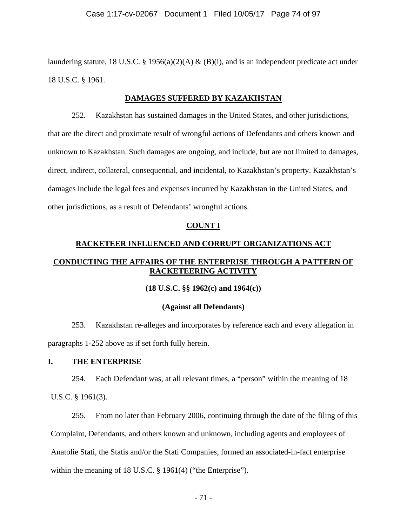laundering statute, 18 U.S.C. § 1956(a)(2)(A) & (B)(i), and is an independent predicate act under 18 U.S.C. § 1961.

## **DAMAGES SUFFERED BY KAZAKHSTAN**

252. Kazakhstan has sustained damages in the United States, and other jurisdictions, that are the direct and proximate result of wrongful actions of Defendants and others known and unknown to Kazakhstan. Such damages are ongoing, and include, but are not limited to damages, direct, indirect, collateral, consequential, and incidental, to Kazakhstan's property. Kazakhstan's damages include the legal fees and expenses incurred by Kazakhstan in the United States, and other jurisdictions, as a result of Defendants' wrongful actions.

#### **COUNT I**

## **RACKETEER INFLUENCED AND CORRUPT ORGANIZATIONS ACT**

## **CONDUCTING THE AFFAIRS OF THE ENTERPRISE THROUGH A PATTERN OF RACKETEERING ACTIVITY**

#### **(18 U.S.C. §§ 1962(c) and 1964(c))**

#### **(Against all Defendants)**

253. Kazakhstan re-alleges and incorporates by reference each and every allegation in paragraphs 1-252 above as if set forth fully herein.

#### **I. THE ENTERPRISE**

254. Each Defendant was, at all relevant times, a "person" within the meaning of 18 U.S.C. § 1961(3).

255. From no later than February 2006, continuing through the date of the filing of this Complaint, Defendants, and others known and unknown, including agents and employees of Anatolie Stati, the Statis and/or the Stati Companies, formed an associated-in-fact enterprise within the meaning of 18 U.S.C. § 1961(4) ("the Enterprise").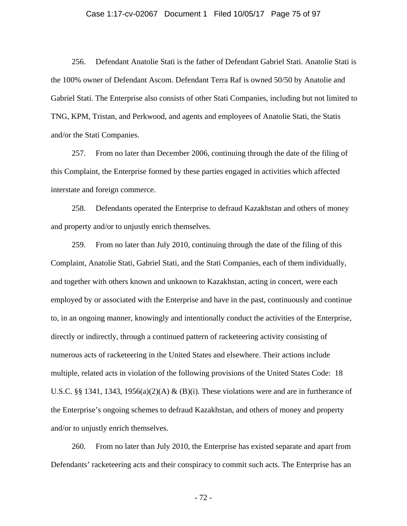#### Case 1:17-cv-02067 Document 1 Filed 10/05/17 Page 75 of 97

256. Defendant Anatolie Stati is the father of Defendant Gabriel Stati. Anatolie Stati is the 100% owner of Defendant Ascom. Defendant Terra Raf is owned 50/50 by Anatolie and Gabriel Stati. The Enterprise also consists of other Stati Companies, including but not limited to TNG, KPM, Tristan, and Perkwood, and agents and employees of Anatolie Stati, the Statis and/or the Stati Companies.

257. From no later than December 2006, continuing through the date of the filing of this Complaint, the Enterprise formed by these parties engaged in activities which affected interstate and foreign commerce.

258. Defendants operated the Enterprise to defraud Kazakhstan and others of money and property and/or to unjustly enrich themselves.

259. From no later than July 2010, continuing through the date of the filing of this Complaint, Anatolie Stati, Gabriel Stati, and the Stati Companies, each of them individually, and together with others known and unknown to Kazakhstan, acting in concert, were each employed by or associated with the Enterprise and have in the past, continuously and continue to, in an ongoing manner, knowingly and intentionally conduct the activities of the Enterprise, directly or indirectly, through a continued pattern of racketeering activity consisting of numerous acts of racketeering in the United States and elsewhere. Their actions include multiple, related acts in violation of the following provisions of the United States Code: 18 U.S.C. §§ 1341, 1343, 1956(a)(2)(A) & (B)(i). These violations were and are in furtherance of the Enterprise's ongoing schemes to defraud Kazakhstan, and others of money and property and/or to unjustly enrich themselves.

260. From no later than July 2010, the Enterprise has existed separate and apart from Defendants' racketeering acts and their conspiracy to commit such acts. The Enterprise has an

- 72 -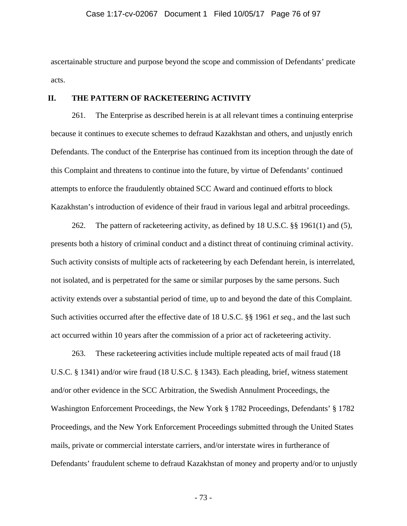ascertainable structure and purpose beyond the scope and commission of Defendants' predicate acts.

## **II. THE PATTERN OF RACKETEERING ACTIVITY**

261. The Enterprise as described herein is at all relevant times a continuing enterprise because it continues to execute schemes to defraud Kazakhstan and others, and unjustly enrich Defendants. The conduct of the Enterprise has continued from its inception through the date of this Complaint and threatens to continue into the future, by virtue of Defendants' continued attempts to enforce the fraudulently obtained SCC Award and continued efforts to block Kazakhstan's introduction of evidence of their fraud in various legal and arbitral proceedings.

262. The pattern of racketeering activity, as defined by 18 U.S.C. §§ 1961(1) and (5), presents both a history of criminal conduct and a distinct threat of continuing criminal activity. Such activity consists of multiple acts of racketeering by each Defendant herein, is interrelated, not isolated, and is perpetrated for the same or similar purposes by the same persons. Such activity extends over a substantial period of time, up to and beyond the date of this Complaint. Such activities occurred after the effective date of 18 U.S.C. §§ 1961 *et seq.*, and the last such act occurred within 10 years after the commission of a prior act of racketeering activity.

263. These racketeering activities include multiple repeated acts of mail fraud (18 U.S.C. § 1341) and/or wire fraud (18 U.S.C. § 1343). Each pleading, brief, witness statement and/or other evidence in the SCC Arbitration, the Swedish Annulment Proceedings, the Washington Enforcement Proceedings, the New York § 1782 Proceedings, Defendants' § 1782 Proceedings, and the New York Enforcement Proceedings submitted through the United States mails, private or commercial interstate carriers, and/or interstate wires in furtherance of Defendants' fraudulent scheme to defraud Kazakhstan of money and property and/or to unjustly

- 73 -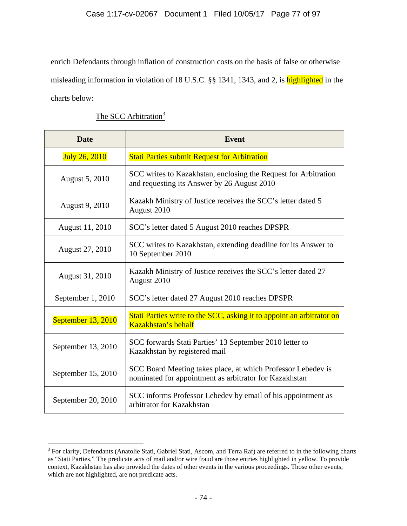## Case 1:17-cv-02067 Document 1 Filed 10/05/17 Page 77 of 97

enrich Defendants through inflation of construction costs on the basis of false or otherwise misleading information in violation of 18 U.S.C. §§ 1341, 1343, and 2, is highlighted in the charts below:

The SCC Arbitration<sup>3</sup>

| <b>Date</b>          | <b>Event</b>                                                                                                           |
|----------------------|------------------------------------------------------------------------------------------------------------------------|
| <b>July 26, 2010</b> | <b>Stati Parties submit Request for Arbitration</b>                                                                    |
| August 5, 2010       | SCC writes to Kazakhstan, enclosing the Request for Arbitration<br>and requesting its Answer by 26 August 2010         |
| August 9, 2010       | Kazakh Ministry of Justice receives the SCC's letter dated 5<br>August 2010                                            |
| August 11, 2010      | SCC's letter dated 5 August 2010 reaches DPSPR                                                                         |
| August 27, 2010      | SCC writes to Kazakhstan, extending deadline for its Answer to<br>10 September 2010                                    |
| August 31, 2010      | Kazakh Ministry of Justice receives the SCC's letter dated 27<br>August 2010                                           |
| September 1, 2010    | SCC's letter dated 27 August 2010 reaches DPSPR                                                                        |
| September 13, 2010   | Stati Parties write to the SCC, asking it to appoint an arbitrator on<br>Kazakhstan's behalf                           |
| September 13, 2010   | SCC forwards Stati Parties' 13 September 2010 letter to<br>Kazakhstan by registered mail                               |
| September 15, 2010   | SCC Board Meeting takes place, at which Professor Lebedev is<br>nominated for appointment as arbitrator for Kazakhstan |
| September 20, 2010   | SCC informs Professor Lebedev by email of his appointment as<br>arbitrator for Kazakhstan                              |

<sup>&</sup>lt;sup>3</sup> For clarity, Defendants (Anatolie Stati, Gabriel Stati, Ascom, and Terra Raf) are referred to in the following charts as "Stati Parties." The predicate acts of mail and/or wire fraud are those entries highlighted in yellow. To provide context, Kazakhstan has also provided the dates of other events in the various proceedings. Those other events, which are not highlighted, are not predicate acts.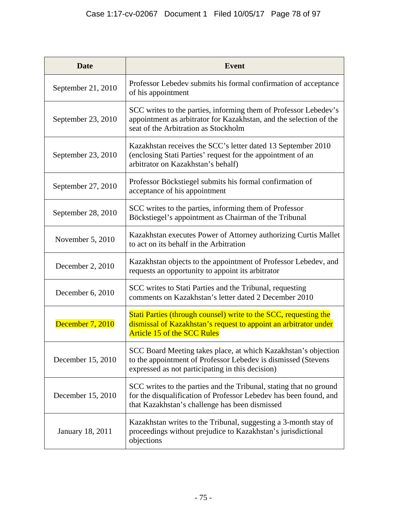| <b>Date</b>        | <b>Event</b>                                                                                                                                                                              |
|--------------------|-------------------------------------------------------------------------------------------------------------------------------------------------------------------------------------------|
| September 21, 2010 | Professor Lebedev submits his formal confirmation of acceptance<br>of his appointment                                                                                                     |
| September 23, 2010 | SCC writes to the parties, informing them of Professor Lebedev's<br>appointment as arbitrator for Kazakhstan, and the selection of the<br>seat of the Arbitration as Stockholm            |
| September 23, 2010 | Kazakhstan receives the SCC's letter dated 13 September 2010<br>(enclosing Stati Parties' request for the appointment of an<br>arbitrator on Kazakhstan's behalf)                         |
| September 27, 2010 | Professor Böckstiegel submits his formal confirmation of<br>acceptance of his appointment                                                                                                 |
| September 28, 2010 | SCC writes to the parties, informing them of Professor<br>Böckstiegel's appointment as Chairman of the Tribunal                                                                           |
| November 5, 2010   | Kazakhstan executes Power of Attorney authorizing Curtis Mallet<br>to act on its behalf in the Arbitration                                                                                |
| December 2, 2010   | Kazakhstan objects to the appointment of Professor Lebedev, and<br>requests an opportunity to appoint its arbitrator                                                                      |
| December 6, 2010   | SCC writes to Stati Parties and the Tribunal, requesting<br>comments on Kazakhstan's letter dated 2 December 2010                                                                         |
| December 7, 2010   | Stati Parties (through counsel) write to the SCC, requesting the<br>dismissal of Kazakhstan's request to appoint an arbitrator under<br><b>Article 15 of the SCC Rules</b>                |
| December 15, 2010  | SCC Board Meeting takes place, at which Kazakhstan's objection<br>to the appointment of Professor Lebedev is dismissed (Stevens<br>expressed as not participating in this decision)       |
| December 15, 2010  | SCC writes to the parties and the Tribunal, stating that no ground<br>for the disqualification of Professor Lebedev has been found, and<br>that Kazakhstan's challenge has been dismissed |
| January 18, 2011   | Kazakhstan writes to the Tribunal, suggesting a 3-month stay of<br>proceedings without prejudice to Kazakhstan's jurisdictional<br>objections                                             |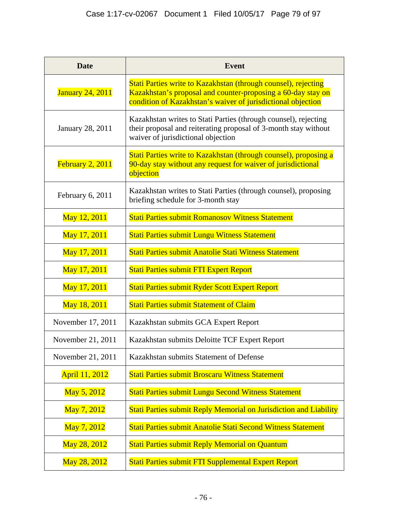| <b>Date</b>             | <b>Event</b>                                                                                                                                                                                   |
|-------------------------|------------------------------------------------------------------------------------------------------------------------------------------------------------------------------------------------|
| <b>January 24, 2011</b> | Stati Parties write to Kazakhstan (through counsel), rejecting<br>Kazakhstan's proposal and counter-proposing a 60-day stay on<br>condition of Kazakhstan's waiver of jurisdictional objection |
| January 28, 2011        | Kazakhstan writes to Stati Parties (through counsel), rejecting<br>their proposal and reiterating proposal of 3-month stay without<br>waiver of jurisdictional objection                       |
| February 2, 2011        | Stati Parties write to Kazakhstan (through counsel), proposing a<br>90-day stay without any request for waiver of jurisdictional<br>objection                                                  |
| February 6, 2011        | Kazakhstan writes to Stati Parties (through counsel), proposing<br>briefing schedule for 3-month stay                                                                                          |
| May 12, 2011            | <b>Stati Parties submit Romanosov Witness Statement</b>                                                                                                                                        |
| May 17, 2011            | <b>Stati Parties submit Lungu Witness Statement</b>                                                                                                                                            |
| May 17, 2011            | Stati Parties submit Anatolie Stati Witness Statement                                                                                                                                          |
| May 17, 2011            | <b>Stati Parties submit FTI Expert Report</b>                                                                                                                                                  |
| May 17, 2011            | Stati Parties submit Ryder Scott Expert Report                                                                                                                                                 |
| May 18, 2011            | <b>Stati Parties submit Statement of Claim</b>                                                                                                                                                 |
| November 17, 2011       | Kazakhstan submits GCA Expert Report                                                                                                                                                           |
| November 21, 2011       | Kazakhstan submits Deloitte TCF Expert Report                                                                                                                                                  |
| November 21, 2011       | Kazakhstan submits Statement of Defense                                                                                                                                                        |
| April 11, 2012          | <b>Stati Parties submit Broscaru Witness Statement</b>                                                                                                                                         |
| May 5, 2012             | <b>Stati Parties submit Lungu Second Witness Statement</b>                                                                                                                                     |
| May 7, 2012             | Stati Parties submit Reply Memorial on Jurisdiction and Liability                                                                                                                              |
| May 7, 2012             | Stati Parties submit Anatolie Stati Second Witness Statement                                                                                                                                   |
| May 28, 2012            | <b>Stati Parties submit Reply Memorial on Quantum</b>                                                                                                                                          |
| May 28, 2012            | Stati Parties submit FTI Supplemental Expert Report                                                                                                                                            |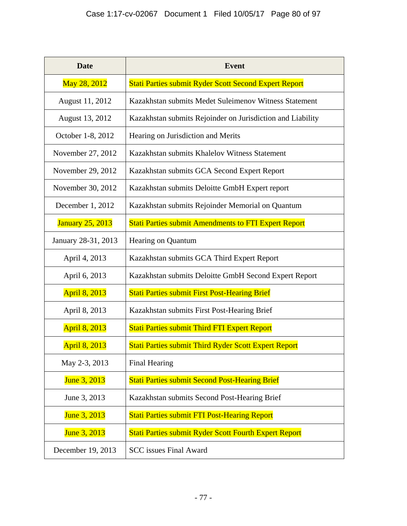| <b>Date</b>             | <b>Event</b>                                                 |
|-------------------------|--------------------------------------------------------------|
| May 28, 2012            | <b>Stati Parties submit Ryder Scott Second Expert Report</b> |
| August 11, 2012         | Kazakhstan submits Medet Suleimenov Witness Statement        |
| August 13, 2012         | Kazakhstan submits Rejoinder on Jurisdiction and Liability   |
| October 1-8, 2012       | Hearing on Jurisdiction and Merits                           |
| November 27, 2012       | Kazakhstan submits Khalelov Witness Statement                |
| November 29, 2012       | Kazakhstan submits GCA Second Expert Report                  |
| November 30, 2012       | Kazakhstan submits Deloitte GmbH Expert report               |
| December 1, 2012        | Kazakhstan submits Rejoinder Memorial on Quantum             |
| <b>January 25, 2013</b> | <b>Stati Parties submit Amendments to FTI Expert Report</b>  |
| January 28-31, 2013     | Hearing on Quantum                                           |
| April 4, 2013           | Kazakhstan submits GCA Third Expert Report                   |
| April 6, 2013           | Kazakhstan submits Deloitte GmbH Second Expert Report        |
| <b>April 8, 2013</b>    | <b>Stati Parties submit First Post-Hearing Brief</b>         |
| April 8, 2013           | Kazakhstan submits First Post-Hearing Brief                  |
| <b>April 8, 2013</b>    | <b>Stati Parties submit Third FTI Expert Report</b>          |
| <b>April 8, 2013</b>    | <b>Stati Parties submit Third Ryder Scott Expert Report</b>  |
| May 2-3, 2013           | <b>Final Hearing</b>                                         |
| June 3, 2013            | <b>Stati Parties submit Second Post-Hearing Brief</b>        |
| June 3, 2013            | Kazakhstan submits Second Post-Hearing Brief                 |
| June 3, 2013            | <b>Stati Parties submit FTI Post-Hearing Report</b>          |
| June 3, 2013            | <b>Stati Parties submit Ryder Scott Fourth Expert Report</b> |
| December 19, 2013       | <b>SCC</b> issues Final Award                                |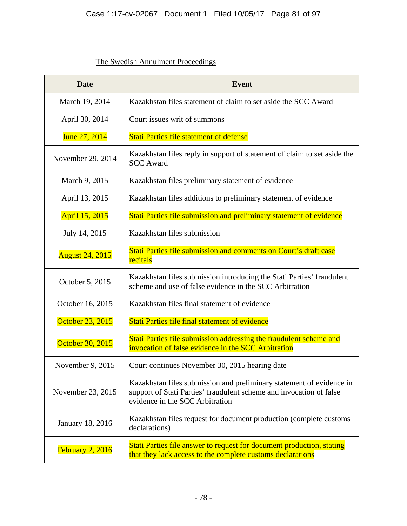# The Swedish Annulment Proceedings

| <b>Date</b>            | <b>Event</b>                                                                                                                                                                   |
|------------------------|--------------------------------------------------------------------------------------------------------------------------------------------------------------------------------|
| March 19, 2014         | Kazakhstan files statement of claim to set aside the SCC Award                                                                                                                 |
| April 30, 2014         | Court issues writ of summons                                                                                                                                                   |
| June 27, 2014          | <b>Stati Parties file statement of defense</b>                                                                                                                                 |
| November 29, 2014      | Kazakhstan files reply in support of statement of claim to set aside the<br><b>SCC Award</b>                                                                                   |
| March 9, 2015          | Kazakhstan files preliminary statement of evidence                                                                                                                             |
| April 13, 2015         | Kazakhstan files additions to preliminary statement of evidence                                                                                                                |
| April 15, 2015         | Stati Parties file submission and preliminary statement of evidence                                                                                                            |
| July 14, 2015          | Kazakhstan files submission                                                                                                                                                    |
| <b>August 24, 2015</b> | Stati Parties file submission and comments on Court's draft case<br>recitals                                                                                                   |
| October 5, 2015        | Kazakhstan files submission introducing the Stati Parties' fraudulent<br>scheme and use of false evidence in the SCC Arbitration                                               |
| October 16, 2015       | Kazakhstan files final statement of evidence                                                                                                                                   |
| October 23, 2015       | Stati Parties file final statement of evidence                                                                                                                                 |
| October 30, 2015       | Stati Parties file submission addressing the fraudulent scheme and<br>invocation of false evidence in the SCC Arbitration                                                      |
| November 9, 2015       | Court continues November 30, 2015 hearing date                                                                                                                                 |
| November 23, 2015      | Kazakhstan files submission and preliminary statement of evidence in<br>support of Stati Parties' fraudulent scheme and invocation of false<br>evidence in the SCC Arbitration |
| January 18, 2016       | Kazakhstan files request for document production (complete customs)<br>declarations)                                                                                           |
| February 2, 2016       | Stati Parties file answer to request for document production, stating<br>that they lack access to the complete customs declarations                                            |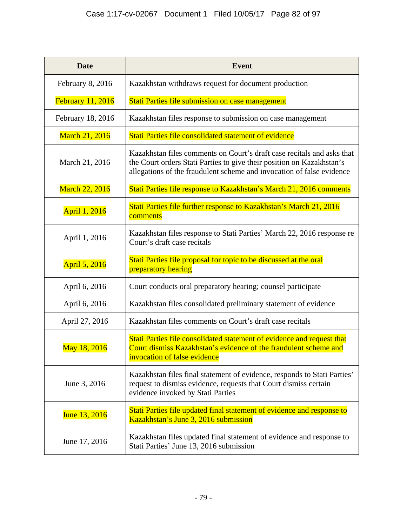| <b>Date</b>              | <b>Event</b>                                                                                                                                                                                                             |
|--------------------------|--------------------------------------------------------------------------------------------------------------------------------------------------------------------------------------------------------------------------|
| February 8, 2016         | Kazakhstan withdraws request for document production                                                                                                                                                                     |
| <b>February 11, 2016</b> | Stati Parties file submission on case management                                                                                                                                                                         |
| February 18, 2016        | Kazakhstan files response to submission on case management                                                                                                                                                               |
| March 21, 2016           | Stati Parties file consolidated statement of evidence                                                                                                                                                                    |
| March 21, 2016           | Kazakhstan files comments on Court's draft case recitals and asks that<br>the Court orders Stati Parties to give their position on Kazakhstan's<br>allegations of the fraudulent scheme and invocation of false evidence |
| <b>March 22, 2016</b>    | Stati Parties file response to Kazakhstan's March 21, 2016 comments                                                                                                                                                      |
| April 1, 2016            | Stati Parties file further response to Kazakhstan's March 21, 2016<br>comments                                                                                                                                           |
| April 1, 2016            | Kazakhstan files response to Stati Parties' March 22, 2016 response re<br>Court's draft case recitals                                                                                                                    |
| April 5, 2016            | Stati Parties file proposal for topic to be discussed at the oral<br>preparatory hearing                                                                                                                                 |
| April 6, 2016            | Court conducts oral preparatory hearing; counsel participate                                                                                                                                                             |
| April 6, 2016            | Kazakhstan files consolidated preliminary statement of evidence                                                                                                                                                          |
| April 27, 2016           | Kazakhstan files comments on Court's draft case recitals                                                                                                                                                                 |
| May 18, 2016             | Stati Parties file consolidated statement of evidence and request that<br>Court dismiss Kazakhstan's evidence of the fraudulent scheme and<br>invocation of false evidence                                               |
| June 3, 2016             | Kazakhstan files final statement of evidence, responds to Stati Parties'<br>request to dismiss evidence, requests that Court dismiss certain<br>evidence invoked by Stati Parties                                        |
| June 13, 2016            | Stati Parties file updated final statement of evidence and response to<br>Kazakhstan's June 3, 2016 submission                                                                                                           |
| June 17, 2016            | Kazakhstan files updated final statement of evidence and response to<br>Stati Parties' June 13, 2016 submission                                                                                                          |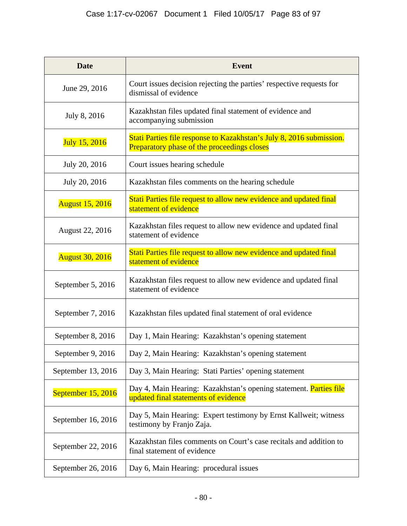| <b>Date</b>            | <b>Event</b>                                                                                                               |
|------------------------|----------------------------------------------------------------------------------------------------------------------------|
| June 29, 2016          | Court issues decision rejecting the parties' respective requests for<br>dismissal of evidence                              |
| July 8, 2016           | Kazakhstan files updated final statement of evidence and<br>accompanying submission                                        |
| July 15, 2016          | Stati Parties file response to Kazakhstan's July 8, 2016 submission.<br><b>Preparatory phase of the proceedings closes</b> |
| July 20, 2016          | Court issues hearing schedule                                                                                              |
| July 20, 2016          | Kazakhstan files comments on the hearing schedule                                                                          |
| <b>August 15, 2016</b> | Stati Parties file request to allow new evidence and updated final<br>statement of evidence                                |
| August 22, 2016        | Kazakhstan files request to allow new evidence and updated final<br>statement of evidence                                  |
| <b>August 30, 2016</b> | Stati Parties file request to allow new evidence and updated final<br>statement of evidence                                |
| September 5, 2016      | Kazakhstan files request to allow new evidence and updated final<br>statement of evidence                                  |
| September 7, 2016      | Kazakhstan files updated final statement of oral evidence                                                                  |
| September 8, 2016      | Day 1, Main Hearing: Kazakhstan's opening statement                                                                        |
| September 9, 2016      | Day 2, Main Hearing: Kazakhstan's opening statement                                                                        |
| September 13, 2016     | Day 3, Main Hearing: Stati Parties' opening statement                                                                      |
| September 15, 2016     | Day 4, Main Hearing: Kazakhstan's opening statement. Parties file<br>updated final statements of evidence                  |
| September 16, 2016     | Day 5, Main Hearing: Expert testimony by Ernst Kallweit; witness<br>testimony by Franjo Zaja.                              |
| September 22, 2016     | Kazakhstan files comments on Court's case recitals and addition to<br>final statement of evidence                          |
| September 26, 2016     | Day 6, Main Hearing: procedural issues                                                                                     |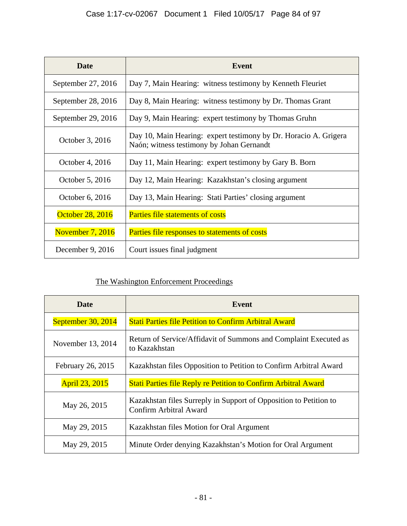| <b>Date</b>             | <b>Event</b>                                                                                                  |
|-------------------------|---------------------------------------------------------------------------------------------------------------|
| September 27, 2016      | Day 7, Main Hearing: witness testimony by Kenneth Fleuriet                                                    |
| September 28, 2016      | Day 8, Main Hearing: witness testimony by Dr. Thomas Grant                                                    |
| September 29, 2016      | Day 9, Main Hearing: expert testimony by Thomas Gruhn                                                         |
| October 3, 2016         | Day 10, Main Hearing: expert testimony by Dr. Horacio A. Grigera<br>Naón; witness testimony by Johan Gernandt |
| October 4, 2016         | Day 11, Main Hearing: expert testimony by Gary B. Born                                                        |
| October 5, 2016         | Day 12, Main Hearing: Kazakhstan's closing argument                                                           |
| October 6, 2016         | Day 13, Main Hearing: Stati Parties' closing argument                                                         |
| <b>October 28, 2016</b> | <b>Parties file statements of costs</b>                                                                       |
| <b>November 7, 2016</b> | <b>Parties file responses to statements of costs</b>                                                          |
| December 9, $2016$      | Court issues final judgment                                                                                   |

# The Washington Enforcement Proceedings

| Date                  | Event                                                                                       |
|-----------------------|---------------------------------------------------------------------------------------------|
| September 30, 2014    | <b>Stati Parties file Petition to Confirm Arbitral Award</b>                                |
| November 13, 2014     | Return of Service/Affidavit of Summons and Complaint Executed as<br>to Kazakhstan           |
| February 26, 2015     | Kazakhstan files Opposition to Petition to Confirm Arbitral Award                           |
| <b>April 23, 2015</b> | <b>Stati Parties file Reply re Petition to Confirm Arbitral Award</b>                       |
| May 26, 2015          | Kazakhstan files Surreply in Support of Opposition to Petition to<br>Confirm Arbitral Award |
| May 29, 2015          | Kazakhstan files Motion for Oral Argument                                                   |
| May 29, 2015          | Minute Order denying Kazakhstan's Motion for Oral Argument                                  |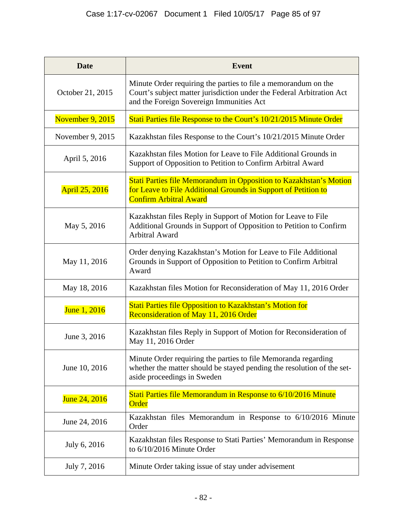| <b>Date</b>      | <b>Event</b>                                                                                                                                                                        |
|------------------|-------------------------------------------------------------------------------------------------------------------------------------------------------------------------------------|
| October 21, 2015 | Minute Order requiring the parties to file a memorandum on the<br>Court's subject matter jurisdiction under the Federal Arbitration Act<br>and the Foreign Sovereign Immunities Act |
| November 9, 2015 | Stati Parties file Response to the Court's 10/21/2015 Minute Order                                                                                                                  |
| November 9, 2015 | Kazakhstan files Response to the Court's 10/21/2015 Minute Order                                                                                                                    |
| April 5, 2016    | Kazakhstan files Motion for Leave to File Additional Grounds in<br>Support of Opposition to Petition to Confirm Arbitral Award                                                      |
| April 25, 2016   | <b>Stati Parties file Memorandum in Opposition to Kazakhstan's Motion</b><br>for Leave to File Additional Grounds in Support of Petition to<br><b>Confirm Arbitral Award</b>        |
| May 5, 2016      | Kazakhstan files Reply in Support of Motion for Leave to File<br>Additional Grounds in Support of Opposition to Petition to Confirm<br><b>Arbitral Award</b>                        |
| May 11, 2016     | Order denying Kazakhstan's Motion for Leave to File Additional<br>Grounds in Support of Opposition to Petition to Confirm Arbitral<br>Award                                         |
| May 18, 2016     | Kazakhstan files Motion for Reconsideration of May 11, 2016 Order                                                                                                                   |
| June 1, 2016     | <b>Stati Parties file Opposition to Kazakhstan's Motion for</b><br>Reconsideration of May 11, 2016 Order                                                                            |
| June 3, 2016     | Kazakhstan files Reply in Support of Motion for Reconsideration of<br>May 11, 2016 Order                                                                                            |
| June 10, 2016    | Minute Order requiring the parties to file Memoranda regarding<br>whether the matter should be stayed pending the resolution of the set-<br>aside proceedings in Sweden             |
| June 24, 2016    | Stati Parties file Memorandum in Response to 6/10/2016 Minute<br>Order                                                                                                              |
| June 24, 2016    | Kazakhstan files Memorandum in Response to 6/10/2016 Minute<br>Order                                                                                                                |
| July 6, 2016     | Kazakhstan files Response to Stati Parties' Memorandum in Response<br>to 6/10/2016 Minute Order                                                                                     |
| July 7, 2016     | Minute Order taking issue of stay under advisement                                                                                                                                  |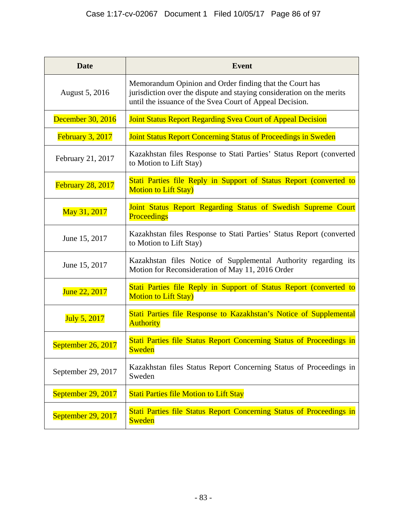| <b>Date</b>              | <b>Event</b>                                                                                                                                                                                 |
|--------------------------|----------------------------------------------------------------------------------------------------------------------------------------------------------------------------------------------|
| August 5, 2016           | Memorandum Opinion and Order finding that the Court has<br>jurisdiction over the dispute and staying consideration on the merits<br>until the issuance of the Svea Court of Appeal Decision. |
| December 30, 2016        | <b>Joint Status Report Regarding Svea Court of Appeal Decision</b>                                                                                                                           |
| February 3, 2017         | <b>Joint Status Report Concerning Status of Proceedings in Sweden</b>                                                                                                                        |
| February 21, 2017        | Kazakhstan files Response to Stati Parties' Status Report (converted<br>to Motion to Lift Stay)                                                                                              |
| <b>February 28, 2017</b> | Stati Parties file Reply in Support of Status Report (converted to<br><b>Motion to Lift Stay)</b>                                                                                            |
| May 31, 2017             | Joint Status Report Regarding Status of Swedish Supreme Court<br><b>Proceedings</b>                                                                                                          |
| June 15, 2017            | Kazakhstan files Response to Stati Parties' Status Report (converted<br>to Motion to Lift Stay)                                                                                              |
| June 15, 2017            | Kazakhstan files Notice of Supplemental Authority regarding its<br>Motion for Reconsideration of May 11, 2016 Order                                                                          |
| June 22, 2017            | Stati Parties file Reply in Support of Status Report (converted to<br><b>Motion to Lift Stay)</b>                                                                                            |
| July 5, 2017             | Stati Parties file Response to Kazakhstan's Notice of Supplemental<br><b>Authority</b>                                                                                                       |
| September 26, 2017       | Stati Parties file Status Report Concerning Status of Proceedings in<br><b>Sweden</b>                                                                                                        |
| September 29, 2017       | Kazakhstan files Status Report Concerning Status of Proceedings in<br>Sweden                                                                                                                 |
| September 29, 2017       | <b>Stati Parties file Motion to Lift Stay</b>                                                                                                                                                |
| September 29, 2017       | Stati Parties file Status Report Concerning Status of Proceedings in<br><b>Sweden</b>                                                                                                        |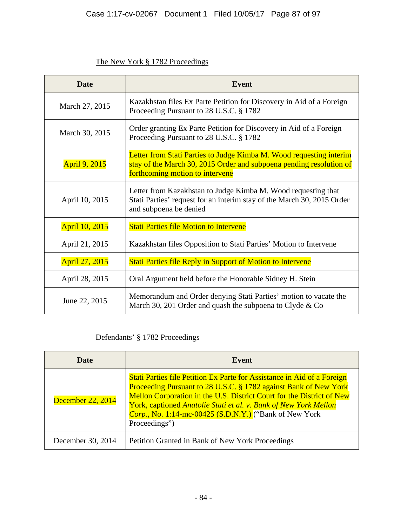## The New York § 1782 Proceedings

| <b>Date</b>           | <b>Event</b>                                                                                                                                                                  |
|-----------------------|-------------------------------------------------------------------------------------------------------------------------------------------------------------------------------|
| March 27, 2015        | Kazakhstan files Ex Parte Petition for Discovery in Aid of a Foreign<br>Proceeding Pursuant to 28 U.S.C. § 1782                                                               |
| March 30, 2015        | Order granting Ex Parte Petition for Discovery in Aid of a Foreign<br>Proceeding Pursuant to 28 U.S.C. § 1782                                                                 |
| <b>April 9, 2015</b>  | Letter from Stati Parties to Judge Kimba M. Wood requesting interim<br>stay of the March 30, 2015 Order and subpoena pending resolution of<br>forthcoming motion to intervene |
| April 10, 2015        | Letter from Kazakhstan to Judge Kimba M. Wood requesting that<br>Stati Parties' request for an interim stay of the March 30, 2015 Order<br>and subpoena be denied             |
| <b>April 10, 2015</b> | <b>Stati Parties file Motion to Intervene</b>                                                                                                                                 |
| April 21, 2015        | Kazakhstan files Opposition to Stati Parties' Motion to Intervene                                                                                                             |
| April 27, 2015        | <b>Stati Parties file Reply in Support of Motion to Intervene</b>                                                                                                             |
| April 28, 2015        | Oral Argument held before the Honorable Sidney H. Stein                                                                                                                       |
| June 22, 2015         | Memorandum and Order denying Stati Parties' motion to vacate the<br>March 30, 201 Order and quash the subpoena to Clyde & Co                                                  |

# Defendants' § 1782 Proceedings

| Date              | Event                                                                                                                                                                                                                                                                                                                                                                       |
|-------------------|-----------------------------------------------------------------------------------------------------------------------------------------------------------------------------------------------------------------------------------------------------------------------------------------------------------------------------------------------------------------------------|
| December 22, 2014 | Stati Parties file Petition Ex Parte for Assistance in Aid of a Foreign<br>Proceeding Pursuant to 28 U.S.C. § 1782 against Bank of New York<br>Mellon Corporation in the U.S. District Court for the District of New<br>York, captioned Anatolie Stati et al. v. Bank of New York Mellon<br><i>Corp.</i> , No. 1:14-mc-00425 (S.D.N.Y.) ("Bank of New York<br>Proceedings") |
| December 30, 2014 | Petition Granted in Bank of New York Proceedings                                                                                                                                                                                                                                                                                                                            |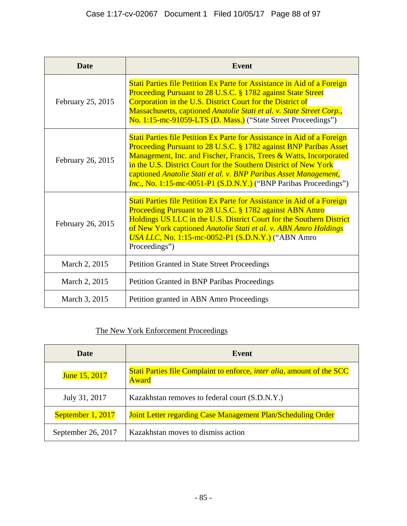| <b>Date</b>       | Event                                                                                                                                                                                                                                                                                                                                                                                                                                  |
|-------------------|----------------------------------------------------------------------------------------------------------------------------------------------------------------------------------------------------------------------------------------------------------------------------------------------------------------------------------------------------------------------------------------------------------------------------------------|
| February 25, 2015 | Stati Parties file Petition Ex Parte for Assistance in Aid of a Foreign<br><b>Proceeding Pursuant to 28 U.S.C. § 1782 against State Street</b><br>Corporation in the U.S. District Court for the District of<br>Massachusetts, captioned Anatolie Stati et al. v. State Street Corp.,<br>No. 1:15-mc-91059-LTS (D. Mass.) ("State Street Proceedings")                                                                                 |
| February 26, 2015 | Stati Parties file Petition Ex Parte for Assistance in Aid of a Foreign<br>Proceeding Pursuant to 28 U.S.C. § 1782 against BNP Paribas Asset<br>Management, Inc. and Fischer, Francis, Trees & Watts, Incorporated<br>in the U.S. District Court for the Southern District of New York<br>captioned Anatolie Stati et al. v. BNP Paribas Asset Management,<br><i>Inc.</i> , No. 1:15-mc-0051-P1 (S.D.N.Y.) ("BNP Paribas Proceedings") |
| February 26, 2015 | Stati Parties file Petition Ex Parte for Assistance in Aid of a Foreign<br>Proceeding Pursuant to 28 U.S.C. § 1782 against ABN Amro<br>Holdings US LLC in the U.S. District Court for the Southern District<br>of New York captioned Anatolie Stati et al. v. ABN Amro Holdings<br>USA LLC, No. 1:15-mc-0052-P1 (S.D.N.Y.) ("ABN Amro<br>Proceedings")                                                                                 |
| March 2, 2015     | <b>Petition Granted in State Street Proceedings</b>                                                                                                                                                                                                                                                                                                                                                                                    |
| March 2, 2015     | Petition Granted in BNP Paribas Proceedings                                                                                                                                                                                                                                                                                                                                                                                            |
| March 3, 2015     | Petition granted in ABN Amro Proceedings                                                                                                                                                                                                                                                                                                                                                                                               |

# The New York Enforcement Proceedings

| Date               | Event                                                                                          |
|--------------------|------------------------------------------------------------------------------------------------|
| June 15, 2017      | Stati Parties file Complaint to enforce, <i>inter alia</i> , amount of the SCC<br><b>Award</b> |
| July 31, 2017      | Kazakhstan removes to federal court (S.D.N.Y.)                                                 |
| September 1, 2017  | Joint Letter regarding Case Management Plan/Scheduling Order                                   |
| September 26, 2017 | Kazakhstan moves to dismiss action                                                             |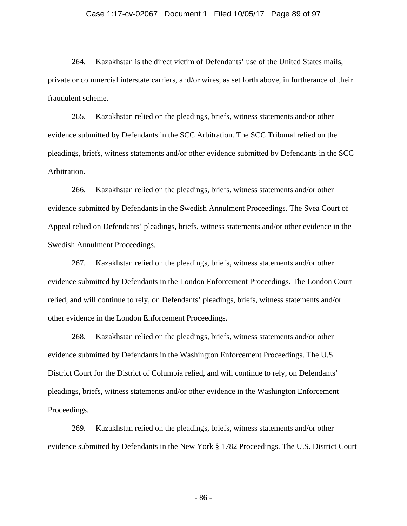#### Case 1:17-cv-02067 Document 1 Filed 10/05/17 Page 89 of 97

264. Kazakhstan is the direct victim of Defendants' use of the United States mails, private or commercial interstate carriers, and/or wires, as set forth above, in furtherance of their fraudulent scheme.

265. Kazakhstan relied on the pleadings, briefs, witness statements and/or other evidence submitted by Defendants in the SCC Arbitration. The SCC Tribunal relied on the pleadings, briefs, witness statements and/or other evidence submitted by Defendants in the SCC Arbitration.

266. Kazakhstan relied on the pleadings, briefs, witness statements and/or other evidence submitted by Defendants in the Swedish Annulment Proceedings. The Svea Court of Appeal relied on Defendants' pleadings, briefs, witness statements and/or other evidence in the Swedish Annulment Proceedings.

267. Kazakhstan relied on the pleadings, briefs, witness statements and/or other evidence submitted by Defendants in the London Enforcement Proceedings. The London Court relied, and will continue to rely, on Defendants' pleadings, briefs, witness statements and/or other evidence in the London Enforcement Proceedings.

268. Kazakhstan relied on the pleadings, briefs, witness statements and/or other evidence submitted by Defendants in the Washington Enforcement Proceedings. The U.S. District Court for the District of Columbia relied, and will continue to rely, on Defendants' pleadings, briefs, witness statements and/or other evidence in the Washington Enforcement Proceedings.

269. Kazakhstan relied on the pleadings, briefs, witness statements and/or other evidence submitted by Defendants in the New York § 1782 Proceedings. The U.S. District Court

- 86 -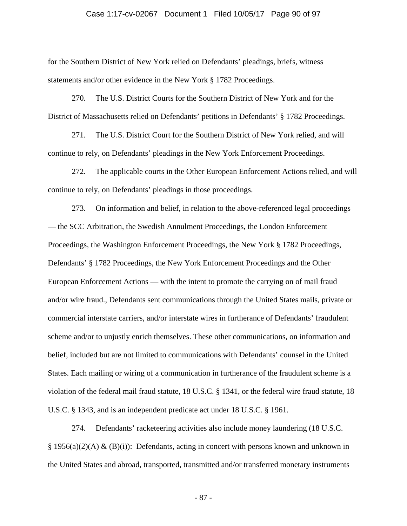#### Case 1:17-cv-02067 Document 1 Filed 10/05/17 Page 90 of 97

for the Southern District of New York relied on Defendants' pleadings, briefs, witness statements and/or other evidence in the New York § 1782 Proceedings.

270. The U.S. District Courts for the Southern District of New York and for the District of Massachusetts relied on Defendants' petitions in Defendants' § 1782 Proceedings.

271. The U.S. District Court for the Southern District of New York relied, and will continue to rely, on Defendants' pleadings in the New York Enforcement Proceedings.

272. The applicable courts in the Other European Enforcement Actions relied, and will continue to rely, on Defendants' pleadings in those proceedings.

273. On information and belief, in relation to the above-referenced legal proceedings — the SCC Arbitration, the Swedish Annulment Proceedings, the London Enforcement Proceedings, the Washington Enforcement Proceedings, the New York § 1782 Proceedings, Defendants' § 1782 Proceedings, the New York Enforcement Proceedings and the Other European Enforcement Actions — with the intent to promote the carrying on of mail fraud and/or wire fraud., Defendants sent communications through the United States mails, private or commercial interstate carriers, and/or interstate wires in furtherance of Defendants' fraudulent scheme and/or to unjustly enrich themselves. These other communications, on information and belief, included but are not limited to communications with Defendants' counsel in the United States. Each mailing or wiring of a communication in furtherance of the fraudulent scheme is a violation of the federal mail fraud statute, 18 U.S.C. § 1341, or the federal wire fraud statute, 18 U.S.C. § 1343, and is an independent predicate act under 18 U.S.C. § 1961.

274. Defendants' racketeering activities also include money laundering (18 U.S.C. § 1956(a)(2)(A) & (B)(i)): Defendants, acting in concert with persons known and unknown in the United States and abroad, transported, transmitted and/or transferred monetary instruments

- 87 -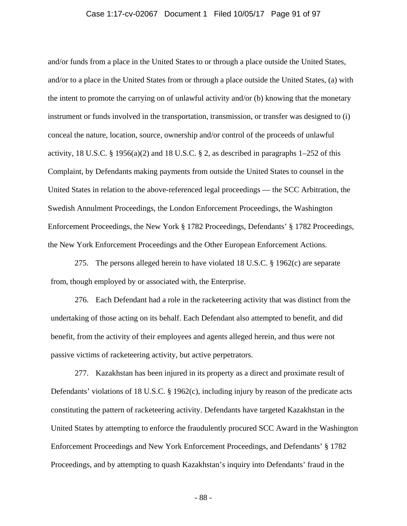#### Case 1:17-cv-02067 Document 1 Filed 10/05/17 Page 91 of 97

and/or funds from a place in the United States to or through a place outside the United States, and/or to a place in the United States from or through a place outside the United States, (a) with the intent to promote the carrying on of unlawful activity and/or (b) knowing that the monetary instrument or funds involved in the transportation, transmission, or transfer was designed to (i) conceal the nature, location, source, ownership and/or control of the proceeds of unlawful activity, 18 U.S.C. § 1956(a)(2) and 18 U.S.C. § 2, as described in paragraphs  $1-252$  of this Complaint, by Defendants making payments from outside the United States to counsel in the United States in relation to the above-referenced legal proceedings — the SCC Arbitration, the Swedish Annulment Proceedings, the London Enforcement Proceedings, the Washington Enforcement Proceedings, the New York § 1782 Proceedings, Defendants' § 1782 Proceedings, the New York Enforcement Proceedings and the Other European Enforcement Actions.

275. The persons alleged herein to have violated 18 U.S.C. § 1962(c) are separate from, though employed by or associated with, the Enterprise.

276. Each Defendant had a role in the racketeering activity that was distinct from the undertaking of those acting on its behalf. Each Defendant also attempted to benefit, and did benefit, from the activity of their employees and agents alleged herein, and thus were not passive victims of racketeering activity, but active perpetrators.

277. Kazakhstan has been injured in its property as a direct and proximate result of Defendants' violations of 18 U.S.C. § 1962(c), including injury by reason of the predicate acts constituting the pattern of racketeering activity. Defendants have targeted Kazakhstan in the United States by attempting to enforce the fraudulently procured SCC Award in the Washington Enforcement Proceedings and New York Enforcement Proceedings, and Defendants' § 1782 Proceedings, and by attempting to quash Kazakhstan's inquiry into Defendants' fraud in the

- 88 -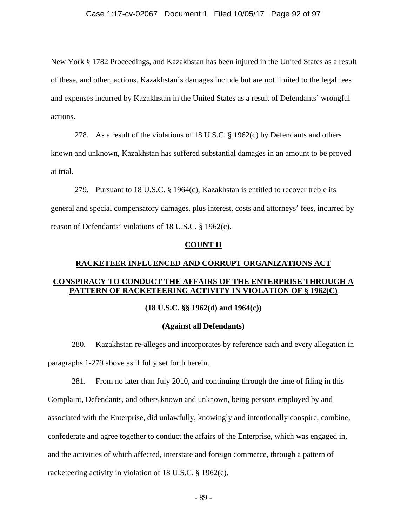New York § 1782 Proceedings, and Kazakhstan has been injured in the United States as a result of these, and other, actions. Kazakhstan's damages include but are not limited to the legal fees and expenses incurred by Kazakhstan in the United States as a result of Defendants' wrongful actions.

278. As a result of the violations of 18 U.S.C. § 1962(c) by Defendants and others known and unknown, Kazakhstan has suffered substantial damages in an amount to be proved at trial.

279. Pursuant to 18 U.S.C. § 1964(c), Kazakhstan is entitled to recover treble its general and special compensatory damages, plus interest, costs and attorneys' fees, incurred by reason of Defendants' violations of 18 U.S.C. § 1962(c).

#### **COUNT II**

# **RACKETEER INFLUENCED AND CORRUPT ORGANIZATIONS ACT CONSPIRACY TO CONDUCT THE AFFAIRS OF THE ENTERPRISE THROUGH A PATTERN OF RACKETEERING ACTIVITY IN VIOLATION OF § 1962(C)**

## **(18 U.S.C. §§ 1962(d) and 1964(c))**

#### **(Against all Defendants)**

280. Kazakhstan re-alleges and incorporates by reference each and every allegation in paragraphs 1-279 above as if fully set forth herein.

281. From no later than July 2010, and continuing through the time of filing in this Complaint, Defendants, and others known and unknown, being persons employed by and associated with the Enterprise, did unlawfully, knowingly and intentionally conspire, combine, confederate and agree together to conduct the affairs of the Enterprise, which was engaged in, and the activities of which affected, interstate and foreign commerce, through a pattern of racketeering activity in violation of 18 U.S.C. § 1962(c).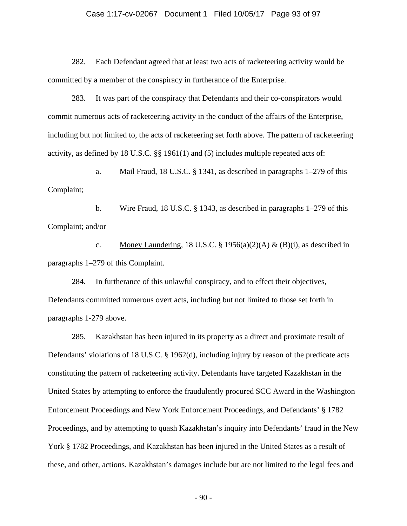#### Case 1:17-cv-02067 Document 1 Filed 10/05/17 Page 93 of 97

282. Each Defendant agreed that at least two acts of racketeering activity would be committed by a member of the conspiracy in furtherance of the Enterprise.

283. It was part of the conspiracy that Defendants and their co-conspirators would commit numerous acts of racketeering activity in the conduct of the affairs of the Enterprise, including but not limited to, the acts of racketeering set forth above. The pattern of racketeering activity, as defined by 18 U.S.C. §§ 1961(1) and (5) includes multiple repeated acts of:

a. Mail Fraud, 18 U.S.C. § 1341, as described in paragraphs 1–279 of this Complaint;

b. Wire Fraud, 18 U.S.C. § 1343, as described in paragraphs 1–279 of this Complaint; and/or

c. Money Laundering, 18 U.S.C. § 1956(a)(2)(A) & (B)(i), as described in paragraphs 1–279 of this Complaint.

284. In furtherance of this unlawful conspiracy, and to effect their objectives, Defendants committed numerous overt acts, including but not limited to those set forth in paragraphs 1-279 above.

285. Kazakhstan has been injured in its property as a direct and proximate result of Defendants' violations of 18 U.S.C. § 1962(d), including injury by reason of the predicate acts constituting the pattern of racketeering activity. Defendants have targeted Kazakhstan in the United States by attempting to enforce the fraudulently procured SCC Award in the Washington Enforcement Proceedings and New York Enforcement Proceedings, and Defendants' § 1782 Proceedings, and by attempting to quash Kazakhstan's inquiry into Defendants' fraud in the New York § 1782 Proceedings, and Kazakhstan has been injured in the United States as a result of these, and other, actions. Kazakhstan's damages include but are not limited to the legal fees and

- 90 -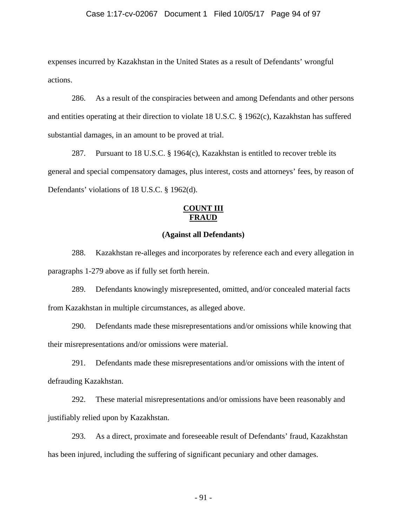#### Case 1:17-cv-02067 Document 1 Filed 10/05/17 Page 94 of 97

expenses incurred by Kazakhstan in the United States as a result of Defendants' wrongful actions.

286. As a result of the conspiracies between and among Defendants and other persons and entities operating at their direction to violate 18 U.S.C. § 1962(c), Kazakhstan has suffered substantial damages, in an amount to be proved at trial.

287. Pursuant to 18 U.S.C. § 1964(c), Kazakhstan is entitled to recover treble its general and special compensatory damages, plus interest, costs and attorneys' fees, by reason of Defendants' violations of 18 U.S.C. § 1962(d).

#### **COUNT III FRAUD**

## **(Against all Defendants)**

288. Kazakhstan re-alleges and incorporates by reference each and every allegation in paragraphs 1-279 above as if fully set forth herein.

289. Defendants knowingly misrepresented, omitted, and/or concealed material facts from Kazakhstan in multiple circumstances, as alleged above.

290. Defendants made these misrepresentations and/or omissions while knowing that their misrepresentations and/or omissions were material.

291. Defendants made these misrepresentations and/or omissions with the intent of defrauding Kazakhstan.

292. These material misrepresentations and/or omissions have been reasonably and justifiably relied upon by Kazakhstan.

293. As a direct, proximate and foreseeable result of Defendants' fraud, Kazakhstan has been injured, including the suffering of significant pecuniary and other damages.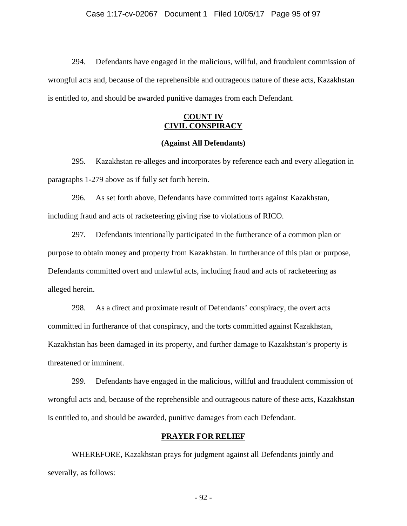294. Defendants have engaged in the malicious, willful, and fraudulent commission of wrongful acts and, because of the reprehensible and outrageous nature of these acts, Kazakhstan is entitled to, and should be awarded punitive damages from each Defendant.

## **COUNT IV CIVIL CONSPIRACY**

## **(Against All Defendants)**

295. Kazakhstan re-alleges and incorporates by reference each and every allegation in paragraphs 1-279 above as if fully set forth herein.

296. As set forth above, Defendants have committed torts against Kazakhstan, including fraud and acts of racketeering giving rise to violations of RICO.

297. Defendants intentionally participated in the furtherance of a common plan or purpose to obtain money and property from Kazakhstan. In furtherance of this plan or purpose, Defendants committed overt and unlawful acts, including fraud and acts of racketeering as alleged herein.

298. As a direct and proximate result of Defendants' conspiracy, the overt acts committed in furtherance of that conspiracy, and the torts committed against Kazakhstan, Kazakhstan has been damaged in its property, and further damage to Kazakhstan's property is threatened or imminent.

299. Defendants have engaged in the malicious, willful and fraudulent commission of wrongful acts and, because of the reprehensible and outrageous nature of these acts, Kazakhstan is entitled to, and should be awarded, punitive damages from each Defendant.

#### **PRAYER FOR RELIEF**

WHEREFORE, Kazakhstan prays for judgment against all Defendants jointly and severally, as follows:

- 92 -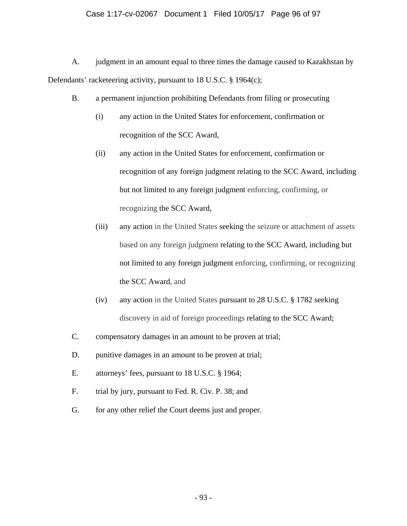## Case 1:17-cv-02067 Document 1 Filed 10/05/17 Page 96 of 97

A. judgment in an amount equal to three times the damage caused to Kazakhstan by Defendants' racketeering activity, pursuant to 18 U.S.C. § 1964(c);

- B. a permanent injunction prohibiting Defendants from filing or prosecuting
	- (i) any action in the United States for enforcement, confirmation or recognition of the SCC Award,
	- (ii) any action in the United States for enforcement, confirmation or recognition of any foreign judgment relating to the SCC Award, including but not limited to any foreign judgment enforcing, confirming, or recognizing the SCC Award,
	- (iii) any action in the United States seeking the seizure or attachment of assets based on any foreign judgment relating to the SCC Award, including but not limited to any foreign judgment enforcing, confirming, or recognizing the SCC Award, and
	- (iv) any action in the United States pursuant to 28 U.S.C. § 1782 seeking discovery in aid of foreign proceedings relating to the SCC Award;
- C. compensatory damages in an amount to be proven at trial;
- D. punitive damages in an amount to be proven at trial;
- E. attorneys' fees, pursuant to 18 U.S.C. § 1964;
- F. trial by jury, pursuant to Fed. R. Civ. P. 38; and
- G. for any other relief the Court deems just and proper.